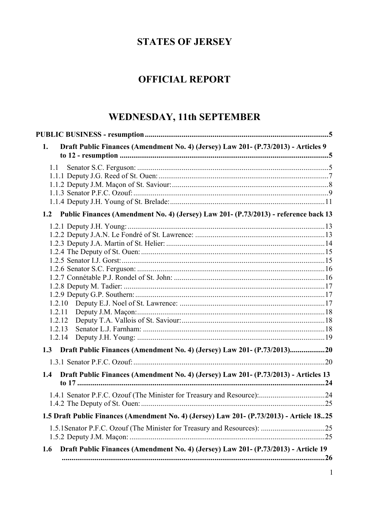# **STATES OF JERSEY**

# **OFFICIAL REPORT**

# WEDNESDAY, 11th SEPTEMBER

| Draft Public Finances (Amendment No. 4) (Jersey) Law 201- (P.73/2013) - Articles 9<br>1.   |     |
|--------------------------------------------------------------------------------------------|-----|
| 1.1                                                                                        |     |
|                                                                                            |     |
|                                                                                            |     |
|                                                                                            |     |
|                                                                                            |     |
| 1.2 Public Finances (Amendment No. 4) (Jersey) Law 201- (P.73/2013) - reference back 13    |     |
|                                                                                            |     |
|                                                                                            |     |
|                                                                                            |     |
|                                                                                            |     |
|                                                                                            |     |
|                                                                                            |     |
|                                                                                            |     |
|                                                                                            |     |
|                                                                                            |     |
| 1.2.11                                                                                     |     |
| 1.2.12                                                                                     |     |
| 1.2.13                                                                                     |     |
| 1.2.14                                                                                     |     |
| 1.3 Draft Public Finances (Amendment No. 4) (Jersey) Law 201- (P.73/2013)20                |     |
|                                                                                            |     |
| Draft Public Finances (Amendment No. 4) (Jersey) Law 201- (P.73/2013) - Articles 13<br>1.4 |     |
|                                                                                            |     |
|                                                                                            |     |
| 1.5 Draft Public Finances (Amendment No. 4) (Jersey) Law 201- (P.73/2013) - Article 1825   |     |
|                                                                                            |     |
|                                                                                            |     |
| Draft Public Finances (Amendment No. 4) (Jersey) Law 201- (P.73/2013) - Article 19<br>1.6  | .26 |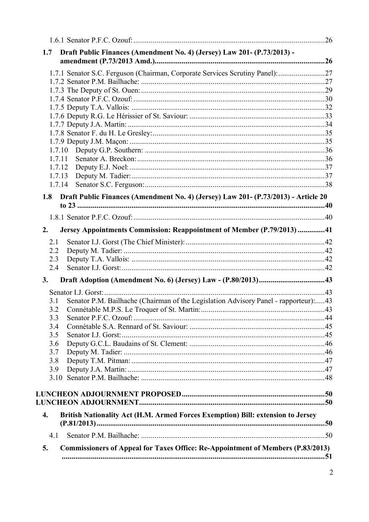| Draft Public Finances (Amendment No. 4) (Jersey) Law 201- (P.73/2013) -<br>1.7               |  |
|----------------------------------------------------------------------------------------------|--|
|                                                                                              |  |
| 1.7.1 Senator S.C. Ferguson (Chairman, Corporate Services Scrutiny Panel): 27                |  |
|                                                                                              |  |
|                                                                                              |  |
|                                                                                              |  |
|                                                                                              |  |
|                                                                                              |  |
|                                                                                              |  |
|                                                                                              |  |
| 1.7.10                                                                                       |  |
| 1.7.11                                                                                       |  |
| 1.7.12                                                                                       |  |
| 1.7.13                                                                                       |  |
| 1.7.14                                                                                       |  |
| Draft Public Finances (Amendment No. 4) (Jersey) Law 201- (P.73/2013) - Article 20<br>1.8    |  |
|                                                                                              |  |
|                                                                                              |  |
| Jersey Appointments Commission: Reappointment of Member (P.79/2013)41<br>2.                  |  |
| 2.1                                                                                          |  |
| 2.2                                                                                          |  |
| 2.3                                                                                          |  |
| 2.4                                                                                          |  |
| 3.                                                                                           |  |
|                                                                                              |  |
| Senator P.M. Bailhache (Chairman of the Legislation Advisory Panel - rapporteur):43<br>3.1   |  |
| 3.2                                                                                          |  |
| 3.3                                                                                          |  |
| 3.4                                                                                          |  |
| 3.5                                                                                          |  |
| 3.6<br>3.7                                                                                   |  |
| 3.8                                                                                          |  |
| 3.9                                                                                          |  |
| 3.10                                                                                         |  |
|                                                                                              |  |
|                                                                                              |  |
| $\overline{4}$ .                                                                             |  |
| British Nationality Act (H.M. Armed Forces Exemption) Bill: extension to Jersey              |  |
| 4.1                                                                                          |  |
| <b>Commissioners of Appeal for Taxes Office: Re-Appointment of Members (P.83/2013)</b><br>5. |  |
|                                                                                              |  |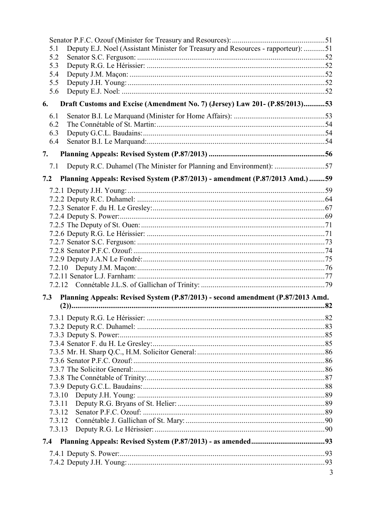| 5.1              | Deputy E.J. Noel (Assistant Minister for Treasury and Resources - rapporteur): 51 |   |
|------------------|-----------------------------------------------------------------------------------|---|
| 5.2              |                                                                                   |   |
| 5.3              |                                                                                   |   |
| 5.4              |                                                                                   |   |
| 5.5              |                                                                                   |   |
| 5.6              |                                                                                   |   |
| 6.               | Draft Customs and Excise (Amendment No. 7) (Jersey) Law 201- (P.85/2013)53        |   |
| 6.1              |                                                                                   |   |
| 6.2              |                                                                                   |   |
| 6.3              |                                                                                   |   |
| 6.4              |                                                                                   |   |
| 7.               |                                                                                   |   |
| 7.1              | Deputy R.C. Duhamel (The Minister for Planning and Environment): 57               |   |
| 7.2              | Planning Appeals: Revised System (P.87/2013) - amendment (P.87/2013 Amd.) 59      |   |
|                  |                                                                                   |   |
|                  |                                                                                   |   |
|                  |                                                                                   |   |
|                  |                                                                                   |   |
|                  |                                                                                   |   |
|                  |                                                                                   |   |
|                  |                                                                                   |   |
|                  |                                                                                   |   |
|                  |                                                                                   |   |
|                  |                                                                                   |   |
|                  |                                                                                   |   |
|                  |                                                                                   |   |
| 7.3              | Planning Appeals: Revised System (P.87/2013) - second amendment (P.87/2013 Amd.   |   |
|                  |                                                                                   |   |
|                  |                                                                                   |   |
|                  |                                                                                   |   |
|                  |                                                                                   |   |
|                  |                                                                                   |   |
|                  |                                                                                   |   |
|                  |                                                                                   |   |
|                  |                                                                                   |   |
|                  |                                                                                   |   |
|                  |                                                                                   |   |
|                  |                                                                                   |   |
| 7.3.11           |                                                                                   |   |
| 7.3.12<br>7.3.12 |                                                                                   |   |
| 7.3.13           |                                                                                   |   |
| 7.4              |                                                                                   |   |
|                  |                                                                                   |   |
|                  |                                                                                   |   |
|                  |                                                                                   | 3 |
|                  |                                                                                   |   |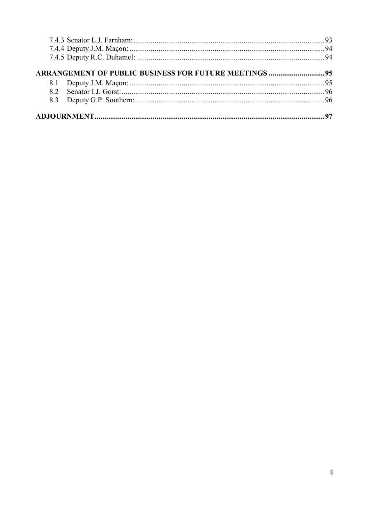| <b>ARRANGEMENT OF PUBLIC BUSINESS FOR FUTURE MEETINGS  95</b> |  |
|---------------------------------------------------------------|--|
|                                                               |  |
|                                                               |  |
|                                                               |  |
|                                                               |  |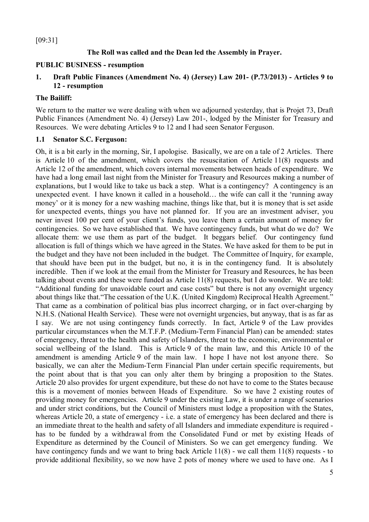[09:31]

### **The Roll was called and the Dean led the Assembly in Prayer.**

#### **PUBLIC BUSINESS - resumption**

### **1. Draft Public Finances (Amendment No. 4) (Jersey) Law 201- (P.73/2013) - Articles 9 to 12 - resumption**

#### **The Bailiff:**

We return to the matter we were dealing with when we adjourned yesterday, that is Projet 73, Draft Public Finances (Amendment No. 4) (Jersey) Law 201-, lodged by the Minister for Treasury and Resources. We were debating Articles 9 to 12 and I had seen Senator Ferguson.

### **1.1 Senator S.C. Ferguson:**

Oh, it is a bit early in the morning, Sir, I apologise. Basically, we are on a tale of 2 Articles. There is Article 10 of the amendment, which covers the resuscitation of Article 11(8) requests and Article 12 of the amendment, which covers internal movements between heads of expenditure. We have had a long email last night from the Minister for Treasury and Resources making a number of explanations, but I would like to take us back a step. What is a contingency? A contingency is an unexpected event. I have known it called in a household… the wife can call it the 'running away money' or it is money for a new washing machine, things like that, but it is money that is set aside for unexpected events, things you have not planned for. If you are an investment adviser, you never invest 100 per cent of your client's funds, you leave them a certain amount of money for contingencies. So we have established that. We have contingency funds, but what do we do? We allocate them: we use them as part of the budget. It beggars belief. Our contingency fund allocation is full of things which we have agreed in the States. We have asked for them to be put in the budget and they have not been included in the budget. The Committee of Inquiry, for example, that should have been put in the budget, but no, it is in the contingency fund. It is absolutely incredible. Then if we look at the email from the Minister for Treasury and Resources, he has been talking about events and these were funded as Article 11(8) requests, but I do wonder. We are told: "Additional funding for unavoidable court and case costs" but there is not any overnight urgency about things like that."The cessation of the U.K. (United Kingdom) Reciprocal Health Agreement." That came as a combination of political bias plus incorrect charging, or in fact over-charging by N.H.S. (National Health Service). These were not overnight urgencies, but anyway, that is as far as I say. We are not using contingency funds correctly. In fact, Article 9 of the Law provides particular circumstances when the M.T.F.P. (Medium-Term Financial Plan) can be amended: states of emergency, threat to the health and safety of Islanders, threat to the economic, environmental or social wellbeing of the Island. This is Article 9 of the main law, and this Article 10 of the amendment is amending Article 9 of the main law. I hope I have not lost anyone there. So basically, we can alter the Medium-Term Financial Plan under certain specific requirements, but the point about that is that you can only alter them by bringing a proposition to the States. Article 20 also provides for urgent expenditure, but these do not have to come to the States because this is a movement of monies between Heads of Expenditure. So we have 2 existing routes of providing money for emergencies. Article 9 under the existing Law, it is under a range of scenarios and under strict conditions, but the Council of Ministers must lodge a proposition with the States, whereas Article 20, a state of emergency - i.e. a state of emergency has been declared and there is an immediate threat to the health and safety of all Islanders and immediate expenditure is required has to be funded by a withdrawal from the Consolidated Fund or met by existing Heads of Expenditure as determined by the Council of Ministers. So we can get emergency funding. We have contingency funds and we want to bring back Article 11(8) - we call them 11(8) requests - to provide additional flexibility, so we now have 2 pots of money where we used to have one. As I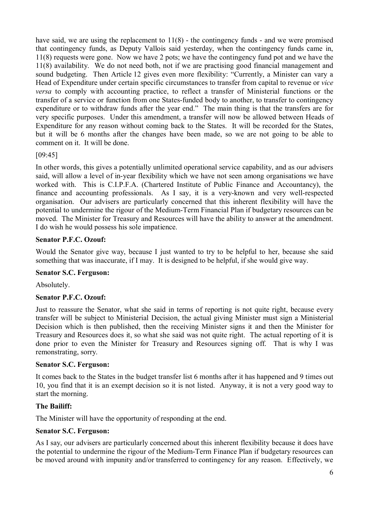have said, we are using the replacement to  $11(8)$  - the contingency funds - and we were promised that contingency funds, as Deputy Vallois said yesterday, when the contingency funds came in, 11(8) requests were gone. Now we have 2 pots; we have the contingency fund pot and we have the 11(8) availability. We do not need both, not if we are practising good financial management and sound budgeting. Then Article 12 gives even more flexibility: "Currently, a Minister can vary a Head of Expenditure under certain specific circumstances to transfer from capital to revenue or *vice versa* to comply with accounting practice, to reflect a transfer of Ministerial functions or the transfer of a service or function from one States-funded body to another, to transfer to contingency expenditure or to withdraw funds after the year end." The main thing is that the transfers are for very specific purposes. Under this amendment, a transfer will now be allowed between Heads of Expenditure for any reason without coming back to the States. It will be recorded for the States, but it will be 6 months after the changes have been made, so we are not going to be able to comment on it. It will be done.

### [09:45]

In other words, this gives a potentially unlimited operational service capability, and as our advisers said, will allow a level of in-year flexibility which we have not seen among organisations we have worked with. This is C.I.P.F.A. (Chartered Institute of Public Finance and Accountancy), the finance and accounting professionals. As I say, it is a very-known and very well-respected organisation. Our advisers are particularly concerned that this inherent flexibility will have the potential to undermine the rigour of the Medium-Term Financial Plan if budgetary resources can be moved. The Minister for Treasury and Resources will have the ability to answer at the amendment. I do wish he would possess his sole impatience.

### **Senator P.F.C. Ozouf:**

Would the Senator give way, because I just wanted to try to be helpful to her, because she said something that was inaccurate, if I may. It is designed to be helpful, if she would give way.

### **Senator S.C. Ferguson:**

Absolutely.

# **Senator P.F.C. Ozouf:**

Just to reassure the Senator, what she said in terms of reporting is not quite right, because every transfer will be subject to Ministerial Decision, the actual giving Minister must sign a Ministerial Decision which is then published, then the receiving Minister signs it and then the Minister for Treasury and Resources does it, so what she said was not quite right. The actual reporting of it is done prior to even the Minister for Treasury and Resources signing off. That is why I was remonstrating, sorry.

### **Senator S.C. Ferguson:**

It comes back to the States in the budget transfer list 6 months after it has happened and 9 times out 10, you find that it is an exempt decision so it is not listed. Anyway, it is not a very good way to start the morning.

### **The Bailiff:**

The Minister will have the opportunity of responding at the end.

#### **Senator S.C. Ferguson:**

As I say, our advisers are particularly concerned about this inherent flexibility because it does have the potential to undermine the rigour of the Medium-Term Finance Plan if budgetary resources can be moved around with impunity and/or transferred to contingency for any reason. Effectively, we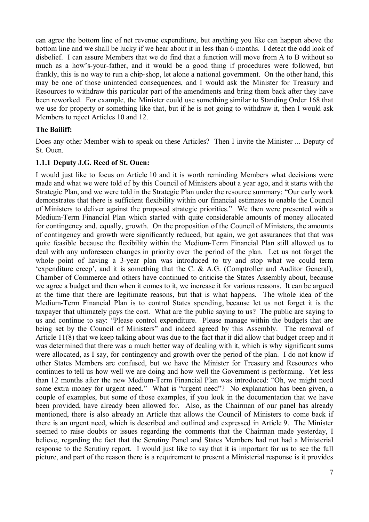can agree the bottom line of net revenue expenditure, but anything you like can happen above the bottom line and we shall be lucky if we hear about it in less than 6 months. I detect the odd look of disbelief. I can assure Members that we do find that a function will move from A to B without so much as a how's-your-father, and it would be a good thing if procedures were followed, but frankly, this is no way to run a chip-shop, let alone a national government. On the other hand, this may be one of those unintended consequences, and I would ask the Minister for Treasury and Resources to withdraw this particular part of the amendments and bring them back after they have been reworked. For example, the Minister could use something similar to Standing Order 168 that we use for property or something like that, but if he is not going to withdraw it, then I would ask Members to reject Articles 10 and 12.

### **The Bailiff:**

Does any other Member wish to speak on these Articles? Then I invite the Minister ... Deputy of St. Ouen.

#### **1.1.1 Deputy J.G. Reed of St. Ouen:**

I would just like to focus on Article 10 and it is worth reminding Members what decisions were made and what we were told of by this Council of Ministers about a year ago, and it starts with the Strategic Plan, and we were told in the Strategic Plan under the resource summary: "Our early work demonstrates that there is sufficient flexibility within our financial estimates to enable the Council of Ministers to deliver against the proposed strategic priorities." We then were presented with a Medium-Term Financial Plan which started with quite considerable amounts of money allocated for contingency and, equally, growth. On the proposition of the Council of Ministers, the amounts of contingency and growth were significantly reduced, but again, we got assurances that that was quite feasible because the flexibility within the Medium-Term Financial Plan still allowed us to deal with any unforeseen changes in priority over the period of the plan. Let us not forget the whole point of having a 3-year plan was introduced to try and stop what we could term 'expenditure creep', and it is something that the C. & A.G. (Comptroller and Auditor General), Chamber of Commerce and others have continued to criticise the States Assembly about, because we agree a budget and then when it comes to it, we increase it for various reasons. It can be argued at the time that there are legitimate reasons, but that is what happens. The whole idea of the Medium-Term Financial Plan is to control States spending, because let us not forget it is the taxpayer that ultimately pays the cost. What are the public saying to us? The public are saying to us and continue to say: "Please control expenditure. Please manage within the budgets that are being set by the Council of Ministers" and indeed agreed by this Assembly. The removal of Article 11(8) that we keep talking about was due to the fact that it did allow that budget creep and it was determined that there was a much better way of dealing with it, which is why significant sums were allocated, as I say, for contingency and growth over the period of the plan. I do not know if other States Members are confused, but we have the Minister for Treasury and Resources who continues to tell us how well we are doing and how well the Government is performing. Yet less than 12 months after the new Medium-Term Financial Plan was introduced: "Oh, we might need some extra money for urgent need." What is "urgent need"? No explanation has been given, a couple of examples, but some of those examples, if you look in the documentation that we have been provided, have already been allowed for. Also, as the Chairman of our panel has already mentioned, there is also already an Article that allows the Council of Ministers to come back if there is an urgent need, which is described and outlined and expressed in Article 9. The Minister seemed to raise doubts or issues regarding the comments that the Chairman made yesterday, I believe, regarding the fact that the Scrutiny Panel and States Members had not had a Ministerial response to the Scrutiny report. I would just like to say that it is important for us to see the full picture, and part of the reason there is a requirement to present a Ministerial response is it provides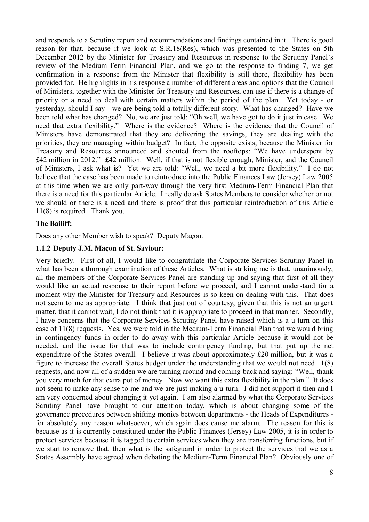and responds to a Scrutiny report and recommendations and findings contained in it. There is good reason for that, because if we look at S.R.18(Res), which was presented to the States on 5th December 2012 by the Minister for Treasury and Resources in response to the Scrutiny Panel's review of the Medium-Term Financial Plan, and we go to the response to finding 7, we get confirmation in a response from the Minister that flexibility is still there, flexibility has been provided for. He highlights in his response a number of different areas and options that the Council of Ministers, together with the Minister for Treasury and Resources, can use if there is a change of priority or a need to deal with certain matters within the period of the plan. Yet today - or yesterday, should I say - we are being told a totally different story. What has changed? Have we been told what has changed? No, we are just told: "Oh well, we have got to do it just in case. We need that extra flexibility." Where is the evidence? Where is the evidence that the Council of Ministers have demonstrated that they are delivering the savings, they are dealing with the priorities, they are managing within budget? In fact, the opposite exists, because the Minister for Treasury and Resources announced and shouted from the rooftops: "We have underspent by £42 million in 2012." £42 million. Well, if that is not flexible enough, Minister, and the Council of Ministers, I ask what is? Yet we are told: "Well, we need a bit more flexibility." I do not believe that the case has been made to reintroduce into the Public Finances Law (Jersey) Law 2005 at this time when we are only part-way through the very first Medium-Term Financial Plan that there is a need for this particular Article. I really do ask States Members to consider whether or not we should or there is a need and there is proof that this particular reintroduction of this Article 11(8) is required. Thank you.

#### **The Bailiff:**

Does any other Member wish to speak? Deputy Maçon.

#### **1.1.2 Deputy J.M. Maçon of St. Saviour:**

Very briefly. First of all, I would like to congratulate the Corporate Services Scrutiny Panel in what has been a thorough examination of these Articles. What is striking me is that, unanimously, all the members of the Corporate Services Panel are standing up and saying that first of all they would like an actual response to their report before we proceed, and I cannot understand for a moment why the Minister for Treasury and Resources is so keen on dealing with this. That does not seem to me as appropriate. I think that just out of courtesy, given that this is not an urgent matter, that it cannot wait, I do not think that it is appropriate to proceed in that manner. Secondly, I have concerns that the Corporate Services Scrutiny Panel have raised which is a u-turn on this case of 11(8) requests. Yes, we were told in the Medium-Term Financial Plan that we would bring in contingency funds in order to do away with this particular Article because it would not be needed, and the issue for that was to include contingency funding, but that put up the net expenditure of the States overall. I believe it was about approximately £20 million, but it was a figure to increase the overall States budget under the understanding that we would not need 11(8) requests, and now all of a sudden we are turning around and coming back and saying: "Well, thank you very much for that extra pot of money. Now we want this extra flexibility in the plan." It does not seem to make any sense to me and we are just making a u-turn. I did not support it then and I am very concerned about changing it yet again. I am also alarmed by what the Corporate Services Scrutiny Panel have brought to our attention today, which is about changing some of the governance procedures between shifting monies between departments - the Heads of Expenditures for absolutely any reason whatsoever, which again does cause me alarm. The reason for this is because as it is currently constituted under the Public Finances (Jersey) Law 2005, it is in order to protect services because it is tagged to certain services when they are transferring functions, but if we start to remove that, then what is the safeguard in order to protect the services that we as a States Assembly have agreed when debating the Medium-Term Financial Plan? Obviously one of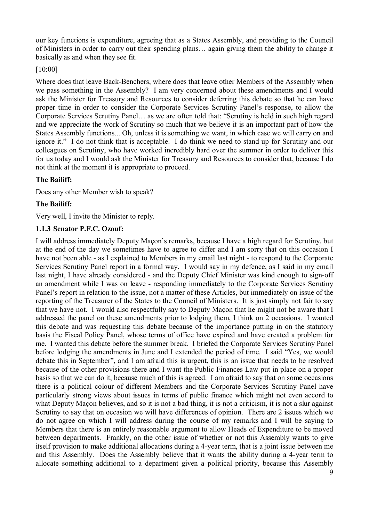our key functions is expenditure, agreeing that as a States Assembly, and providing to the Council of Ministers in order to carry out their spending plans… again giving them the ability to change it basically as and when they see fit.

### [10:00]

Where does that leave Back-Benchers, where does that leave other Members of the Assembly when we pass something in the Assembly? I am very concerned about these amendments and I would ask the Minister for Treasury and Resources to consider deferring this debate so that he can have proper time in order to consider the Corporate Services Scrutiny Panel's response, to allow the Corporate Services Scrutiny Panel… as we are often told that: "Scrutiny is held in such high regard and we appreciate the work of Scrutiny so much that we believe it is an important part of how the States Assembly functions... Oh, unless it is something we want, in which case we will carry on and ignore it." I do not think that is acceptable. I do think we need to stand up for Scrutiny and our colleagues on Scrutiny, who have worked incredibly hard over the summer in order to deliver this for us today and I would ask the Minister for Treasury and Resources to consider that, because I do not think at the moment it is appropriate to proceed.

### **The Bailiff:**

Does any other Member wish to speak?

### **The Bailiff:**

Very well, I invite the Minister to reply.

### **1.1.3 Senator P.F.C. Ozouf:**

I will address immediately Deputy Maçon's remarks, because I have a high regard for Scrutiny, but at the end of the day we sometimes have to agree to differ and I am sorry that on this occasion I have not been able - as I explained to Members in my email last night - to respond to the Corporate Services Scrutiny Panel report in a formal way. I would say in my defence, as I said in my email last night, I have already considered - and the Deputy Chief Minister was kind enough to sign-off an amendment while I was on leave - responding immediately to the Corporate Services Scrutiny Panel's report in relation to the issue, not a matter of these Articles, but immediately on issue of the reporting of the Treasurer of the States to the Council of Ministers. It is just simply not fair to say that we have not. I would also respectfully say to Deputy Maçon that he might not be aware that I addressed the panel on these amendments prior to lodging them, I think on 2 occasions. I wanted this debate and was requesting this debate because of the importance putting in on the statutory basis the Fiscal Policy Panel, whose terms of office have expired and have created a problem for me. I wanted this debate before the summer break. I briefed the Corporate Services Scrutiny Panel before lodging the amendments in June and I extended the period of time. I said "Yes, we would debate this in September", and I am afraid this is urgent, this is an issue that needs to be resolved because of the other provisions there and I want the Public Finances Law put in place on a proper basis so that we can do it, because much of this is agreed. I am afraid to say that on some occasions there is a political colour of different Members and the Corporate Services Scrutiny Panel have particularly strong views about issues in terms of public finance which might not even accord to what Deputy Maçon believes, and so it is not a bad thing, it is not a criticism, it is not a slur against Scrutiny to say that on occasion we will have differences of opinion. There are 2 issues which we do not agree on which I will address during the course of my remarks and I will be saying to Members that there is an entirely reasonable argument to allow Heads of Expenditure to be moved between departments. Frankly, on the other issue of whether or not this Assembly wants to give itself provision to make additional allocations during a 4-year term, that is a joint issue between me and this Assembly. Does the Assembly believe that it wants the ability during a 4-year term to allocate something additional to a department given a political priority, because this Assembly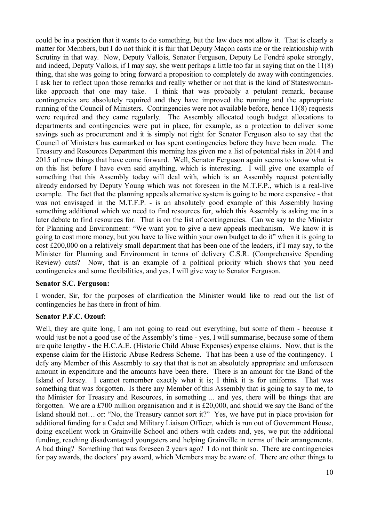could be in a position that it wants to do something, but the law does not allow it. That is clearly a matter for Members, but I do not think it is fair that Deputy Maçon casts me or the relationship with Scrutiny in that way. Now, Deputy Vallois, Senator Ferguson, Deputy Le Fondré spoke strongly, and indeed, Deputy Vallois, if I may say, she went perhaps a little too far in saying that on the 11(8) thing, that she was going to bring forward a proposition to completely do away with contingencies. I ask her to reflect upon those remarks and really whether or not that is the kind of Stateswomanlike approach that one may take. I think that was probably a petulant remark, because contingencies are absolutely required and they have improved the running and the appropriate running of the Council of Ministers. Contingencies were not available before, hence 11(8) requests were required and they came regularly. The Assembly allocated tough budget allocations to departments and contingencies were put in place, for example, as a protection to deliver some savings such as procurement and it is simply not right for Senator Ferguson also to say that the Council of Ministers has earmarked or has spent contingencies before they have been made. The Treasury and Resources Department this morning has given me a list of potential risks in 2014 and 2015 of new things that have come forward. Well, Senator Ferguson again seems to know what is on this list before I have even said anything, which is interesting. I will give one example of something that this Assembly today will deal with, which is an Assembly request potentially already endorsed by Deputy Young which was not foreseen in the M.T.F.P., which is a real-live example. The fact that the planning appeals alternative system is going to be more expensive - that was not envisaged in the M.T.F.P. - is an absolutely good example of this Assembly having something additional which we need to find resources for, which this Assembly is asking me in a later debate to find resources for. That is on the list of contingencies. Can we say to the Minister for Planning and Environment: "We want you to give a new appeals mechanism. We know it is going to cost more money, but you have to live within your own budget to do it" when it is going to cost £200,000 on a relatively small department that has been one of the leaders, if I may say, to the Minister for Planning and Environment in terms of delivery C.S.R. (Comprehensive Spending Review) cuts? Now, that is an example of a political priority which shows that you need contingencies and some flexibilities, and yes, I will give way to Senator Ferguson.

### **Senator S.C. Ferguson:**

I wonder, Sir, for the purposes of clarification the Minister would like to read out the list of contingencies he has there in front of him.

#### **Senator P.F.C. Ozouf:**

Well, they are quite long, I am not going to read out everything, but some of them - because it would just be not a good use of the Assembly's time - yes, I will summarise, because some of them are quite lengthy - the H.C.A.E. (Historic Child Abuse Expenses) expense claims. Now, that is the expense claim for the Historic Abuse Redress Scheme. That has been a use of the contingency. I defy any Member of this Assembly to say that that is not an absolutely appropriate and unforeseen amount in expenditure and the amounts have been there. There is an amount for the Band of the Island of Jersey. I cannot remember exactly what it is; I think it is for uniforms. That was something that was forgotten. Is there any Member of this Assembly that is going to say to me, to the Minister for Treasury and Resources, in something ... and yes, there will be things that are forgotten. We are a £700 million organisation and it is £20,000, and should we say the Band of the Island should not… or: "No, the Treasury cannot sort it?" Yes, we have put in place provision for additional funding for a Cadet and Military Liaison Officer, which is run out of Government House, doing excellent work in Grainville School and others with cadets and, yes, we put the additional funding, reaching disadvantaged youngsters and helping Grainville in terms of their arrangements. A bad thing? Something that was foreseen 2 years ago? I do not think so. There are contingencies for pay awards, the doctors' pay award, which Members may be aware of. There are other things to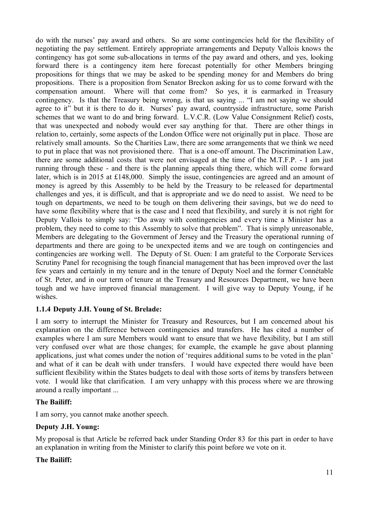do with the nurses' pay award and others. So are some contingencies held for the flexibility of negotiating the pay settlement. Entirely appropriate arrangements and Deputy Vallois knows the contingency has got some sub-allocations in terms of the pay award and others, and yes, looking forward there is a contingency item here forecast potentially for other Members bringing propositions for things that we may be asked to be spending money for and Members do bring propositions. There is a proposition from Senator Breckon asking for us to come forward with the compensation amount. Where will that come from? So yes, it is earmarked in Treasury contingency. Is that the Treasury being wrong, is that us saying ... "I am not saying we should agree to it" but it is there to do it. Nurses' pay award, countryside infrastructure, some Parish schemes that we want to do and bring forward. L.V.C.R. (Low Value Consignment Relief) costs, that was unexpected and nobody would ever say anything for that. There are other things in relation to, certainly, some aspects of the London Office were not originally put in place. Those are relatively small amounts. So the Charities Law, there are some arrangements that we think we need to put in place that was not provisioned there. That is a one-off amount. The Discrimination Law, there are some additional costs that were not envisaged at the time of the M.T.F.P. - I am just running through these - and there is the planning appeals thing there, which will come forward later, which is in 2015 at £148,000. Simply the issue, contingencies are agreed and an amount of money is agreed by this Assembly to be held by the Treasury to be released for departmental challenges and yes, it is difficult, and that is appropriate and we do need to assist. We need to be tough on departments, we need to be tough on them delivering their savings, but we do need to have some flexibility where that is the case and I need that flexibility, and surely it is not right for Deputy Vallois to simply say: "Do away with contingencies and every time a Minister has a problem, they need to come to this Assembly to solve that problem". That is simply unreasonable, Members are delegating to the Government of Jersey and the Treasury the operational running of departments and there are going to be unexpected items and we are tough on contingencies and contingencies are working well. The Deputy of St. Ouen: I am grateful to the Corporate Services Scrutiny Panel for recognising the tough financial management that has been improved over the last few years and certainly in my tenure and in the tenure of Deputy Noel and the former Connétable of St. Peter, and in our term of tenure at the Treasury and Resources Department, we have been tough and we have improved financial management. I will give way to Deputy Young, if he wishes.

# **1.1.4 Deputy J.H. Young of St. Brelade:**

I am sorry to interrupt the Minister for Treasury and Resources, but I am concerned about his explanation on the difference between contingencies and transfers. He has cited a number of examples where I am sure Members would want to ensure that we have flexibility, but I am still very confused over what are those changes; for example, the example he gave about planning applications, just what comes under the notion of 'requires additional sums to be voted in the plan' and what of it can be dealt with under transfers. I would have expected there would have been sufficient flexibility within the States budgets to deal with those sorts of items by transfers between vote. I would like that clarification. I am very unhappy with this process where we are throwing around a really important ...

### **The Bailiff:**

I am sorry, you cannot make another speech.

### **Deputy J.H. Young:**

My proposal is that Article be referred back under Standing Order 83 for this part in order to have an explanation in writing from the Minister to clarify this point before we vote on it.

### **The Bailiff:**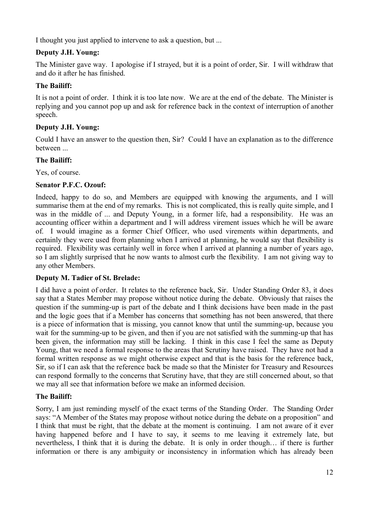I thought you just applied to intervene to ask a question, but ...

### **Deputy J.H. Young:**

The Minister gave way. I apologise if I strayed, but it is a point of order, Sir. I will withdraw that and do it after he has finished.

#### **The Bailiff:**

It is not a point of order. I think it is too late now. We are at the end of the debate. The Minister is replying and you cannot pop up and ask for reference back in the context of interruption of another speech.

### **Deputy J.H. Young:**

Could I have an answer to the question then, Sir? Could I have an explanation as to the difference between ...

#### **The Bailiff:**

Yes, of course.

### **Senator P.F.C. Ozouf:**

Indeed, happy to do so, and Members are equipped with knowing the arguments, and I will summarise them at the end of my remarks. This is not complicated, this is really quite simple, and I was in the middle of ... and Deputy Young, in a former life, had a responsibility. He was an accounting officer within a department and I will address virement issues which he will be aware of. I would imagine as a former Chief Officer, who used virements within departments, and certainly they were used from planning when I arrived at planning, he would say that flexibility is required. Flexibility was certainly well in force when I arrived at planning a number of years ago, so I am slightly surprised that he now wants to almost curb the flexibility. I am not giving way to any other Members.

### **Deputy M. Tadier of St. Brelade:**

I did have a point of order. It relates to the reference back, Sir. Under Standing Order 83, it does say that a States Member may propose without notice during the debate. Obviously that raises the question if the summing-up is part of the debate and I think decisions have been made in the past and the logic goes that if a Member has concerns that something has not been answered, that there is a piece of information that is missing, you cannot know that until the summing-up, because you wait for the summing-up to be given, and then if you are not satisfied with the summing-up that has been given, the information may still be lacking. I think in this case I feel the same as Deputy Young, that we need a formal response to the areas that Scrutiny have raised. They have not had a formal written response as we might otherwise expect and that is the basis for the reference back, Sir, so if I can ask that the reference back be made so that the Minister for Treasury and Resources can respond formally to the concerns that Scrutiny have, that they are still concerned about, so that we may all see that information before we make an informed decision.

### **The Bailiff:**

Sorry, I am just reminding myself of the exact terms of the Standing Order. The Standing Order says: "A Member of the States may propose without notice during the debate on a proposition" and I think that must be right, that the debate at the moment is continuing. I am not aware of it ever having happened before and I have to say, it seems to me leaving it extremely late, but nevertheless, I think that it is during the debate. It is only in order though… if there is further information or there is any ambiguity or inconsistency in information which has already been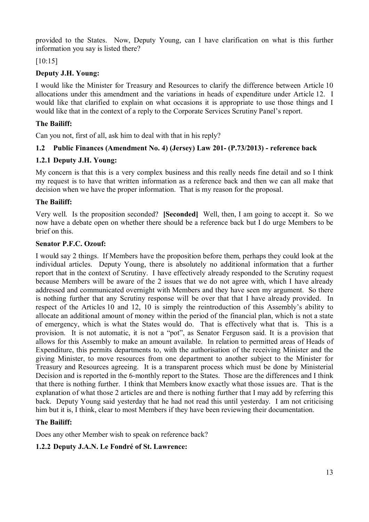provided to the States. Now, Deputy Young, can I have clarification on what is this further information you say is listed there?

[10:15]

### **Deputy J.H. Young:**

I would like the Minister for Treasury and Resources to clarify the difference between Article 10 allocations under this amendment and the variations in heads of expenditure under Article 12. I would like that clarified to explain on what occasions it is appropriate to use those things and I would like that in the context of a reply to the Corporate Services Scrutiny Panel's report.

### **The Bailiff:**

Can you not, first of all, ask him to deal with that in his reply?

# **1.2 Public Finances (Amendment No. 4) (Jersey) Law 201- (P.73/2013) - reference back**

### **1.2.1 Deputy J.H. Young:**

My concern is that this is a very complex business and this really needs fine detail and so I think my request is to have that written information as a reference back and then we can all make that decision when we have the proper information. That is my reason for the proposal.

### **The Bailiff:**

Very well. Is the proposition seconded? **[Seconded]** Well, then, I am going to accept it. So we now have a debate open on whether there should be a reference back but I do urge Members to be brief on this.

### **Senator P.F.C. Ozouf:**

I would say 2 things. If Members have the proposition before them, perhaps they could look at the individual articles. Deputy Young, there is absolutely no additional information that a further report that in the context of Scrutiny. I have effectively already responded to the Scrutiny request because Members will be aware of the 2 issues that we do not agree with, which I have already addressed and communicated overnight with Members and they have seen my argument. So there is nothing further that any Scrutiny response will be over that that I have already provided. In respect of the Articles 10 and 12, 10 is simply the reintroduction of this Assembly's ability to allocate an additional amount of money within the period of the financial plan, which is not a state of emergency, which is what the States would do. That is effectively what that is. This is a provision. It is not automatic, it is not a "pot", as Senator Ferguson said. It is a provision that allows for this Assembly to make an amount available. In relation to permitted areas of Heads of Expenditure, this permits departments to, with the authorisation of the receiving Minister and the giving Minister, to move resources from one department to another subject to the Minister for Treasury and Resources agreeing. It is a transparent process which must be done by Ministerial Decision and is reported in the 6-monthly report to the States. Those are the differences and I think that there is nothing further. I think that Members know exactly what those issues are. That is the explanation of what those 2 articles are and there is nothing further that I may add by referring this back. Deputy Young said yesterday that he had not read this until yesterday. I am not criticising him but it is, I think, clear to most Members if they have been reviewing their documentation.

### **The Bailiff:**

Does any other Member wish to speak on reference back?

# **1.2.2 Deputy J.A.N. Le Fondré of St. Lawrence:**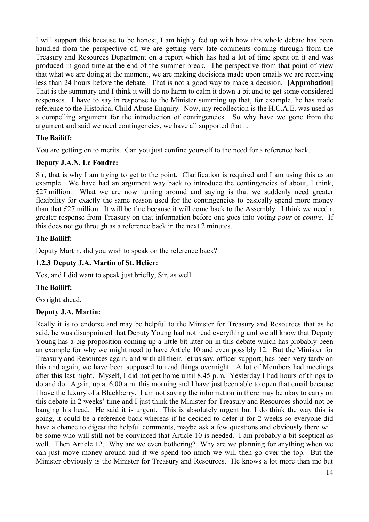I will support this because to be honest, I am highly fed up with how this whole debate has been handled from the perspective of, we are getting very late comments coming through from the Treasury and Resources Department on a report which has had a lot of time spent on it and was produced in good time at the end of the summer break. The perspective from that point of view that what we are doing at the moment, we are making decisions made upon emails we are receiving less than 24 hours before the debate. That is not a good way to make a decision. **[Approbation]** That is the summary and I think it will do no harm to calm it down a bit and to get some considered responses. I have to say in response to the Minister summing up that, for example, he has made reference to the Historical Child Abuse Enquiry. Now, my recollection is the H.C.A.E. was used as a compelling argument for the introduction of contingencies. So why have we gone from the argument and said we need contingencies, we have all supported that ...

# **The Bailiff:**

You are getting on to merits. Can you just confine yourself to the need for a reference back.

### **Deputy J.A.N. Le Fondré:**

Sir, that is why I am trying to get to the point. Clarification is required and I am using this as an example. We have had an argument way back to introduce the contingencies of about, I think, £27 million. What we are now turning around and saying is that we suddenly need greater flexibility for exactly the same reason used for the contingencies to basically spend more money than that £27 million. It will be fine because it will come back to the Assembly. I think we need a greater response from Treasury on that information before one goes into voting *pour* or *contre*. If this does not go through as a reference back in the next 2 minutes.

### **The Bailiff:**

Deputy Martin, did you wish to speak on the reference back?

### **1.2.3 Deputy J.A. Martin of St. Helier:**

Yes, and I did want to speak just briefly, Sir, as well.

### **The Bailiff:**

Go right ahead.

### **Deputy J.A. Martin:**

Really it is to endorse and may be helpful to the Minister for Treasury and Resources that as he said, he was disappointed that Deputy Young had not read everything and we all know that Deputy Young has a big proposition coming up a little bit later on in this debate which has probably been an example for why we might need to have Article 10 and even possibly 12. But the Minister for Treasury and Resources again, and with all their, let us say, officer support, has been very tardy on this and again, we have been supposed to read things overnight. A lot of Members had meetings after this last night. Myself, I did not get home until 8.45 p.m. Yesterday I had hours of things to do and do. Again, up at 6.00 a.m. this morning and I have just been able to open that email because I have the luxury of a Blackberry. I am not saying the information in there may be okay to carry on this debate in 2 weeks' time and I just think the Minister for Treasury and Resources should not be banging his head. He said it is urgent. This is absolutely urgent but I do think the way this is going, it could be a reference back whereas if he decided to defer it for 2 weeks so everyone did have a chance to digest the helpful comments, maybe ask a few questions and obviously there will be some who will still not be convinced that Article 10 is needed. I am probably a bit sceptical as well. Then Article 12. Why are we even bothering? Why are we planning for anything when we can just move money around and if we spend too much we will then go over the top. But the Minister obviously is the Minister for Treasury and Resources. He knows a lot more than me but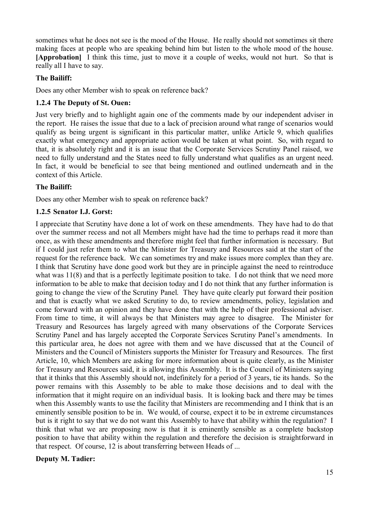sometimes what he does not see is the mood of the House. He really should not sometimes sit there making faces at people who are speaking behind him but listen to the whole mood of the house. **[Approbation]** I think this time, just to move it a couple of weeks, would not hurt. So that is really all I have to say.

### **The Bailiff:**

Does any other Member wish to speak on reference back?

### **1.2.4 The Deputy of St. Ouen:**

Just very briefly and to highlight again one of the comments made by our independent adviser in the report. He raises the issue that due to a lack of precision around what range of scenarios would qualify as being urgent is significant in this particular matter, unlike Article 9, which qualifies exactly what emergency and appropriate action would be taken at what point. So, with regard to that, it is absolutely right and it is an issue that the Corporate Services Scrutiny Panel raised, we need to fully understand and the States need to fully understand what qualifies as an urgent need. In fact, it would be beneficial to see that being mentioned and outlined underneath and in the context of this Article.

### **The Bailiff:**

Does any other Member wish to speak on reference back?

### **1.2.5 Senator I.J. Gorst:**

I appreciate that Scrutiny have done a lot of work on these amendments. They have had to do that over the summer recess and not all Members might have had the time to perhaps read it more than once, as with these amendments and therefore might feel that further information is necessary. But if I could just refer them to what the Minister for Treasury and Resources said at the start of the request for the reference back. We can sometimes try and make issues more complex than they are. I think that Scrutiny have done good work but they are in principle against the need to reintroduce what was 11(8) and that is a perfectly legitimate position to take. I do not think that we need more information to be able to make that decision today and I do not think that any further information is going to change the view of the Scrutiny Panel. They have quite clearly put forward their position and that is exactly what we asked Scrutiny to do, to review amendments, policy, legislation and come forward with an opinion and they have done that with the help of their professional adviser. From time to time, it will always be that Ministers may agree to disagree. The Minister for Treasury and Resources has largely agreed with many observations of the Corporate Services Scrutiny Panel and has largely accepted the Corporate Services Scrutiny Panel's amendments. In this particular area, he does not agree with them and we have discussed that at the Council of Ministers and the Council of Ministers supports the Minister for Treasury and Resources. The first Article, 10, which Members are asking for more information about is quite clearly, as the Minister for Treasury and Resources said, it is allowing this Assembly. It is the Council of Ministers saying that it thinks that this Assembly should not, indefinitely for a period of 3 years, tie its hands. So the power remains with this Assembly to be able to make those decisions and to deal with the information that it might require on an individual basis. It is looking back and there may be times when this Assembly wants to use the facility that Ministers are recommending and I think that is an eminently sensible position to be in. We would, of course, expect it to be in extreme circumstances but is it right to say that we do not want this Assembly to have that ability within the regulation? I think that what we are proposing now is that it is eminently sensible as a complete backstop position to have that ability within the regulation and therefore the decision is straightforward in that respect. Of course, 12 is about transferring between Heads of ...

### **Deputy M. Tadier:**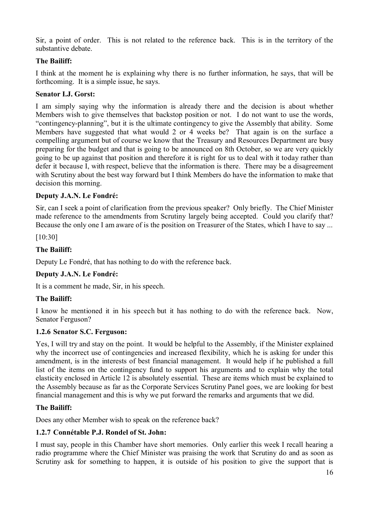Sir, a point of order. This is not related to the reference back. This is in the territory of the substantive debate.

### **The Bailiff:**

I think at the moment he is explaining why there is no further information, he says, that will be forthcoming. It is a simple issue, he says.

#### **Senator I.J. Gorst:**

I am simply saying why the information is already there and the decision is about whether Members wish to give themselves that backstop position or not. I do not want to use the words, "contingency-planning", but it is the ultimate contingency to give the Assembly that ability. Some Members have suggested that what would 2 or 4 weeks be? That again is on the surface a compelling argument but of course we know that the Treasury and Resources Department are busy preparing for the budget and that is going to be announced on 8th October, so we are very quickly going to be up against that position and therefore it is right for us to deal with it today rather than defer it because I, with respect, believe that the information is there. There may be a disagreement with Scrutiny about the best way forward but I think Members do have the information to make that decision this morning.

#### **Deputy J.A.N. Le Fondré:**

Sir, can I seek a point of clarification from the previous speaker? Only briefly. The Chief Minister made reference to the amendments from Scrutiny largely being accepted. Could you clarify that? Because the only one I am aware of is the position on Treasurer of the States, which I have to say ...

[10:30]

#### **The Bailiff:**

Deputy Le Fondré, that has nothing to do with the reference back.

### **Deputy J.A.N. Le Fondré:**

It is a comment he made, Sir, in his speech.

### **The Bailiff:**

I know he mentioned it in his speech but it has nothing to do with the reference back. Now, Senator Ferguson?

#### **1.2.6 Senator S.C. Ferguson:**

Yes, I will try and stay on the point. It would be helpful to the Assembly, if the Minister explained why the incorrect use of contingencies and increased flexibility, which he is asking for under this amendment, is in the interests of best financial management. It would help if he published a full list of the items on the contingency fund to support his arguments and to explain why the total elasticity enclosed in Article 12 is absolutely essential. These are items which must be explained to the Assembly because as far as the Corporate Services Scrutiny Panel goes, we are looking for best financial management and this is why we put forward the remarks and arguments that we did.

#### **The Bailiff:**

Does any other Member wish to speak on the reference back?

### **1.2.7 Connétable P.J. Rondel of St. John:**

I must say, people in this Chamber have short memories. Only earlier this week I recall hearing a radio programme where the Chief Minister was praising the work that Scrutiny do and as soon as Scrutiny ask for something to happen, it is outside of his position to give the support that is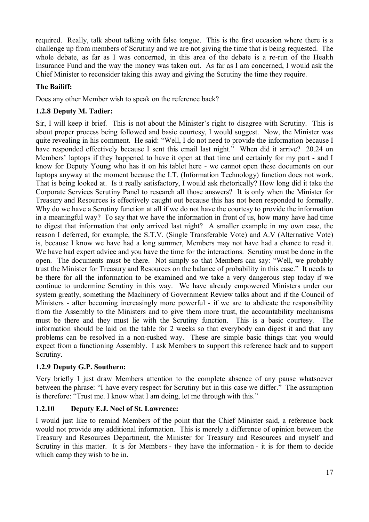required. Really, talk about talking with false tongue. This is the first occasion where there is a challenge up from members of Scrutiny and we are not giving the time that is being requested. The whole debate, as far as I was concerned, in this area of the debate is a re-run of the Health Insurance Fund and the way the money was taken out. As far as I am concerned, I would ask the Chief Minister to reconsider taking this away and giving the Scrutiny the time they require.

### **The Bailiff:**

Does any other Member wish to speak on the reference back?

# **1.2.8 Deputy M. Tadier:**

Sir, I will keep it brief. This is not about the Minister's right to disagree with Scrutiny. This is about proper process being followed and basic courtesy, I would suggest. Now, the Minister was quite revealing in his comment. He said: "Well, I do not need to provide the information because I have responded effectively because I sent this email last night." When did it arrive? 20.24 on Members' laptops if they happened to have it open at that time and certainly for my part - and I know for Deputy Young who has it on his tablet here - we cannot open these documents on our laptops anyway at the moment because the I.T. (Information Technology) function does not work. That is being looked at. Is it really satisfactory, I would ask rhetorically? How long did it take the Corporate Services Scrutiny Panel to research all those answers? It is only when the Minister for Treasury and Resources is effectively caught out because this has not been responded to formally. Why do we have a Scrutiny function at all if we do not have the courtesy to provide the information in a meaningful way? To say that we have the information in front of us, how many have had time to digest that information that only arrived last night? A smaller example in my own case, the reason I deferred, for example, the S.T.V. (Single Transferable Vote) and A.V (Alternative Vote) is, because I know we have had a long summer, Members may not have had a chance to read it. We have had expert advice and you have the time for the interactions. Scrutiny must be done in the open. The documents must be there. Not simply so that Members can say: "Well, we probably trust the Minister for Treasury and Resources on the balance of probability in this case." It needs to be there for all the information to be examined and we take a very dangerous step today if we continue to undermine Scrutiny in this way. We have already empowered Ministers under our system greatly, something the Machinery of Government Review talks about and if the Council of Ministers - after becoming increasingly more powerful - if we are to abdicate the responsibility from the Assembly to the Ministers and to give them more trust, the accountability mechanisms must be there and they must lie with the Scrutiny function. This is a basic courtesy. The information should be laid on the table for 2 weeks so that everybody can digest it and that any problems can be resolved in a non-rushed way. These are simple basic things that you would expect from a functioning Assembly. I ask Members to support this reference back and to support Scrutiny.

# **1.2.9 Deputy G.P. Southern:**

Very briefly I just draw Members attention to the complete absence of any pause whatsoever between the phrase: "I have every respect for Scrutiny but in this case we differ." The assumption is therefore: "Trust me. I know what I am doing, let me through with this."

# **1.2.10 Deputy E.J. Noel of St. Lawrence:**

I would just like to remind Members of the point that the Chief Minister said, a reference back would not provide any additional information. This is merely a difference of opinion between the Treasury and Resources Department, the Minister for Treasury and Resources and myself and Scrutiny in this matter. It is for Members - they have the information - it is for them to decide which camp they wish to be in.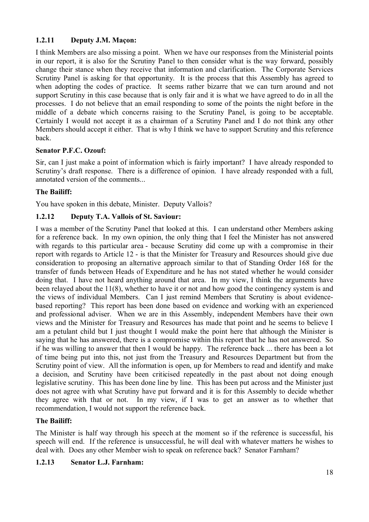# **1.2.11 Deputy J.M. Maçon:**

I think Members are also missing a point. When we have our responses from the Ministerial points in our report, it is also for the Scrutiny Panel to then consider what is the way forward, possibly change their stance when they receive that information and clarification. The Corporate Services Scrutiny Panel is asking for that opportunity. It is the process that this Assembly has agreed to when adopting the codes of practice. It seems rather bizarre that we can turn around and not support Scrutiny in this case because that is only fair and it is what we have agreed to do in all the processes. I do not believe that an email responding to some of the points the night before in the middle of a debate which concerns raising to the Scrutiny Panel, is going to be acceptable. Certainly I would not accept it as a chairman of a Scrutiny Panel and I do not think any other Members should accept it either. That is why I think we have to support Scrutiny and this reference back.

# **Senator P.F.C. Ozouf:**

Sir, can I just make a point of information which is fairly important? I have already responded to Scrutiny's draft response. There is a difference of opinion. I have already responded with a full, annotated version of the comments...

# **The Bailiff:**

You have spoken in this debate, Minister. Deputy Vallois?

# **1.2.12 Deputy T.A. Vallois of St. Saviour:**

I was a member of the Scrutiny Panel that looked at this. I can understand other Members asking for a reference back. In my own opinion, the only thing that I feel the Minister has not answered with regards to this particular area - because Scrutiny did come up with a compromise in their report with regards to Article 12 - is that the Minister for Treasury and Resources should give due consideration to proposing an alternative approach similar to that of Standing Order 168 for the transfer of funds between Heads of Expenditure and he has not stated whether he would consider doing that. I have not heard anything around that area. In my view, I think the arguments have been relayed about the 11(8), whether to have it or not and how good the contingency system is and the views of individual Members. Can I just remind Members that Scrutiny is about evidencebased reporting? This report has been done based on evidence and working with an experienced and professional adviser. When we are in this Assembly, independent Members have their own views and the Minister for Treasury and Resources has made that point and he seems to believe I am a petulant child but I just thought I would make the point here that although the Minister is saying that he has answered, there is a compromise within this report that he has not answered. So if he was willing to answer that then I would be happy. The reference back ... there has been a lot of time being put into this, not just from the Treasury and Resources Department but from the Scrutiny point of view. All the information is open, up for Members to read and identify and make a decision, and Scrutiny have been criticised repeatedly in the past about not doing enough legislative scrutiny. This has been done line by line. This has been put across and the Minister just does not agree with what Scrutiny have put forward and it is for this Assembly to decide whether they agree with that or not. In my view, if I was to get an answer as to whether that recommendation, I would not support the reference back.

# **The Bailiff:**

The Minister is half way through his speech at the moment so if the reference is successful, his speech will end. If the reference is unsuccessful, he will deal with whatever matters he wishes to deal with. Does any other Member wish to speak on reference back? Senator Farnham?

# **1.2.13 Senator L.J. Farnham:**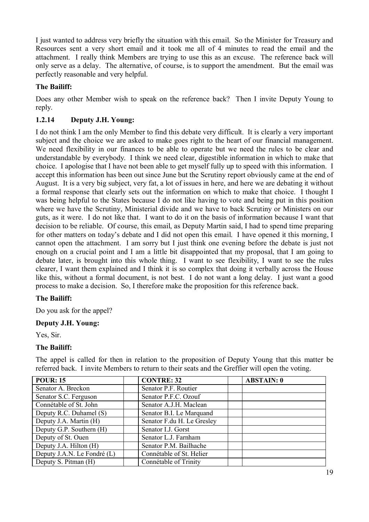I just wanted to address very briefly the situation with this email. So the Minister for Treasury and Resources sent a very short email and it took me all of 4 minutes to read the email and the attachment. I really think Members are trying to use this as an excuse. The reference back will only serve as a delay. The alternative, of course, is to support the amendment. But the email was perfectly reasonable and very helpful.

### **The Bailiff:**

Does any other Member wish to speak on the reference back? Then I invite Deputy Young to reply.

### **1.2.14 Deputy J.H. Young:**

I do not think I am the only Member to find this debate very difficult. It is clearly a very important subject and the choice we are asked to make goes right to the heart of our financial management. We need flexibility in our finances to be able to operate but we need the rules to be clear and understandable by everybody. I think we need clear, digestible information in which to make that choice. I apologise that I have not been able to get myself fully up to speed with this information. I accept this information has been out since June but the Scrutiny report obviously came at the end of August. It is a very big subject, very fat, a lot of issues in here, and here we are debating it without a formal response that clearly sets out the information on which to make that choice. I thought I was being helpful to the States because I do not like having to vote and being put in this position where we have the Scrutiny, Ministerial divide and we have to back Scrutiny or Ministers on our guts, as it were. I do not like that. I want to do it on the basis of information because I want that decision to be reliable. Of course, this email, as Deputy Martin said, I had to spend time preparing for other matters on today's debate and I did not open this email. I have opened it this morning, I cannot open the attachment. I am sorry but I just think one evening before the debate is just not enough on a crucial point and I am a little bit disappointed that my proposal, that I am going to debate later, is brought into this whole thing. I want to see flexibility, I want to see the rules clearer, I want them explained and I think it is so complex that doing it verbally across the House like this, without a formal document, is not best. I do not want a long delay. I just want a good process to make a decision. So, I therefore make the proposition for this reference back.

### **The Bailiff:**

Do you ask for the appel?

### **Deputy J.H. Young:**

Yes, Sir.

### **The Bailiff:**

The appel is called for then in relation to the proposition of Deputy Young that this matter be referred back. I invite Members to return to their seats and the Greffier will open the voting.

| <b>POUR: 15</b>             | <b>CONTRE: 32</b>          | <b>ABSTAIN: 0</b> |
|-----------------------------|----------------------------|-------------------|
| Senator A. Breckon          | Senator P.F. Routier       |                   |
| Senator S.C. Ferguson       | Senator P.F.C. Ozouf       |                   |
| Connétable of St. John      | Senator A.J.H. Maclean     |                   |
| Deputy R.C. Duhamel (S)     | Senator B.I. Le Marquand   |                   |
| Deputy J.A. Martin (H)      | Senator F.du H. Le Gresley |                   |
| Deputy G.P. Southern (H)    | Senator I.J. Gorst         |                   |
| Deputy of St. Ouen          | Senator L.J. Farnham       |                   |
| Deputy J.A. Hilton (H)      | Senator P.M. Bailhache     |                   |
| Deputy J.A.N. Le Fondré (L) | Connétable of St. Helier   |                   |
| Deputy S. Pitman (H)        | Connétable of Trinity      |                   |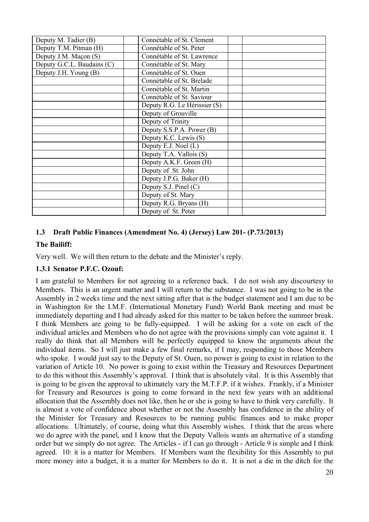| Deputy M. Tadier (B)       | Connétable of St. Clement    |  |
|----------------------------|------------------------------|--|
| Deputy T.M. Pitman (H)     | Connétable of St. Peter      |  |
| Deputy J.M. Maçon (S)      | Connétable of St. Lawrence   |  |
| Deputy G.C.L. Baudains (C) | Connétable of St. Mary       |  |
| Deputy J.H. Young (B)      | Connétable of St. Ouen       |  |
|                            | Connétable of St. Brelade    |  |
|                            | Connétable of St. Martin     |  |
|                            | Connétable of St. Saviour    |  |
|                            | Deputy R.G. Le Hérissier (S) |  |
|                            | Deputy of Grouville          |  |
|                            | Deputy of Trinity            |  |
|                            | Deputy S.S.P.A. Power (B)    |  |
|                            | Deputy K.C. Lewis (S)        |  |
|                            | Deputy E.J. Noel (L)         |  |
|                            | Deputy T.A. Vallois (S)      |  |
|                            | Deputy A.K.F. Green (H)      |  |
|                            | Deputy of St. John           |  |
|                            | Deputy J.P.G. Baker (H)      |  |
|                            | Deputy S.J. Pinel $(C)$      |  |
|                            | Deputy of St. Mary           |  |
|                            | Deputy R.G. Bryans (H)       |  |
|                            | Deputy of St. Peter          |  |

### **1.3 Draft Public Finances (Amendment No. 4) (Jersey) Law 201- (P.73/2013)**

### **The Bailiff:**

Very well. We will then return to the debate and the Minister's reply.

### **1.3.1 Senator P.F.C. Ozouf:**

I am grateful to Members for not agreeing to a reference back. I do not wish any discourtesy to Members. This is an urgent matter and I will return to the substance. I was not going to be in the Assembly in 2 weeks time and the next sitting after that is the budget statement and I am due to be in Washington for the I.M.F. (International Monetary Fund) World Bank meeting and must be immediately departing and I had already asked for this matter to be taken before the summer break. I think Members are going to be fully-equipped. I will be asking for a vote on each of the individual articles and Members who do not agree with the provisions simply can vote against it. I really do think that all Members will be perfectly equipped to know the arguments about the individual items. So I will just make a few final remarks, if I may, responding to those Members who spoke. I would just say to the Deputy of St. Ouen, no power is going to exist in relation to the variation of Article 10. No power is going to exist within the Treasury and Resources Department to do this without this Assembly's approval. I think that is absolutely vital. It is this Assembly that is going to be given the approval to ultimately vary the M.T.F.P. if it wishes. Frankly, if a Minister for Treasury and Resources is going to come forward in the next few years with an additional allocation that the Assembly does not like, then he or she is going to have to think very carefully. It is almost a vote of confidence about whether or not the Assembly has confidence in the ability of the Minister for Treasury and Resources to be running public finances and to make proper allocations. Ultimately, of course, doing what this Assembly wishes. I think that the areas where we do agree with the panel, and I know that the Deputy Vallois wants an alternative of a standing order but we simply do not agree. The Articles - if I can go through - Article 9 is simple and I think agreed. 10: it is a matter for Members. If Members want the flexibility for this Assembly to put more money into a budget, it is a matter for Members to do it. It is not a die in the ditch for the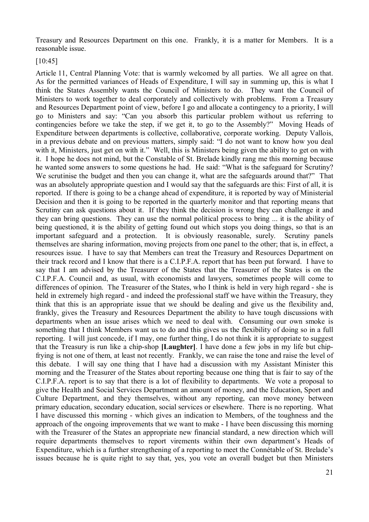Treasury and Resources Department on this one. Frankly, it is a matter for Members. It is a reasonable issue.

[10:45]

Article 11, Central Planning Vote: that is warmly welcomed by all parties. We all agree on that. As for the permitted variances of Heads of Expenditure, I will say in summing up, this is what I think the States Assembly wants the Council of Ministers to do. They want the Council of Ministers to work together to deal corporately and collectively with problems. From a Treasury and Resources Department point of view, before I go and allocate a contingency to a priority, I will go to Ministers and say: "Can you absorb this particular problem without us referring to contingencies before we take the step, if we get it, to go to the Assembly?" Moving Heads of Expenditure between departments is collective, collaborative, corporate working. Deputy Vallois, in a previous debate and on previous matters, simply said: "I do not want to know how you deal with it, Ministers, just get on with it." Well, this is Ministers being given the ability to get on with it. I hope he does not mind, but the Constable of St. Brelade kindly rang me this morning because he wanted some answers to some questions he had. He said: "What is the safeguard for Scrutiny? We scrutinise the budget and then you can change it, what are the safeguards around that?" That was an absolutely appropriate question and I would say that the safeguards are this: First of all, it is reported. If there is going to be a change ahead of expenditure, it is reported by way of Ministerial Decision and then it is going to be reported in the quarterly monitor and that reporting means that Scrutiny can ask questions about it. If they think the decision is wrong they can challenge it and they can bring questions. They can use the normal political process to bring ... it is the ability of being questioned, it is the ability of getting found out which stops you doing things, so that is an important safeguard and a protection. It is obviously reasonable, surely. Scrutiny panels themselves are sharing information, moving projects from one panel to the other; that is, in effect, a resources issue. I have to say that Members can treat the Treasury and Resources Department on their track record and I know that there is a C.I.P.F.A. report that has been put forward. I have to say that I am advised by the Treasurer of the States that the Treasurer of the States is on the C.I.P.F.A. Council and, as usual, with economists and lawyers, sometimes people will come to differences of opinion. The Treasurer of the States, who I think is held in very high regard - she is held in extremely high regard - and indeed the professional staff we have within the Treasury, they think that this is an appropriate issue that we should be dealing and give us the flexibility and, frankly, gives the Treasury and Resources Department the ability to have tough discussions with departments when an issue arises which we need to deal with. Consuming our own smoke is something that I think Members want us to do and this gives us the flexibility of doing so in a full reporting. I will just concede, if I may, one further thing, I do not think it is appropriate to suggest that the Treasury is run like a chip-shop **[Laughter]**. I have done a few jobs in my life but chipfrying is not one of them, at least not recently. Frankly, we can raise the tone and raise the level of this debate. I will say one thing that I have had a discussion with my Assistant Minister this morning and the Treasurer of the States about reporting because one thing that is fair to say of the C.I.P.F.A. report is to say that there is a lot of flexibility to departments. We vote a proposal to give the Health and Social Services Department an amount of money, and the Education, Sport and Culture Department, and they themselves, without any reporting, can move money between primary education, secondary education, social services or elsewhere. There is no reporting. What I have discussed this morning - which gives an indication to Members, of the toughness and the approach of the ongoing improvements that we want to make - I have been discussing this morning with the Treasurer of the States an appropriate new financial standard, a new direction which will require departments themselves to report virements within their own department's Heads of Expenditure, which is a further strengthening of a reporting to meet the Connétable of St. Brelade's issues because he is quite right to say that, yes, you vote an overall budget but then Ministers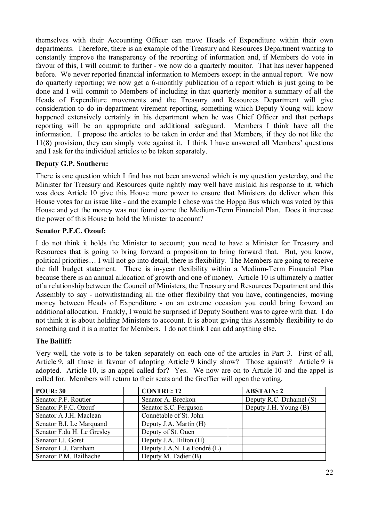themselves with their Accounting Officer can move Heads of Expenditure within their own departments. Therefore, there is an example of the Treasury and Resources Department wanting to constantly improve the transparency of the reporting of information and, if Members do vote in favour of this, I will commit to further - we now do a quarterly monitor. That has never happened before. We never reported financial information to Members except in the annual report. We now do quarterly reporting; we now get a 6-monthly publication of a report which is just going to be done and I will commit to Members of including in that quarterly monitor a summary of all the Heads of Expenditure movements and the Treasury and Resources Department will give consideration to do in-department virement reporting, something which Deputy Young will know happened extensively certainly in his department when he was Chief Officer and that perhaps reporting will be an appropriate and additional safeguard. Members I think have all the information. I propose the articles to be taken in order and that Members, if they do not like the 11(8) provision, they can simply vote against it. I think I have answered all Members' questions and I ask for the individual articles to be taken separately.

### **Deputy G.P. Southern:**

There is one question which I find has not been answered which is my question yesterday, and the Minister for Treasury and Resources quite rightly may well have mislaid his response to it, which was does Article 10 give this House more power to ensure that Ministers do deliver when this House votes for an issue like - and the example I chose was the Hoppa Bus which was voted by this House and yet the money was not found come the Medium-Term Financial Plan. Does it increase the power of this House to hold the Minister to account?

### **Senator P.F.C. Ozouf:**

I do not think it holds the Minister to account; you need to have a Minister for Treasury and Resources that is going to bring forward a proposition to bring forward that. But, you know, political priorities… I will not go into detail, there is flexibility. The Members are going to receive the full budget statement. There is in-year flexibility within a Medium-Term Financial Plan because there is an annual allocation of growth and one of money. Article 10 is ultimately a matter of a relationship between the Council of Ministers, the Treasury and Resources Department and this Assembly to say - notwithstanding all the other flexibility that you have, contingencies, moving money between Heads of Expenditure - on an extreme occasion you could bring forward an additional allocation. Frankly, I would be surprised if Deputy Southern was to agree with that. I do not think it is about holding Ministers to account. It is about giving this Assembly flexibility to do something and it is a matter for Members. I do not think I can add anything else.

### **The Bailiff:**

Very well, the vote is to be taken separately on each one of the articles in Part 3. First of all, Article 9, all those in favour of adopting Article 9 kindly show? Those against? Article 9 is adopted. Article 10, is an appel called for? Yes. We now are on to Article 10 and the appel is called for. Members will return to their seats and the Greffier will open the voting.

| <b>POUR: 30</b>            | <b>CONTRE: 12</b>           | <b>ABSTAIN: 2</b>       |
|----------------------------|-----------------------------|-------------------------|
| Senator P.F. Routier       | Senator A. Breckon          | Deputy R.C. Duhamel (S) |
| Senator P.F.C. Ozouf       | Senator S.C. Ferguson       | Deputy J.H. Young (B)   |
| Senator A.J.H. Maclean     | Connétable of St. John      |                         |
| Senator B.I. Le Marquand   | Deputy J.A. Martin (H)      |                         |
| Senator F.du H. Le Gresley | Deputy of St. Ouen          |                         |
| Senator I.J. Gorst         | Deputy J.A. Hilton (H)      |                         |
| Senator L.J. Farnham       | Deputy J.A.N. Le Fondré (L) |                         |
| Senator P.M. Bailhache     | Deputy M. Tadier (B)        |                         |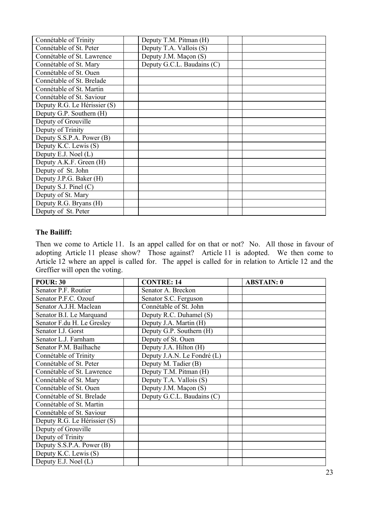| Connétable of Trinity        | Deputy T.M. Pitman (H)     |  |
|------------------------------|----------------------------|--|
| Connétable of St. Peter      | Deputy T.A. Vallois (S)    |  |
| Connétable of St. Lawrence   | Deputy J.M. Maçon (S)      |  |
| Connétable of St. Mary       | Deputy G.C.L. Baudains (C) |  |
| Connétable of St. Ouen       |                            |  |
| Connétable of St. Brelade    |                            |  |
| Connétable of St. Martin     |                            |  |
| Connétable of St. Saviour    |                            |  |
| Deputy R.G. Le Hérissier (S) |                            |  |
| Deputy G.P. Southern (H)     |                            |  |
| Deputy of Grouville          |                            |  |
| Deputy of Trinity            |                            |  |
| Deputy S.S.P.A. Power (B)    |                            |  |
| Deputy K.C. Lewis (S)        |                            |  |
| Deputy E.J. Noel $(L)$       |                            |  |
| Deputy A.K.F. Green (H)      |                            |  |
| Deputy of St. John           |                            |  |
| Deputy J.P.G. Baker (H)      |                            |  |
| Deputy S.J. Pinel $(C)$      |                            |  |
| Deputy of St. Mary           |                            |  |
| Deputy R.G. Bryans (H)       |                            |  |
| Deputy of St. Peter          |                            |  |

#### **The Bailiff:**

Then we come to Article 11. Is an appel called for on that or not? No. All those in favour of adopting Article 11 please show? Those against? Article 11 is adopted. We then come to Article 12 where an appel is called for. The appel is called for in relation to Article 12 and the Greffier will open the voting.

| <b>POUR: 30</b>              | <b>CONTRE: 14</b>           | <b>ABSTAIN: 0</b> |
|------------------------------|-----------------------------|-------------------|
| Senator P.F. Routier         | Senator A. Breckon          |                   |
| Senator P.F.C. Ozouf         | Senator S.C. Ferguson       |                   |
| Senator A.J.H. Maclean       | Connétable of St. John      |                   |
| Senator B.I. Le Marquand     | Deputy R.C. Duhamel (S)     |                   |
| Senator F.du H. Le Gresley   | Deputy J.A. Martin (H)      |                   |
| Senator I.J. Gorst           | Deputy G.P. Southern (H)    |                   |
| Senator L.J. Farnham         | Deputy of St. Ouen          |                   |
| Senator P.M. Bailhache       | Deputy J.A. Hilton (H)      |                   |
| Connétable of Trinity        | Deputy J.A.N. Le Fondré (L) |                   |
| Connétable of St. Peter      | Deputy M. Tadier (B)        |                   |
| Connétable of St. Lawrence   | Deputy T.M. Pitman (H)      |                   |
| Connétable of St. Mary       | Deputy T.A. Vallois (S)     |                   |
| Connétable of St. Ouen       | Deputy J.M. Maçon (S)       |                   |
| Connétable of St. Brelade    | Deputy G.C.L. Baudains (C)  |                   |
| Connétable of St. Martin     |                             |                   |
| Connétable of St. Saviour    |                             |                   |
| Deputy R.G. Le Hérissier (S) |                             |                   |
| Deputy of Grouville          |                             |                   |
| Deputy of Trinity            |                             |                   |
| Deputy S.S.P.A. Power (B)    |                             |                   |
| Deputy K.C. Lewis (S)        |                             |                   |
| Deputy E.J. Noel (L)         |                             |                   |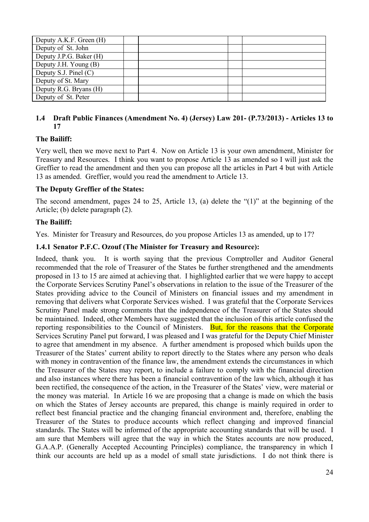| Deputy A.K.F. Green (H) |  |  |
|-------------------------|--|--|
| Deputy of St. John      |  |  |
| Deputy J.P.G. Baker (H) |  |  |
| Deputy J.H. Young (B)   |  |  |
| Deputy S.J. Pinel $(C)$ |  |  |
| Deputy of St. Mary      |  |  |
| Deputy R.G. Bryans (H)  |  |  |
| Deputy of St. Peter     |  |  |

### **1.4 Draft Public Finances (Amendment No. 4) (Jersey) Law 201- (P.73/2013) - Articles 13 to 17**

# **The Bailiff:**

Very well, then we move next to Part 4. Now on Article 13 is your own amendment, Minister for Treasury and Resources. I think you want to propose Article 13 as amended so I will just ask the Greffier to read the amendment and then you can propose all the articles in Part 4 but with Article 13 as amended. Greffier, would you read the amendment to Article 13.

### **The Deputy Greffier of the States:**

The second amendment, pages 24 to 25, Article 13, (a) delete the "(1)" at the beginning of the Article; (b) delete paragraph (2).

#### **The Bailiff:**

Yes. Minister for Treasury and Resources, do you propose Articles 13 as amended, up to 17?

#### **1.4.1 Senator P.F.C. Ozouf (The Minister for Treasury and Resource):**

Indeed, thank you. It is worth saying that the previous Comptroller and Auditor General recommended that the role of Treasurer of the States be further strengthened and the amendments proposed in 13 to 15 are aimed at achieving that. I highlighted earlier that we were happy to accept the Corporate Services Scrutiny Panel's observations in relation to the issue of the Treasurer of the States providing advice to the Council of Ministers on financial issues and my amendment in removing that delivers what Corporate Services wished. I was grateful that the Corporate Services Scrutiny Panel made strong comments that the independence of the Treasurer of the States should be maintained. Indeed, other Members have suggested that the inclusion of this article confused the reporting responsibilities to the Council of Ministers. But, for the reasons that the Corporate Services Scrutiny Panel put forward, I was pleased and I was grateful for the Deputy Chief Minister to agree that amendment in my absence. A further amendment is proposed which builds upon the Treasurer of the States' current ability to report directly to the States where any person who deals with money in contravention of the finance law, the amendment extends the circumstances in which the Treasurer of the States may report, to include a failure to comply with the financial direction and also instances where there has been a financial contravention of the law which, although it has been rectified, the consequence of the action, in the Treasurer of the States' view, were material or the money was material. In Article 16 we are proposing that a change is made on which the basis on which the States of Jersey accounts are prepared, this change is mainly required in order to reflect best financial practice and the changing financial environment and, therefore, enabling the Treasurer of the States to produce accounts which reflect changing and improved financial standards. The States will be informed of the appropriate accounting standards that will be used. I am sure that Members will agree that the way in which the States accounts are now produced, G.A.A.P. (Generally Accepted Accounting Principles) compliance, the transparency in which I think our accounts are held up as a model of small state jurisdictions. I do not think there is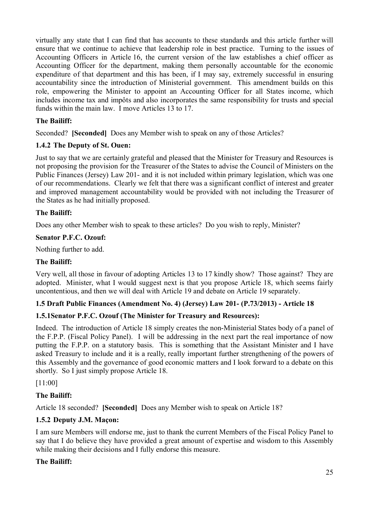virtually any state that I can find that has accounts to these standards and this article further will ensure that we continue to achieve that leadership role in best practice. Turning to the issues of Accounting Officers in Article 16, the current version of the law establishes a chief officer as Accounting Officer for the department, making them personally accountable for the economic expenditure of that department and this has been, if I may say, extremely successful in ensuring accountability since the introduction of Ministerial government. This amendment builds on this role, empowering the Minister to appoint an Accounting Officer for all States income, which includes income tax and impôts and also incorporates the same responsibility for trusts and special funds within the main law. I move Articles 13 to 17.

# **The Bailiff:**

Seconded? **[Seconded]** Does any Member wish to speak on any of those Articles?

# **1.4.2 The Deputy of St. Ouen:**

Just to say that we are certainly grateful and pleased that the Minister for Treasury and Resources is not proposing the provision for the Treasurer of the States to advise the Council of Ministers on the Public Finances (Jersey) Law 201- and it is not included within primary legislation, which was one of our recommendations. Clearly we felt that there was a significant conflict of interest and greater and improved management accountability would be provided with not including the Treasurer of the States as he had initially proposed.

# **The Bailiff:**

Does any other Member wish to speak to these articles? Do you wish to reply, Minister?

# **Senator P.F.C. Ozouf:**

Nothing further to add.

# **The Bailiff:**

Very well, all those in favour of adopting Articles 13 to 17 kindly show? Those against? They are adopted. Minister, what I would suggest next is that you propose Article 18, which seems fairly uncontentious, and then we will deal with Article 19 and debate on Article 19 separately.

# **1.5 Draft Public Finances (Amendment No. 4) (Jersey) Law 201- (P.73/2013) - Article 18**

# **1.5.1Senator P.F.C. Ozouf (The Minister for Treasury and Resources):**

Indeed. The introduction of Article 18 simply creates the non-Ministerial States body of a panel of the F.P.P. (Fiscal Policy Panel). I will be addressing in the next part the real importance of now putting the F.P.P. on a statutory basis. This is something that the Assistant Minister and I have asked Treasury to include and it is a really, really important further strengthening of the powers of this Assembly and the governance of good economic matters and I look forward to a debate on this shortly. So I just simply propose Article 18.

[11:00]

# **The Bailiff:**

Article 18 seconded? **[Seconded]** Does any Member wish to speak on Article 18?

# **1.5.2 Deputy J.M. Maçon:**

I am sure Members will endorse me, just to thank the current Members of the Fiscal Policy Panel to say that I do believe they have provided a great amount of expertise and wisdom to this Assembly while making their decisions and I fully endorse this measure.

# **The Bailiff:**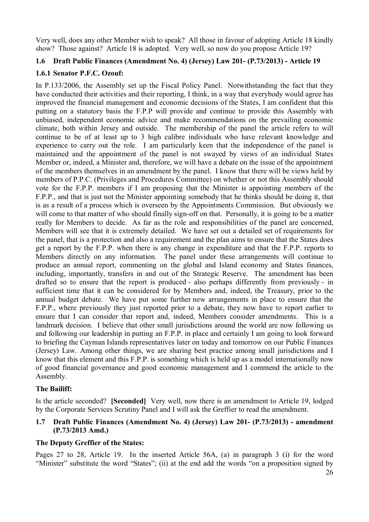Very well, does any other Member wish to speak? All those in favour of adopting Article 18 kindly show? Those against? Article 18 is adopted. Very well, so now do you propose Article 19?

### **1.6 Draft Public Finances (Amendment No. 4) (Jersey) Law 201- (P.73/2013) - Article 19**

### **1.6.1 Senator P.F.C. Ozouf:**

In P.133/2006, the Assembly set up the Fiscal Policy Panel. Notwithstanding the fact that they have conducted their activities and their reporting, I think, in a way that everybody would agree has improved the financial management and economic decisions of the States, I am confident that this putting on a statutory basis the F.P.P will provide and continue to provide this Assembly with unbiased, independent economic advice and make recommendations on the prevailing economic climate, both within Jersey and outside. The membership of the panel the article refers to will continue to be of at least up to 3 high calibre individuals who have relevant knowledge and experience to carry out the role. I am particularly keen that the independence of the panel is maintained and the appointment of the panel is not swayed by views of an individual States Member or, indeed, a Minister and, therefore, we will have a debate on the issue of the appointment of the members themselves in an amendment by the panel. I know that there will be views held by members of P.P.C. (Privileges and Procedures Committee) on whether or not this Assembly should vote for the F.P.P. members if I am proposing that the Minister is appointing members of the F.P.P., and that is just not the Minister appointing somebody that he thinks should be doing it, that is as a result of a process which is overseen by the Appointments Commission. But obviously we will come to that matter of who should finally sign-off on that. Personally, it is going to be a matter really for Members to decide. As far as the role and responsibilities of the panel are concerned, Members will see that it is extremely detailed. We have set out a detailed set of requirements for the panel, that is a protection and also a requirement and the plan aims to ensure that the States does get a report by the F.P.P. when there is any change in expenditure and that the F.P.P. reports to Members directly on any information. The panel under these arrangements will continue to produce an annual report, commenting on the global and Island economy and States finances, including, importantly, transfers in and out of the Strategic Reserve. The amendment has been drafted so to ensure that the report is produced - also perhaps differently from previously - in sufficient time that it can be considered for by Members and, indeed, the Treasury, prior to the annual budget debate. We have put some further new arrangements in place to ensure that the F.P.P., where previously they just reported prior to a debate, they now have to report earlier to ensure that I can consider that report and, indeed, Members consider amendments. This is a landmark decision. I believe that other small jurisdictions around the world are now following us and following our leadership in putting an F.P.P. in place and certainly I am going to look forward to briefing the Cayman Islands representatives later on today and tomorrow on our Public Finances (Jersey) Law. Among other things, we are sharing best practice among small jurisdictions and I know that this element and this F.P.P. is something which is held up as a model internationally now of good financial governance and good economic management and I commend the article to the Assembly.

# **The Bailiff:**

Is the article seconded? **[Seconded]** Very well, now there is an amendment to Article 19, lodged by the Corporate Services Scrutiny Panel and I will ask the Greffier to read the amendment.

### **1.7 Draft Public Finances (Amendment No. 4) (Jersey) Law 201- (P.73/2013) - amendment (P.73/2013 Amd.)**

### **The Deputy Greffier of the States:**

Pages 27 to 28, Article 19. In the inserted Article 56A, (a) in paragraph 3 (i) for the word "Minister" substitute the word "States"; (ii) at the end add the words "on a proposition signed by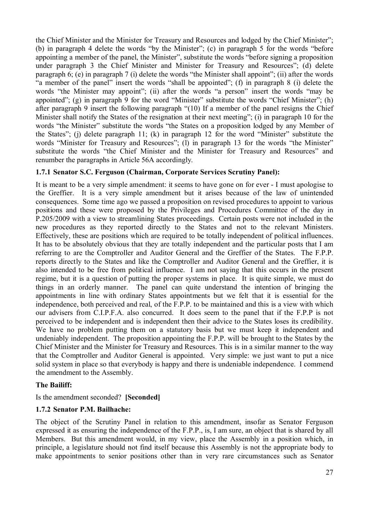the Chief Minister and the Minister for Treasury and Resources and lodged by the Chief Minister"; (b) in paragraph 4 delete the words "by the Minister"; (c) in paragraph 5 for the words "before appointing a member of the panel, the Minister", substitute the words "before signing a proposition under paragraph 3 the Chief Minister and Minister for Treasury and Resources"; (d) delete paragraph 6; (e) in paragraph 7 (i) delete the words "the Minister shall appoint"; (ii) after the words "a member of the panel" insert the words "shall be appointed"; (f) in paragraph 8 (i) delete the words "the Minister may appoint"; (ii) after the words "a person" insert the words "may be appointed"; (g) in paragraph 9 for the word "Minister" substitute the words "Chief Minister"; (h) after paragraph 9 insert the following paragraph "(10) If a member of the panel resigns the Chief Minister shall notify the States of the resignation at their next meeting"; (i) in paragraph 10 for the words "the Minister" substitute the words "the States on a proposition lodged by any Member of the States"; (j) delete paragraph 11; (k) in paragraph 12 for the word "Minister" substitute the words "Minister for Treasury and Resources"; (I) in paragraph 13 for the words "the Minister" substitute the words "the Chief Minister and the Minister for Treasury and Resources" and renumber the paragraphs in Article 56A accordingly.

### **1.7.1 Senator S.C. Ferguson (Chairman, Corporate Services Scrutiny Panel):**

It is meant to be a very simple amendment: it seems to have gone on for ever - I must apologise to the Greffier. It is a very simple amendment but it arises because of the law of unintended consequences. Some time ago we passed a proposition on revised procedures to appoint to various positions and these were proposed by the Privileges and Procedures Committee of the day in P.205/2009 with a view to streamlining States proceedings. Certain posts were not included in the new procedures as they reported directly to the States and not to the relevant Ministers. Effectively, these are positions which are required to be totally independent of political influences. It has to be absolutely obvious that they are totally independent and the particular posts that I am referring to are the Comptroller and Auditor General and the Greffier of the States. The F.P.P. reports directly to the States and like the Comptroller and Auditor General and the Greffier, it is also intended to be free from political influence. I am not saying that this occurs in the present regime, but it is a question of putting the proper systems in place. It is quite simple, we must do things in an orderly manner. The panel can quite understand the intention of bringing the appointments in line with ordinary States appointments but we felt that it is essential for the independence, both perceived and real, of the F.P.P. to be maintained and this is a view with which our advisers from C.I.P.F.A. also concurred. It does seem to the panel that if the F.P.P is not perceived to be independent and is independent then their advice to the States loses its credibility. We have no problem putting them on a statutory basis but we must keep it independent and undeniably independent. The proposition appointing the F.P.P. will be brought to the States by the Chief Minister and the Minister for Treasury and Resources. This is in a similar manner to the way that the Comptroller and Auditor General is appointed. Very simple: we just want to put a nice solid system in place so that everybody is happy and there is undeniable independence. I commend the amendment to the Assembly.

#### **The Bailiff:**

Is the amendment seconded? **[Seconded]**

#### **1.7.2 Senator P.M. Bailhache:**

The object of the Scrutiny Panel in relation to this amendment, insofar as Senator Ferguson expressed it as ensuring the independence of the F.P.P., is, I am sure, an object that is shared by all Members. But this amendment would, in my view, place the Assembly in a position which, in principle, a legislature should not find itself because this Assembly is not the appropriate body to make appointments to senior positions other than in very rare circumstances such as Senator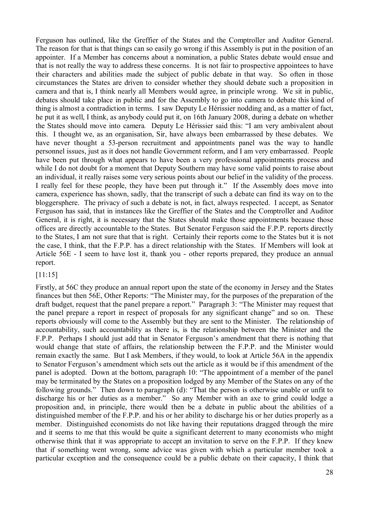Ferguson has outlined, like the Greffier of the States and the Comptroller and Auditor General. The reason for that is that things can so easily go wrong if this Assembly is put in the position of an appointer. If a Member has concerns about a nomination, a public States debate would ensue and that is not really the way to address these concerns. It is not fair to prospective appointees to have their characters and abilities made the subject of public debate in that way. So often in those circumstances the States are driven to consider whether they should debate such a proposition in camera and that is, I think nearly all Members would agree, in principle wrong. We sit in public, debates should take place in public and for the Assembly to go into camera to debate this kind of thing is almost a contradiction in terms. I saw Deputy Le Hérissier nodding and, as a matter of fact, he put it as well, I think, as anybody could put it, on 16th January 2008, during a debate on whether the States should move into camera*.* Deputy Le Hérissier said this: "I am very ambivalent about this. I thought we, as an organisation, Sir, have always been embarrassed by these debates. We have never thought a 53-person recruitment and appointments panel was the way to handle personnel issues, just as it does not handle Government reform, and I am very embarrassed. People have been put through what appears to have been a very professional appointments process and while I do not doubt for a moment that Deputy Southern may have some valid points to raise about an individual, it really raises some very serious points about our belief in the validity of the process. I really feel for these people, they have been put through it." If the Assembly does move into camera, experience has shown, sadly, that the transcript of such a debate can find its way on to the bloggersphere. The privacy of such a debate is not, in fact, always respected. I accept, as Senator Ferguson has said, that in instances like the Greffier of the States and the Comptroller and Auditor General, it is right, it is necessary that the States should make those appointments because those offices are directly accountable to the States. But Senator Ferguson said the F.P.P. reports directly to the States, I am not sure that that is right. Certainly their reports come to the States but it is not the case, I think, that the F.P.P. has a direct relationship with the States. If Members will look at Article 56E - I seem to have lost it, thank you - other reports prepared, they produce an annual report.

[11:15]

Firstly, at 56C they produce an annual report upon the state of the economy in Jersey and the States finances but then 56E, Other Reports: "The Minister may, for the purposes of the preparation of the draft budget, request that the panel prepare a report." Paragraph 3: "The Minister may request that the panel prepare a report in respect of proposals for any significant change" and so on. These reports obviously will come to the Assembly but they are sent to the Minister. The relationship of accountability, such accountability as there is, is the relationship between the Minister and the F.P.P. Perhaps I should just add that in Senator Ferguson's amendment that there is nothing that would change that state of affairs, the relationship between the F.P.P. and the Minister would remain exactly the same. But I ask Members, if they would, to look at Article 56A in the appendix to Senator Ferguson's amendment which sets out the article as it would be if this amendment of the panel is adopted. Down at the bottom, paragraph 10: "The appointment of a member of the panel may be terminated by the States on a proposition lodged by any Member of the States on any of the following grounds." Then down to paragraph (d): "That the person is otherwise unable or unfit to discharge his or her duties as a member." So any Member with an axe to grind could lodge a proposition and, in principle, there would then be a debate in public about the abilities of a distinguished member of the F.P.P. and his or her ability to discharge his or her duties properly as a member. Distinguished economists do not like having their reputations dragged through the mire and it seems to me that this would be quite a significant deterrent to many economists who might otherwise think that it was appropriate to accept an invitation to serve on the F.P.P. If they knew that if something went wrong, some advice was given with which a particular member took a particular exception and the consequence could be a public debate on their capacity, I think that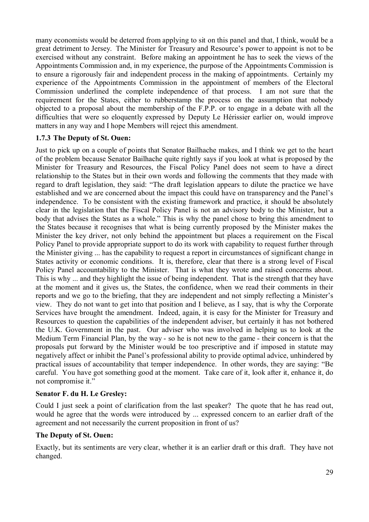many economists would be deterred from applying to sit on this panel and that, I think, would be a great detriment to Jersey. The Minister for Treasury and Resource's power to appoint is not to be exercised without any constraint. Before making an appointment he has to seek the views of the Appointments Commission and, in my experience, the purpose of the Appointments Commission is to ensure a rigorously fair and independent process in the making of appointments. Certainly my experience of the Appointments Commission in the appointment of members of the Electoral Commission underlined the complete independence of that process. I am not sure that the requirement for the States, either to rubberstamp the process on the assumption that nobody objected to a proposal about the membership of the F.P.P. or to engage in a debate with all the difficulties that were so eloquently expressed by Deputy Le Hérissier earlier on, would improve matters in any way and I hope Members will reject this amendment.

### **1.7.3 The Deputy of St. Ouen:**

Just to pick up on a couple of points that Senator Bailhache makes, and I think we get to the heart of the problem because Senator Bailhache quite rightly says if you look at what is proposed by the Minister for Treasury and Resources, the Fiscal Policy Panel does not seem to have a direct relationship to the States but in their own words and following the comments that they made with regard to draft legislation, they said: "The draft legislation appears to dilute the practice we have established and we are concerned about the impact this could have on transparency and the Panel's independence. To be consistent with the existing framework and practice, it should be absolutely clear in the legislation that the Fiscal Policy Panel is not an advisory body to the Minister, but a body that advises the States as a whole." This is why the panel chose to bring this amendment to the States because it recognises that what is being currently proposed by the Minister makes the Minister the key driver, not only behind the appointment but places a requirement on the Fiscal Policy Panel to provide appropriate support to do its work with capability to request further through the Minister giving ... has the capability to request a report in circumstances of significant change in States activity or economic conditions. It is, therefore, clear that there is a strong level of Fiscal Policy Panel accountability to the Minister. That is what they wrote and raised concerns about. This is why ... and they highlight the issue of being independent. That is the strength that they have at the moment and it gives us, the States, the confidence, when we read their comments in their reports and we go to the briefing, that they are independent and not simply reflecting a Minister's view. They do not want to get into that position and I believe, as I say, that is why the Corporate Services have brought the amendment. Indeed, again, it is easy for the Minister for Treasury and Resources to question the capabilities of the independent adviser, but certainly it has not bothered the U.K. Government in the past. Our adviser who was involved in helping us to look at the Medium Term Financial Plan, by the way - so he is not new to the game - their concern is that the proposals put forward by the Minister would be too prescriptive and if imposed in statute may negatively affect or inhibit the Panel's professional ability to provide optimal advice, unhindered by practical issues of accountability that temper independence. In other words, they are saying: "Be careful. You have got something good at the moment. Take care of it, look after it, enhance it, do not compromise it."

### **Senator F. du H. Le Gresley:**

Could I just seek a point of clarification from the last speaker? The quote that he has read out, would he agree that the words were introduced by ... expressed concern to an earlier draft of the agreement and not necessarily the current proposition in front of us?

### **The Deputy of St. Ouen:**

Exactly, but its sentiments are very clear, whether it is an earlier draft or this draft. They have not changed.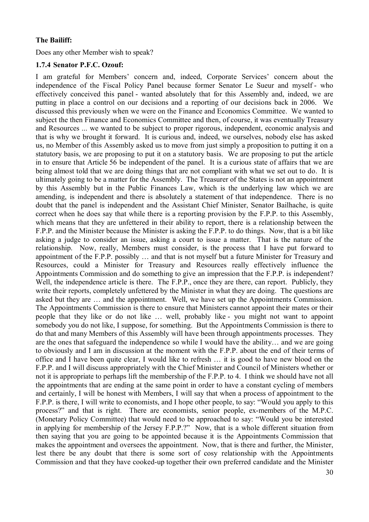#### **The Bailiff:**

Does any other Member wish to speak?

#### **1.7.4 Senator P.F.C. Ozouf:**

I am grateful for Members' concern and, indeed, Corporate Services' concern about the independence of the Fiscal Policy Panel because former Senator Le Sueur and myself - who effectively conceived this panel - wanted absolutely that for this Assembly and, indeed, we are putting in place a control on our decisions and a reporting of our decisions back in 2006. We discussed this previously when we were on the Finance and Economics Committee. We wanted to subject the then Finance and Economics Committee and then, of course, it was eventually Treasury and Resources ... we wanted to be subject to proper rigorous, independent, economic analysis and that is why we brought it forward. It is curious and, indeed, we ourselves, nobody else has asked us, no Member of this Assembly asked us to move from just simply a proposition to putting it on a statutory basis, we are proposing to put it on a statutory basis. We are proposing to put the article in to ensure that Article 56 be independent of the panel. It is a curious state of affairs that we are being almost told that we are doing things that are not compliant with what we set out to do. It is ultimately going to be a matter for the Assembly. The Treasurer of the States is not an appointment by this Assembly but in the Public Finances Law, which is the underlying law which we are amending, is independent and there is absolutely a statement of that independence. There is no doubt that the panel is independent and the Assistant Chief Minister, Senator Bailhache, is quite correct when he does say that while there is a reporting provision by the F.P.P. to this Assembly, which means that they are unfettered in their ability to report, there is a relationship between the F.P.P. and the Minister because the Minister is asking the F.P.P. to do things. Now, that is a bit like asking a judge to consider an issue, asking a court to issue a matter. That is the nature of the relationship. Now, really, Members must consider, is the process that I have put forward to appointment of the F.P.P. possibly … and that is not myself but a future Minister for Treasury and Resources, could a Minister for Treasury and Resources really effectively influence the Appointments Commission and do something to give an impression that the F.P.P. is independent? Well, the independence article is there. The F.P.P., once they are there, can report. Publicly, they write their reports, completely unfettered by the Minister in what they are doing. The questions are asked but they are … and the appointment. Well, we have set up the Appointments Commission. The Appointments Commission is there to ensure that Ministers cannot appoint their mates or their people that they like or do not like … well, probably like - you might not want to appoint somebody you do not like, I suppose, for something. But the Appointments Commission is there to do that and many Members of this Assembly will have been through appointments processes. They are the ones that safeguard the independence so while I would have the ability… and we are going to obviously and I am in discussion at the moment with the F.P.P. about the end of their terms of office and I have been quite clear, I would like to refresh … it is good to have new blood on the F.P.P. and I will discuss appropriately with the Chief Minister and Council of Ministers whether or not it is appropriate to perhaps lift the membership of the F.P.P. to 4. I think we should have not all the appointments that are ending at the same point in order to have a constant cycling of members and certainly, I will be honest with Members, I will say that when a process of appointment to the F.P.P. is there, I will write to economists, and I hope other people, to say: "Would you apply to this process?" and that is right. There are economists, senior people, ex-members of the M.P.C. (Monetary Policy Committee) that would need to be approached to say: "Would you be interested in applying for membership of the Jersey F.P.P.?" Now, that is a whole different situation from then saying that you are going to be appointed because it is the Appointments Commission that makes the appointment and oversees the appointment. Now, that is there and further, the Minister, lest there be any doubt that there is some sort of cosy relationship with the Appointments Commission and that they have cooked-up together their own preferred candidate and the Minister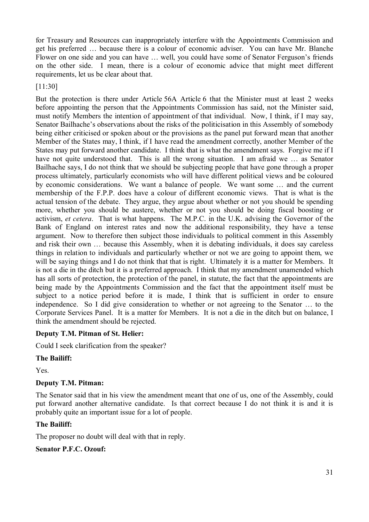for Treasury and Resources can inappropriately interfere with the Appointments Commission and get his preferred … because there is a colour of economic adviser. You can have Mr. Blanche Flower on one side and you can have … well, you could have some of Senator Ferguson's friends on the other side. I mean, there is a colour of economic advice that might meet different requirements, let us be clear about that.

[11:30]

But the protection is there under Article 56A Article 6 that the Minister must at least 2 weeks before appointing the person that the Appointments Commission has said, not the Minister said, must notify Members the intention of appointment of that individual. Now, I think, if I may say, Senator Bailhache's observations about the risks of the politicisation in this Assembly of somebody being either criticised or spoken about or the provisions as the panel put forward mean that another Member of the States may, I think, if I have read the amendment correctly, another Member of the States may put forward another candidate. I think that is what the amendment says. Forgive me if I have not quite understood that. This is all the wrong situation. I am afraid we ... as Senator Bailhache says, I do not think that we should be subjecting people that have gone through a proper process ultimately, particularly economists who will have different political views and be coloured by economic considerations. We want a balance of people. We want some … and the current membership of the F.P.P. does have a colour of different economic views. That is what is the actual tension of the debate. They argue, they argue about whether or not you should be spending more, whether you should be austere, whether or not you should be doing fiscal boosting or activism, *et cetera*. That is what happens. The M.P.C. in the U.K. advising the Governor of the Bank of England on interest rates and now the additional responsibility, they have a tense argument. Now to therefore then subject those individuals to political comment in this Assembly and risk their own … because this Assembly, when it is debating individuals, it does say careless things in relation to individuals and particularly whether or not we are going to appoint them, we will be saying things and I do not think that that is right. Ultimately it is a matter for Members. It is not a die in the ditch but it is a preferred approach. I think that my amendment unamended which has all sorts of protection, the protection of the panel, in statute, the fact that the appointments are being made by the Appointments Commission and the fact that the appointment itself must be subject to a notice period before it is made, I think that is sufficient in order to ensure independence. So I did give consideration to whether or not agreeing to the Senator … to the Corporate Services Panel. It is a matter for Members. It is not a die in the ditch but on balance, I think the amendment should be rejected.

### **Deputy T.M. Pitman of St. Helier:**

Could I seek clarification from the speaker?

### **The Bailiff:**

Yes.

### **Deputy T.M. Pitman:**

The Senator said that in his view the amendment meant that one of us, one of the Assembly, could put forward another alternative candidate. Is that correct because I do not think it is and it is probably quite an important issue for a lot of people.

### **The Bailiff:**

The proposer no doubt will deal with that in reply.

### **Senator P.F.C. Ozouf:**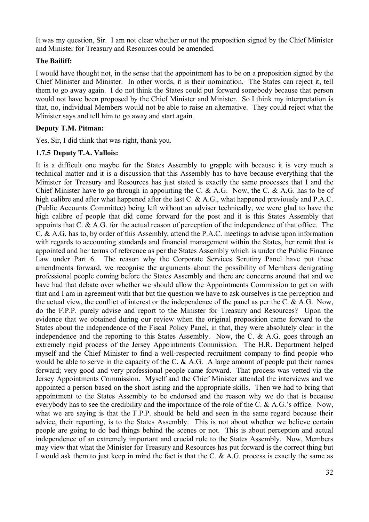It was my question, Sir. I am not clear whether or not the proposition signed by the Chief Minister and Minister for Treasury and Resources could be amended.

### **The Bailiff:**

I would have thought not, in the sense that the appointment has to be on a proposition signed by the Chief Minister and Minister. In other words, it is their nomination. The States can reject it, tell them to go away again. I do not think the States could put forward somebody because that person would not have been proposed by the Chief Minister and Minister. So I think my interpretation is that, no, individual Members would not be able to raise an alternative. They could reject what the Minister says and tell him to go away and start again.

### **Deputy T.M. Pitman:**

Yes, Sir, I did think that was right, thank you.

### **1.7.5 Deputy T.A. Vallois:**

It is a difficult one maybe for the States Assembly to grapple with because it is very much a technical matter and it is a discussion that this Assembly has to have because everything that the Minister for Treasury and Resources has just stated is exactly the same processes that I and the Chief Minister have to go through in appointing the C. & A.G. Now, the C. & A.G. has to be of high calibre and after what happened after the last C. & A.G., what happened previously and P.A.C. (Public Accounts Committee) being left without an adviser technically, we were glad to have the high calibre of people that did come forward for the post and it is this States Assembly that appoints that C. & A.G. for the actual reason of perception of the independence of that office. The C. & A.G. has to, by order of this Assembly, attend the P.A.C. meetings to advise upon information with regards to accounting standards and financial management within the States, her remit that is appointed and her terms of reference as per the States Assembly which is under the Public Finance Law under Part 6. The reason why the Corporate Services Scrutiny Panel have put these amendments forward, we recognise the arguments about the possibility of Members denigrating professional people coming before the States Assembly and there are concerns around that and we have had that debate over whether we should allow the Appointments Commission to get on with that and I am in agreement with that but the question we have to ask ourselves is the perception and the actual view, the conflict of interest or the independence of the panel as per the C.  $\&$  A.G. Now, do the F.P.P. purely advise and report to the Minister for Treasury and Resources? Upon the evidence that we obtained during our review when the original proposition came forward to the States about the independence of the Fiscal Policy Panel, in that, they were absolutely clear in the independence and the reporting to this States Assembly. Now, the C. & A.G. goes through an extremely rigid process of the Jersey Appointments Commission. The H.R. Department helped myself and the Chief Minister to find a well-respected recruitment company to find people who would be able to serve in the capacity of the C.  $\&$  A.G. A large amount of people put their names forward; very good and very professional people came forward. That process was vetted via the Jersey Appointments Commission. Myself and the Chief Minister attended the interviews and we appointed a person based on the short listing and the appropriate skills. Then we had to bring that appointment to the States Assembly to be endorsed and the reason why we do that is because everybody has to see the credibility and the importance of the role of the C. & A.G.'s office. Now, what we are saying is that the F.P.P. should be held and seen in the same regard because their advice, their reporting, is to the States Assembly. This is not about whether we believe certain people are going to do bad things behind the scenes or not. This is about perception and actual independence of an extremely important and crucial role to the States Assembly. Now, Members may view that what the Minister for Treasury and Resources has put forward is the correct thing but I would ask them to just keep in mind the fact is that the C. & A.G. process is exactly the same as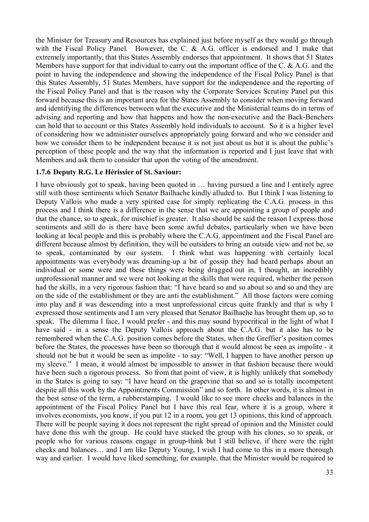the Minister for Treasury and Resources has explained just before myself as they would go through with the Fiscal Policy Panel. However, the C. & A.G. officer is endorsed and I make that extremely importantly, that this States Assembly endorses that appointment. It shows that 51 States Members have support for that individual to carry out the important office of the C. & A.G. and the point in having the independence and showing the independence of the Fiscal Policy Panel is that this States Assembly, 51 States Members, have support for the independence and the reporting of the Fiscal Policy Panel and that is the reason why the Corporate Services Scrutiny Panel put this forward because this is an important area for the States Assembly to consider when moving forward and identifying the differences between what the executive and the Ministerial teams do in terms of advising and reporting and how that happens and how the non-executive and the Back-Benchers can hold that to account or this States Assembly hold individuals to account. So it is a higher level of considering how we administer ourselves appropriately going forward and who we consider and how we consider them to be independent because it is not just about us but it is about the public's perception of these people and the way that the information is reported and I just leave that with Members and ask them to consider that upon the voting of the amendment.

#### **1.7.6 Deputy R.G. Le Hérissier of St. Saviour:**

I have obviously got to speak, having been quoted in … having pursued a line and I entirely agree still with those sentiments which Senator Bailhache kindly alluded to. But I think I was listening to Deputy Vallois who made a very spirited case for simply replicating the C.A.G. process in this process and I think there is a difference in the sense that we are appointing a group of people and that the chance, so to speak, for mischief is greater. It also should be said the reason I express those sentiments and still do is there have been some awful debates, particularly when we have been looking at local people and this is probably where the C.A.G. appointment and the Fiscal Panel are different because almost by definition, they will be outsiders to bring an outside view and not be, so to speak, contaminated by our system. I think what was happening with certainly local appointments was everybody was dreaming-up a bit of gossip they had heard perhaps about an individual or some were and these things were being dragged out in, I thought, an incredibly unprofessional manner and we were not looking at the skills that were required, whether the person had the skills, in a very rigorous fashion that: "I have heard so and so about so and so and they are on the side of the establishment or they are anti the establishment." All those factors were coming into play and it was descending into a most unprofessional circus quite frankly and that is why I expressed those sentiments and I am very pleased that Senator Bailhache has brought them up, so to speak. The dilemma I face, I would prefer - and this may sound hypocritical in the light of what I have said - in a sense the Deputy Vallois approach about the C.A.G. but it also has to be remembered when the C.A.G. position comes before the States, when the Greffier's position comes before the States, the processes have been so thorough that it would almost be seen as impolite - it should not be but it would be seen as impolite - to say: "Well, I happen to have another person up my sleeve." I mean, it would almost be impossible to answer in that fashion because there would have been such a rigorous process. So from that point of view, it is highly unlikely that somebody in the States is going to say: "I have heard on the grapevine that so and so is totally incompetent despite all this work by the Appointments Commission" and so forth. In other words, it is almost in the best sense of the term, a rubberstamping. I would like to see more checks and balances in the appointment of the Fiscal Policy Panel but I have this real fear, where it is a group, where it involves economists, you know, if you put 12 in a room, you get 13 opinions, this kind of approach. There will be people saying it does not represent the right spread of opinion and the Minister could have done this with the group. He could have stacked the group with his clones, so to speak, or people who for various reasons engage in group-think but I still believe, if there were the right checks and balances… and I am like Deputy Young, I wish I had come to this in a more thorough way and earlier. I would have liked something, for example, that the Minister would be required to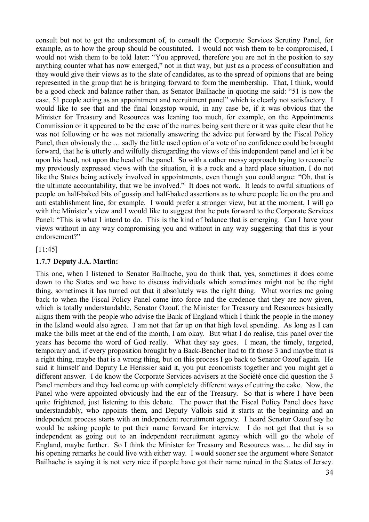consult but not to get the endorsement of, to consult the Corporate Services Scrutiny Panel, for example, as to how the group should be constituted. I would not wish them to be compromised, I would not wish them to be told later: "You approved, therefore you are not in the position to say anything counter what has now emerged," not in that way, but just as a process of consultation and they would give their views as to the slate of candidates, as to the spread of opinions that are being represented in the group that he is bringing forward to form the membership. That, I think, would be a good check and balance rather than, as Senator Bailhache in quoting me said: "51 is now the case, 51 people acting as an appointment and recruitment panel" which is clearly not satisfactory. I would like to see that and the final longstop would, in any case be, if it was obvious that the Minister for Treasury and Resources was leaning too much, for example, on the Appointments Commission or it appeared to be the case of the names being sent there or it was quite clear that he was not following or he was not rationally answering the advice put forward by the Fiscal Policy Panel, then obviously the … sadly the little used option of a vote of no confidence could be brought forward, that he is utterly and wilfully disregarding the views of this independent panel and let it be upon his head, not upon the head of the panel. So with a rather messy approach trying to reconcile my previously expressed views with the situation, it is a rock and a hard place situation, I do not like the States being actively involved in appointments, even though you could argue: "Oh, that is the ultimate accountability, that we be involved." It does not work. It leads to awful situations of people on half-baked bits of gossip and half-baked assertions as to where people lie on the pro and anti establishment line, for example. I would prefer a stronger view, but at the moment, I will go with the Minister's view and I would like to suggest that he puts forward to the Corporate Services Panel: "This is what I intend to do. This is the kind of balance that is emerging. Can I have your views without in any way compromising you and without in any way suggesting that this is your endorsement?"

#### [11:45]

#### **1.7.7 Deputy J.A. Martin:**

This one, when I listened to Senator Bailhache, you do think that, yes, sometimes it does come down to the States and we have to discuss individuals which sometimes might not be the right thing, sometimes it has turned out that it absolutely was the right thing. What worries me going back to when the Fiscal Policy Panel came into force and the credence that they are now given, which is totally understandable, Senator Ozouf, the Minister for Treasury and Resources basically aligns them with the people who advise the Bank of England which I think the people in the money in the Island would also agree. I am not that far up on that high level spending. As long as I can make the bills meet at the end of the month, I am okay. But what I do realise, this panel over the years has become the word of God really. What they say goes. I mean, the timely, targeted, temporary and, if every proposition brought by a Back-Bencher had to fit those 3 and maybe that is a right thing, maybe that is a wrong thing, but on this process I go back to Senator Ozouf again. He said it himself and Deputy Le Hérissier said it, you put economists together and you might get a different answer. I do know the Corporate Services advisers at the Société once did question the 3 Panel members and they had come up with completely different ways of cutting the cake. Now, the Panel who were appointed obviously had the ear of the Treasury. So that is where I have been quite frightened, just listening to this debate. The power that the Fiscal Policy Panel does have understandably, who appoints them, and Deputy Vallois said it starts at the beginning and an independent process starts with an independent recruitment agency. I heard Senator Ozouf say he would be asking people to put their name forward for interview. I do not get that that is so independent as going out to an independent recruitment agency which will go the whole of England, maybe further. So I think the Minister for Treasury and Resources was… he did say in his opening remarks he could live with either way. I would sooner see the argument where Senator Bailhache is saying it is not very nice if people have got their name ruined in the States of Jersey.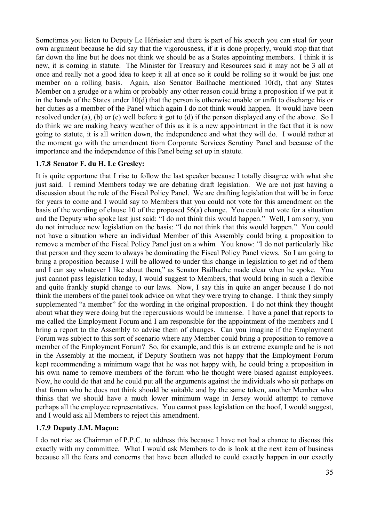Sometimes you listen to Deputy Le Hérissier and there is part of his speech you can steal for your own argument because he did say that the vigorousness, if it is done properly, would stop that that far down the line but he does not think we should be as a States appointing members. I think it is new, it is coming in statute. The Minister for Treasury and Resources said it may not be 3 all at once and really not a good idea to keep it all at once so it could be rolling so it would be just one member on a rolling basis. Again, also Senator Bailhache mentioned 10(d), that any States Member on a grudge or a whim or probably any other reason could bring a proposition if we put it in the hands of the States under 10(d) that the person is otherwise unable or unfit to discharge his or her duties as a member of the Panel which again I do not think would happen. It would have been resolved under (a), (b) or (c) well before it got to (d) if the person displayed any of the above. So I do think we are making heavy weather of this as it is a new appointment in the fact that it is now going to statute, it is all written down, the independence and what they will do. I would rather at the moment go with the amendment from Corporate Services Scrutiny Panel and because of the importance and the independence of this Panel being set up in statute.

### **1.7.8 Senator F. du H. Le Gresley:**

It is quite opportune that I rise to follow the last speaker because I totally disagree with what she just said. I remind Members today we are debating draft legislation. We are not just having a discussion about the role of the Fiscal Policy Panel. We are drafting legislation that will be in force for years to come and I would say to Members that you could not vote for this amendment on the basis of the wording of clause 10 of the proposed 56(a) change. You could not vote for a situation and the Deputy who spoke last just said: "I do not think this would happen." Well, I am sorry, you do not introduce new legislation on the basis: "I do not think that this would happen." You could not have a situation where an individual Member of this Assembly could bring a proposition to remove a member of the Fiscal Policy Panel just on a whim. You know: "I do not particularly like that person and they seem to always be dominating the Fiscal Policy Panel views. So I am going to bring a proposition because I will be allowed to under this change in legislation to get rid of them and I can say whatever I like about them," as Senator Bailhache made clear when he spoke. You just cannot pass legislation today, I would suggest to Members, that would bring in such a flexible and quite frankly stupid change to our laws. Now, I say this in quite an anger because I do not think the members of the panel took advice on what they were trying to change. I think they simply supplemented "a member" for the wording in the original proposition. I do not think they thought about what they were doing but the repercussions would be immense. I have a panel that reports to me called the Employment Forum and I am responsible for the appointment of the members and I bring a report to the Assembly to advise them of changes. Can you imagine if the Employment Forum was subject to this sort of scenario where any Member could bring a proposition to remove a member of the Employment Forum? So, for example, and this is an extreme example and he is not in the Assembly at the moment, if Deputy Southern was not happy that the Employment Forum kept recommending a minimum wage that he was not happy with, he could bring a proposition in his own name to remove members of the forum who he thought were biased against employees. Now, he could do that and he could put all the arguments against the individuals who sit perhaps on that forum who he does not think should be suitable and by the same token, another Member who thinks that we should have a much lower minimum wage in Jersey would attempt to remove perhaps all the employee representatives. You cannot pass legislation on the hoof, I would suggest, and I would ask all Members to reject this amendment.

### **1.7.9 Deputy J.M. Maçon:**

I do not rise as Chairman of P.P.C. to address this because I have not had a chance to discuss this exactly with my committee. What I would ask Members to do is look at the next item of business because all the fears and concerns that have been alluded to could exactly happen in our exactly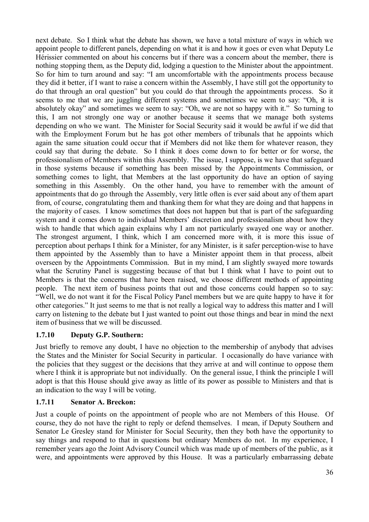next debate. So I think what the debate has shown, we have a total mixture of ways in which we appoint people to different panels, depending on what it is and how it goes or even what Deputy Le Hérissier commented on about his concerns but if there was a concern about the member, there is nothing stopping them, as the Deputy did, lodging a question to the Minister about the appointment. So for him to turn around and say: "I am uncomfortable with the appointments process because they did it better, if I want to raise a concern within the Assembly, I have still got the opportunity to do that through an oral question" but you could do that through the appointments process. So it seems to me that we are juggling different systems and sometimes we seem to say: "Oh, it is absolutely okay" and sometimes we seem to say: "Oh, we are not so happy with it." So turning to this, I am not strongly one way or another because it seems that we manage both systems depending on who we want. The Minister for Social Security said it would be awful if we did that with the Employment Forum but he has got other members of tribunals that he appoints which again the same situation could occur that if Members did not like them for whatever reason, they could say that during the debate. So I think it does come down to for better or for worse, the professionalism of Members within this Assembly. The issue, I suppose, is we have that safeguard in those systems because if something has been missed by the Appointments Commission, or something comes to light, that Members at the last opportunity do have an option of saying something in this Assembly. On the other hand, you have to remember with the amount of appointments that do go through the Assembly, very little often is ever said about any of them apart from, of course, congratulating them and thanking them for what they are doing and that happens in the majority of cases. I know sometimes that does not happen but that is part of the safeguarding system and it comes down to individual Members' discretion and professionalism about how they wish to handle that which again explains why I am not particularly swayed one way or another. The strongest argument, I think, which I am concerned more with, it is more this issue of perception about perhaps I think for a Minister, for any Minister, is it safer perception-wise to have them appointed by the Assembly than to have a Minister appoint them in that process, albeit overseen by the Appointments Commission. But in my mind, I am slightly swayed more towards what the Scrutiny Panel is suggesting because of that but I think what I have to point out to Members is that the concerns that have been raised, we choose different methods of appointing people. The next item of business points that out and those concerns could happen so to say: "Well, we do not want it for the Fiscal Policy Panel members but we are quite happy to have it for other categories." It just seems to me that is not really a logical way to address this matter and I will carry on listening to the debate but I just wanted to point out those things and bear in mind the next item of business that we will be discussed.

# **1.7.10 Deputy G.P. Southern:**

Just briefly to remove any doubt, I have no objection to the membership of anybody that advises the States and the Minister for Social Security in particular. I occasionally do have variance with the policies that they suggest or the decisions that they arrive at and will continue to oppose them where I think it is appropriate but not individually. On the general issue, I think the principle I will adopt is that this House should give away as little of its power as possible to Ministers and that is an indication to the way I will be voting.

# **1.7.11 Senator A. Breckon:**

Just a couple of points on the appointment of people who are not Members of this House. Of course, they do not have the right to reply or defend themselves. I mean, if Deputy Southern and Senator Le Gresley stand for Minister for Social Security, then they both have the opportunity to say things and respond to that in questions but ordinary Members do not. In my experience, I remember years ago the Joint Advisory Council which was made up of members of the public, as it were, and appointments were approved by this House. It was a particularly embarrassing debate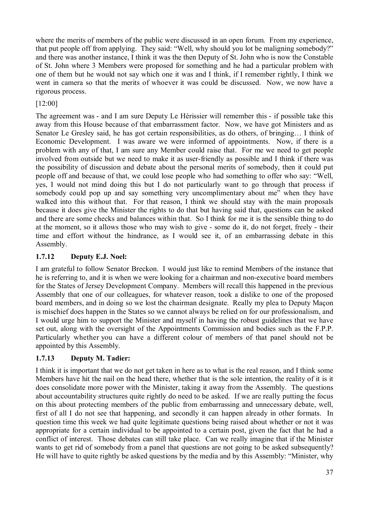where the merits of members of the public were discussed in an open forum. From my experience, that put people off from applying. They said: "Well, why should you lot be maligning somebody?" and there was another instance, I think it was the then Deputy of St. John who is now the Constable of St. John where 3 Members were proposed for something and he had a particular problem with one of them but he would not say which one it was and I think, if I remember rightly, I think we went in camera so that the merits of whoever it was could be discussed. Now, we now have a rigorous process.

## [12:00]

The agreement was - and I am sure Deputy Le Hérissier will remember this - if possible take this away from this House because of that embarrassment factor. Now, we have got Ministers and as Senator Le Gresley said, he has got certain responsibilities, as do others, of bringing… I think of Economic Development. I was aware we were informed of appointments. Now, if there is a problem with any of that, I am sure any Member could raise that. For me we need to get people involved from outside but we need to make it as user-friendly as possible and I think if there was the possibility of discussion and debate about the personal merits of somebody, then it could put people off and because of that, we could lose people who had something to offer who say: "Well, yes, I would not mind doing this but I do not particularly want to go through that process if somebody could pop up and say something very uncomplimentary about me" when they have walked into this without that. For that reason, I think we should stay with the main proposals because it does give the Minister the rights to do that but having said that, questions can be asked and there are some checks and balances within that. So I think for me it is the sensible thing to do at the moment, so it allows those who may wish to give - some do it, do not forget, freely - their time and effort without the hindrance, as I would see it, of an embarrassing debate in this Assembly.

## **1.7.12 Deputy E.J. Noel:**

I am grateful to follow Senator Breckon. I would just like to remind Members of the instance that he is referring to, and it is when we were looking for a chairman and non-executive board members for the States of Jersey Development Company. Members will recall this happened in the previous Assembly that one of our colleagues, for whatever reason, took a dislike to one of the proposed board members, and in doing so we lost the chairman designate. Really my plea to Deputy Maçon is mischief does happen in the States so we cannot always be relied on for our professionalism, and I would urge him to support the Minister and myself in having the robust guidelines that we have set out, along with the oversight of the Appointments Commission and bodies such as the F.P.P. Particularly whether you can have a different colour of members of that panel should not be appointed by this Assembly.

# **1.7.13 Deputy M. Tadier:**

I think it is important that we do not get taken in here as to what is the real reason, and I think some Members have hit the nail on the head there, whether that is the sole intention, the reality of it is it does consolidate more power with the Minister, taking it away from the Assembly. The questions about accountability structures quite rightly do need to be asked. If we are really putting the focus on this about protecting members of the public from embarrassing and unnecessary debate, well, first of all I do not see that happening, and secondly it can happen already in other formats. In question time this week we had quite legitimate questions being raised about whether or not it was appropriate for a certain individual to be appointed to a certain post, given the fact that he had a conflict of interest. Those debates can still take place. Can we really imagine that if the Minister wants to get rid of somebody from a panel that questions are not going to be asked subsequently? He will have to quite rightly be asked questions by the media and by this Assembly: "Minister, why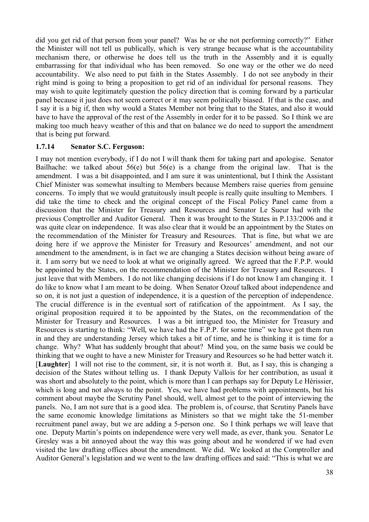did you get rid of that person from your panel? Was he or she not performing correctly?" Either the Minister will not tell us publically, which is very strange because what is the accountability mechanism there, or otherwise he does tell us the truth in the Assembly and it is equally embarrassing for that individual who has been removed. So one way or the other we do need accountability. We also need to put faith in the States Assembly. I do not see anybody in their right mind is going to bring a proposition to get rid of an individual for personal reasons. They may wish to quite legitimately question the policy direction that is coming forward by a particular panel because it just does not seem correct or it may seem politically biased. If that is the case, and I say it is a big if, then why would a States Member not bring that to the States, and also it would have to have the approval of the rest of the Assembly in order for it to be passed. So I think we are making too much heavy weather of this and that on balance we do need to support the amendment that is being put forward.

### **1.7.14 Senator S.C. Ferguson:**

I may not mention everybody, if I do not I will thank them for taking part and apologise. Senator Bailhache: we talked about 56(e) but 56(e) is a change from the original law. That is the amendment. I was a bit disappointed, and I am sure it was unintentional, but I think the Assistant Chief Minister was somewhat insulting to Members because Members raise queries from genuine concerns. To imply that we would gratuitously insult people is really quite insulting to Members. I did take the time to check and the original concept of the Fiscal Policy Panel came from a discussion that the Minister for Treasury and Resources and Senator Le Sueur had with the previous Comptroller and Auditor General. Then it was brought to the States in P.133/2006 and it was quite clear on independence. It was also clear that it would be an appointment by the States on the recommendation of the Minister for Treasury and Resources. That is fine, but what we are doing here if we approve the Minister for Treasury and Resources' amendment, and not our amendment to the amendment, is in fact we are changing a States decision without being aware of it. I am sorry but we need to look at what we originally agreed. We agreed that the F.P.P. would be appointed by the States, on the recommendation of the Minister for Treasury and Resources. I just leave that with Members. I do not like changing decisions if I do not know I am changing it. I do like to know what I am meant to be doing. When Senator Ozouf talked about independence and so on, it is not just a question of independence, it is a question of the perception of independence. The crucial difference is in the eventual sort of ratification of the appointment. As I say, the original proposition required it to be appointed by the States, on the recommendation of the Minister for Treasury and Resources. I was a bit intrigued too, the Minister for Treasury and Resources is starting to think: "Well, we have had the F.P.P. for some time" we have got them run in and they are understanding Jersey which takes a bit of time, and he is thinking it is time for a change. Why? What has suddenly brought that about? Mind you, on the same basis we could be thinking that we ought to have a new Minister for Treasury and Resources so he had better watch it. [**Laughter**] I will not rise to the comment, sir, it is not worth it. But, as I say, this is changing a decision of the States without telling us. I thank Deputy Vallois for her contribution, as usual it was short and absolutely to the point, which is more than I can perhaps say for Deputy Le Hérissier, which is long and not always to the point. Yes, we have had problems with appointments, but his comment about maybe the Scrutiny Panel should, well, almost get to the point of interviewing the panels. No, I am not sure that is a good idea. The problem is, of course, that Scrutiny Panels have the same economic knowledge limitations as Ministers so that we might take the 51-member recruitment panel away, but we are adding a 5-person one. So I think perhaps we will leave that one. Deputy Martin's points on independence were very well made, as ever, thank you. Senator Le Gresley was a bit annoyed about the way this was going about and he wondered if we had even visited the law drafting offices about the amendment. We did. We looked at the Comptroller and Auditor General's legislation and we went to the law drafting offices and said: "This is what we are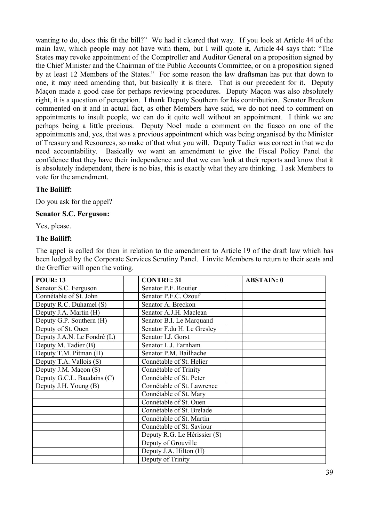wanting to do, does this fit the bill?" We had it cleared that way. If you look at Article 44 of the main law, which people may not have with them, but I will quote it, Article 44 says that: "The States may revoke appointment of the Comptroller and Auditor General on a proposition signed by the Chief Minister and the Chairman of the Public Accounts Committee, or on a proposition signed by at least 12 Members of the States." For some reason the law draftsman has put that down to one, it may need amending that, but basically it is there. That is our precedent for it. Deputy Maçon made a good case for perhaps reviewing procedures. Deputy Maçon was also absolutely right, it is a question of perception. I thank Deputy Southern for his contribution. Senator Breckon commented on it and in actual fact, as other Members have said, we do not need to comment on appointments to insult people, we can do it quite well without an appointment. I think we are perhaps being a little precious. Deputy Noel made a comment on the fiasco on one of the appointments and, yes, that was a previous appointment which was being organised by the Minister of Treasury and Resources, so make of that what you will. Deputy Tadier was correct in that we do need accountability. Basically we want an amendment to give the Fiscal Policy Panel the confidence that they have their independence and that we can look at their reports and know that it is absolutely independent, there is no bias, this is exactly what they are thinking. I ask Members to vote for the amendment.

### **The Bailiff:**

Do you ask for the appel?

#### **Senator S.C. Ferguson:**

Yes, please.

#### **The Bailiff:**

The appel is called for then in relation to the amendment to Article 19 of the draft law which has been lodged by the Corporate Services Scrutiny Panel. I invite Members to return to their seats and the Greffier will open the voting.

| <b>POUR: 13</b>             | <b>CONTRE: 31</b>            | <b>ABSTAIN: 0</b> |
|-----------------------------|------------------------------|-------------------|
| Senator S.C. Ferguson       | Senator P.F. Routier         |                   |
| Connétable of St. John      | Senator P.F.C. Ozouf         |                   |
| Deputy R.C. Duhamel (S)     | Senator A. Breckon           |                   |
| Deputy J.A. Martin (H)      | Senator A.J.H. Maclean       |                   |
| Deputy G.P. Southern (H)    | Senator B.I. Le Marquand     |                   |
| Deputy of St. Ouen          | Senator F.du H. Le Gresley   |                   |
| Deputy J.A.N. Le Fondré (L) | Senator I.J. Gorst           |                   |
| Deputy M. Tadier (B)        | Senator L.J. Farnham         |                   |
| Deputy T.M. Pitman (H)      | Senator P.M. Bailhache       |                   |
| Deputy T.A. Vallois (S)     | Connétable of St. Helier     |                   |
| Deputy J.M. Maçon (S)       | Connétable of Trinity        |                   |
| Deputy G.C.L. Baudains (C)  | Connétable of St. Peter      |                   |
| Deputy J.H. Young (B)       | Connétable of St. Lawrence   |                   |
|                             | Connétable of St. Mary       |                   |
|                             | Connétable of St. Ouen       |                   |
|                             | Connétable of St. Brelade    |                   |
|                             | Connétable of St. Martin     |                   |
|                             | Connétable of St. Saviour    |                   |
|                             | Deputy R.G. Le Hérissier (S) |                   |
|                             | Deputy of Grouville          |                   |
|                             | Deputy J.A. Hilton (H)       |                   |
|                             | Deputy of Trinity            |                   |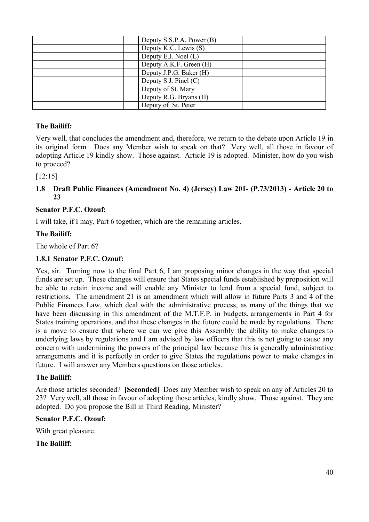| Deputy S.S.P.A. Power (B) |  |
|---------------------------|--|
| Deputy K.C. Lewis (S)     |  |
| Deputy E.J. Noel (L)      |  |
| Deputy A.K.F. Green (H)   |  |
| Deputy J.P.G. Baker (H)   |  |
| Deputy S.J. Pinel (C)     |  |
| Deputy of St. Mary        |  |
| Deputy R.G. Bryans (H)    |  |
| Deputy of St. Peter       |  |
|                           |  |

## **The Bailiff:**

Very well, that concludes the amendment and, therefore, we return to the debate upon Article 19 in its original form. Does any Member wish to speak on that? Very well, all those in favour of adopting Article 19 kindly show. Those against. Article 19 is adopted. Minister, how do you wish to proceed?

[12:15]

### **1.8 Draft Public Finances (Amendment No. 4) (Jersey) Law 201- (P.73/2013) - Article 20 to 23**

# **Senator P.F.C. Ozouf:**

I will take, if I may, Part 6 together, which are the remaining articles.

# **The Bailiff:**

The whole of Part 6?

## **1.8.1 Senator P.F.C. Ozouf:**

Yes, sir. Turning now to the final Part 6, I am proposing minor changes in the way that special funds are set up. These changes will ensure that States special funds established by proposition will be able to retain income and will enable any Minister to lend from a special fund, subject to restrictions. The amendment 21 is an amendment which will allow in future Parts 3 and 4 of the Public Finances Law, which deal with the administrative process, as many of the things that we have been discussing in this amendment of the M.T.F.P. in budgets, arrangements in Part 4 for States training operations, and that these changes in the future could be made by regulations. There is a move to ensure that where we can we give this Assembly the ability to make changes to underlying laws by regulations and I am advised by law officers that this is not going to cause any concern with undermining the powers of the principal law because this is generally administrative arrangements and it is perfectly in order to give States the regulations power to make changes in future. I will answer any Members questions on those articles.

### **The Bailiff:**

Are those articles seconded? **[Seconded]** Does any Member wish to speak on any of Articles 20 to 23? Very well, all those in favour of adopting those articles, kindly show. Those against. They are adopted. Do you propose the Bill in Third Reading, Minister?

### **Senator P.F.C. Ozouf:**

With great pleasure.

**The Bailiff:**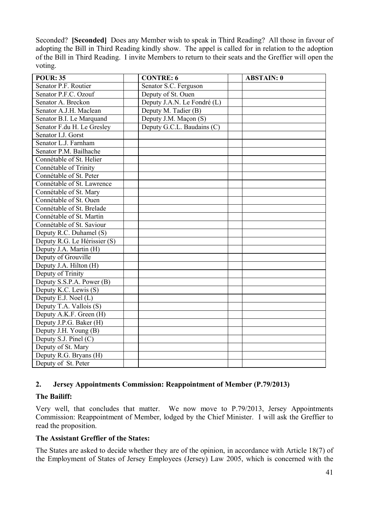Seconded? **[Seconded]** Does any Member wish to speak in Third Reading? All those in favour of adopting the Bill in Third Reading kindly show. The appel is called for in relation to the adoption of the Bill in Third Reading. I invite Members to return to their seats and the Greffier will open the voting.

| <b>POUR: 35</b>              | <b>CONTRE: 6</b>            | <b>ABSTAIN: 0</b> |
|------------------------------|-----------------------------|-------------------|
| Senator P.F. Routier         | Senator S.C. Ferguson       |                   |
| Senator P.F.C. Ozouf         | Deputy of St. Ouen          |                   |
| Senator A. Breckon           | Deputy J.A.N. Le Fondré (L) |                   |
| Senator A.J.H. Maclean       | Deputy M. Tadier (B)        |                   |
| Senator B.I. Le Marquand     | Deputy J.M. Maçon (S)       |                   |
| Senator F.du H. Le Gresley   | Deputy G.C.L. Baudains (C)  |                   |
| Senator I.J. Gorst           |                             |                   |
| Senator L.J. Farnham         |                             |                   |
| Senator P.M. Bailhache       |                             |                   |
| Connétable of St. Helier     |                             |                   |
| Connétable of Trinity        |                             |                   |
| Connétable of St. Peter      |                             |                   |
| Connétable of St. Lawrence   |                             |                   |
| Connétable of St. Mary       |                             |                   |
| Connétable of St. Ouen       |                             |                   |
| Connétable of St. Brelade    |                             |                   |
| Connétable of St. Martin     |                             |                   |
| Connétable of St. Saviour    |                             |                   |
| Deputy R.C. Duhamel (S)      |                             |                   |
| Deputy R.G. Le Hérissier (S) |                             |                   |
| Deputy J.A. Martin (H)       |                             |                   |
| Deputy of Grouville          |                             |                   |
| Deputy J.A. Hilton (H)       |                             |                   |
| Deputy of Trinity            |                             |                   |
| Deputy S.S.P.A. Power (B)    |                             |                   |
| Deputy K.C. Lewis (S)        |                             |                   |
| Deputy E.J. Noel (L)         |                             |                   |
| Deputy T.A. Vallois (S)      |                             |                   |
| Deputy A.K.F. Green (H)      |                             |                   |
| Deputy J.P.G. Baker (H)      |                             |                   |
| Deputy J.H. Young (B)        |                             |                   |
| Deputy S.J. Pinel (C)        |                             |                   |
| Deputy of St. Mary           |                             |                   |
| Deputy R.G. Bryans (H)       |                             |                   |
| Deputy of St. Peter          |                             |                   |

### **2. Jersey Appointments Commission: Reappointment of Member (P.79/2013)**

### **The Bailiff:**

Very well, that concludes that matter. We now move to P.79/2013, Jersey Appointments Commission: Reappointment of Member, lodged by the Chief Minister. I will ask the Greffier to read the proposition.

### **The Assistant Greffier of the States:**

The States are asked to decide whether they are of the opinion, in accordance with Article 18(7) of the Employment of States of Jersey Employees (Jersey) Law 2005, which is concerned with the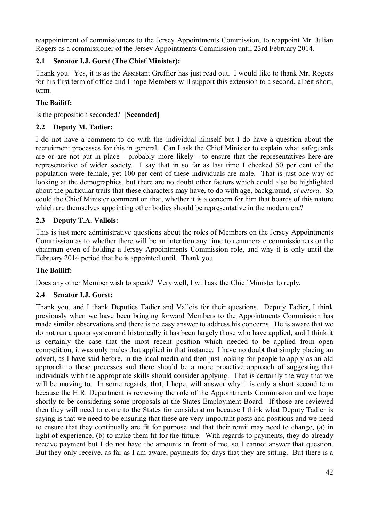reappointment of commissioners to the Jersey Appointments Commission, to reappoint Mr. Julian Rogers as a commissioner of the Jersey Appointments Commission until 23rd February 2014.

# **2.1 Senator I.J. Gorst (The Chief Minister):**

Thank you. Yes, it is as the Assistant Greffier has just read out. I would like to thank Mr. Rogers for his first term of office and I hope Members will support this extension to a second, albeit short, term.

# **The Bailiff:**

Is the proposition seconded? [**Seconded**]

# **2.2 Deputy M. Tadier:**

I do not have a comment to do with the individual himself but I do have a question about the recruitment processes for this in general. Can I ask the Chief Minister to explain what safeguards are or are not put in place - probably more likely - to ensure that the representatives here are representative of wider society. I say that in so far as last time I checked 50 per cent of the population were female, yet 100 per cent of these individuals are male. That is just one way of looking at the demographics, but there are no doubt other factors which could also be highlighted about the particular traits that these characters may have, to do with age, background, *et cetera*. So could the Chief Minister comment on that, whether it is a concern for him that boards of this nature which are themselves appointing other bodies should be representative in the modern era?

# **2.3 Deputy T.A. Vallois:**

This is just more administrative questions about the roles of Members on the Jersey Appointments Commission as to whether there will be an intention any time to remunerate commissioners or the chairman even of holding a Jersey Appointments Commission role, and why it is only until the February 2014 period that he is appointed until. Thank you.

# **The Bailiff:**

Does any other Member wish to speak? Very well, I will ask the Chief Minister to reply.

# **2.4 Senator I.J. Gorst:**

Thank you, and I thank Deputies Tadier and Vallois for their questions. Deputy Tadier, I think previously when we have been bringing forward Members to the Appointments Commission has made similar observations and there is no easy answer to address his concerns. He is aware that we do not run a quota system and historically it has been largely those who have applied, and I think it is certainly the case that the most recent position which needed to be applied from open competition, it was only males that applied in that instance. I have no doubt that simply placing an advert, as I have said before, in the local media and then just looking for people to apply as an old approach to these processes and there should be a more proactive approach of suggesting that individuals with the appropriate skills should consider applying. That is certainly the way that we will be moving to. In some regards, that, I hope, will answer why it is only a short second term because the H.R. Department is reviewing the role of the Appointments Commission and we hope shortly to be considering some proposals at the States Employment Board. If those are reviewed then they will need to come to the States for consideration because I think what Deputy Tadier is saying is that we need to be ensuring that these are very important posts and positions and we need to ensure that they continually are fit for purpose and that their remit may need to change, (a) in light of experience, (b) to make them fit for the future. With regards to payments, they do already receive payment but I do not have the amounts in front of me, so I cannot answer that question. But they only receive, as far as I am aware, payments for days that they are sitting. But there is a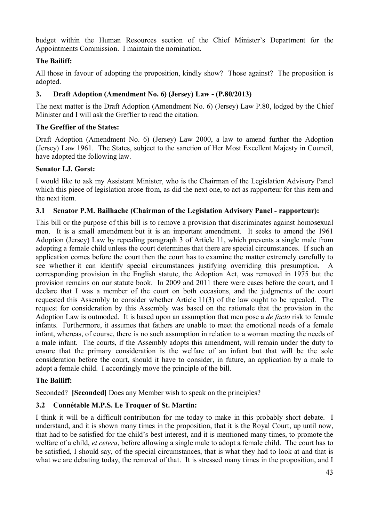budget within the Human Resources section of the Chief Minister's Department for the Appointments Commission. I maintain the nomination.

# **The Bailiff:**

All those in favour of adopting the proposition, kindly show? Those against? The proposition is adopted.

## **3. Draft Adoption (Amendment No. 6) (Jersey) Law - (P.80/2013)**

The next matter is the Draft Adoption (Amendment No. 6) (Jersey) Law P.80, lodged by the Chief Minister and I will ask the Greffier to read the citation.

## **The Greffier of the States:**

Draft Adoption (Amendment No. 6) (Jersey) Law 2000, a law to amend further the Adoption (Jersey) Law 1961. The States, subject to the sanction of Her Most Excellent Majesty in Council, have adopted the following law.

### **Senator I.J. Gorst:**

I would like to ask my Assistant Minister, who is the Chairman of the Legislation Advisory Panel which this piece of legislation arose from, as did the next one, to act as rapporteur for this item and the next item.

### **3.1 Senator P.M. Bailhache (Chairman of the Legislation Advisory Panel - rapporteur):**

This bill or the purpose of this bill is to remove a provision that discriminates against homosexual men. It is a small amendment but it is an important amendment. It seeks to amend the 1961 Adoption (Jersey) Law by repealing paragraph 3 of Article 11, which prevents a single male from adopting a female child unless the court determines that there are special circumstances. If such an application comes before the court then the court has to examine the matter extremely carefully to see whether it can identify special circumstances justifying overriding this presumption. A corresponding provision in the English statute, the Adoption Act, was removed in 1975 but the provision remains on our statute book. In 2009 and 2011 there were cases before the court, and I declare that I was a member of the court on both occasions, and the judgments of the court requested this Assembly to consider whether Article 11(3) of the law ought to be repealed. The request for consideration by this Assembly was based on the rationale that the provision in the Adoption Law is outmoded. It is based upon an assumption that men pose a *de facto* risk to female infants. Furthermore, it assumes that fathers are unable to meet the emotional needs of a female infant, whereas, of course, there is no such assumption in relation to a woman meeting the needs of a male infant. The courts, if the Assembly adopts this amendment, will remain under the duty to ensure that the primary consideration is the welfare of an infant but that will be the sole consideration before the court, should it have to consider, in future, an application by a male to adopt a female child. I accordingly move the principle of the bill.

# **The Bailiff:**

Seconded? **[Seconded]** Does any Member wish to speak on the principles?

# **3.2 Connétable M.P.S. Le Troquer of St. Martin:**

I think it will be a difficult contribution for me today to make in this probably short debate. I understand, and it is shown many times in the proposition, that it is the Royal Court, up until now, that had to be satisfied for the child's best interest, and it is mentioned many times, to promote the welfare of a child, *et cetera*, before allowing a single male to adopt a female child. The court has to be satisfied, I should say, of the special circumstances, that is what they had to look at and that is what we are debating today, the removal of that. It is stressed many times in the proposition, and I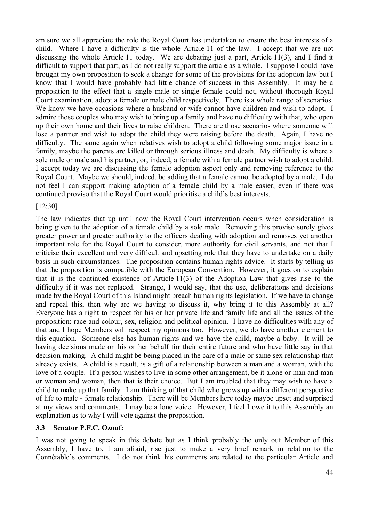am sure we all appreciate the role the Royal Court has undertaken to ensure the best interests of a child. Where I have a difficulty is the whole Article 11 of the law. I accept that we are not discussing the whole Article 11 today. We are debating just a part, Article 11(3), and I find it difficult to support that part, as I do not really support the article as a whole. I suppose I could have brought my own proposition to seek a change for some of the provisions for the adoption law but I know that I would have probably had little chance of success in this Assembly. It may be a proposition to the effect that a single male or single female could not, without thorough Royal Court examination, adopt a female or male child respectively. There is a whole range of scenarios. We know we have occasions where a husband or wife cannot have children and wish to adopt. I admire those couples who may wish to bring up a family and have no difficulty with that, who open up their own home and their lives to raise children. There are those scenarios where someone will lose a partner and wish to adopt the child they were raising before the death. Again, I have no difficulty. The same again when relatives wish to adopt a child following some major issue in a family, maybe the parents are killed or through serious illness and death. My difficulty is where a sole male or male and his partner, or, indeed, a female with a female partner wish to adopt a child. I accept today we are discussing the female adoption aspect only and removing reference to the Royal Court. Maybe we should, indeed, be adding that a female cannot be adopted by a male. I do not feel I can support making adoption of a female child by a male easier, even if there was continued proviso that the Royal Court would prioritise a child's best interests.

### [12:30]

The law indicates that up until now the Royal Court intervention occurs when consideration is being given to the adoption of a female child by a sole male. Removing this proviso surely gives greater power and greater authority to the officers dealing with adoption and removes yet another important role for the Royal Court to consider, more authority for civil servants, and not that I criticise their excellent and very difficult and upsetting role that they have to undertake on a daily basis in such circumstances. The proposition contains human rights advice. It starts by telling us that the proposition is compatible with the European Convention. However, it goes on to explain that it is the continued existence of Article 11(3) of the Adoption Law that gives rise to the difficulty if it was not replaced. Strange, I would say, that the use, deliberations and decisions made by the Royal Court of this Island might breach human rights legislation. If we have to change and repeal this, then why are we having to discuss it, why bring it to this Assembly at all? Everyone has a right to respect for his or her private life and family life and all the issues of the proposition: race and colour, sex, religion and political opinion. I have no difficulties with any of that and I hope Members will respect my opinions too. However, we do have another element to this equation. Someone else has human rights and we have the child, maybe a baby. It will be having decisions made on his or her behalf for their entire future and who have little say in that decision making. A child might be being placed in the care of a male or same sex relationship that already exists. A child is a result, is a gift of a relationship between a man and a woman, with the love of a couple. If a person wishes to live in some other arrangement, be it alone or man and man or woman and woman, then that is their choice. But I am troubled that they may wish to have a child to make up that family. I am thinking of that child who grows up with a different perspective of life to male - female relationship. There will be Members here today maybe upset and surprised at my views and comments. I may be a lone voice. However, I feel I owe it to this Assembly an explanation as to why I will vote against the proposition.

#### **3.3 Senator P.F.C. Ozouf:**

I was not going to speak in this debate but as I think probably the only out Member of this Assembly, I have to, I am afraid, rise just to make a very brief remark in relation to the Connétable's comments. I do not think his comments are related to the particular Article and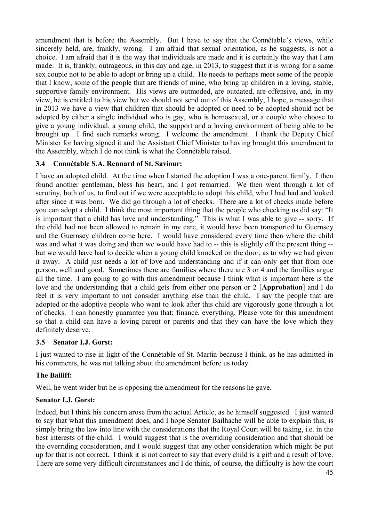amendment that is before the Assembly. But I have to say that the Connétable's views, while sincerely held, are, frankly, wrong. I am afraid that sexual orientation, as he suggests, is not a choice. I am afraid that it is the way that individuals are made and it is certainly the way that I am made. It is, frankly, outrageous, in this day and age, in 2013, to suggest that it is wrong for a same sex couple not to be able to adopt or bring up a child. He needs to perhaps meet some of the people that I know, some of the people that are friends of mine, who bring up children in a loving, stable, supportive family environment. His views are outmoded, are outdated, are offensive, and, in my view, he is entitled to his view but we should not send out of this Assembly, I hope, a message that in 2013 we have a view that children that should be adopted or need to be adopted should not be adopted by either a single individual who is gay, who is homosexual, or a couple who choose to give a young individual, a young child, the support and a loving environment of being able to be brought up. I find such remarks wrong. I welcome the amendment. I thank the Deputy Chief Minister for having signed it and the Assistant Chief Minister to having brought this amendment to the Assembly, which I do not think is what the Connétable raised.

### **3.4 Connétable S.A. Rennard of St. Saviour:**

I have an adopted child. At the time when I started the adoption I was a one-parent family. I then found another gentleman, bless his heart, and I got remarried. We then went through a lot of scrutiny, both of us, to find out if we were acceptable to adopt this child, who I had had and looked after since it was born. We did go through a lot of checks. There are a lot of checks made before you can adopt a child. I think the most important thing that the people who checking us did say: "It is important that a child has love and understanding." This is what I was able to give -- sorry. If the child had not been allowed to remain in my care, it would have been transported to Guernsey and the Guernsey children come here. I would have considered every time then where the child was and what it was doing and then we would have had to -- this is slightly off the present thing - but we would have had to decide when a young child knocked on the door, as to why we had given it away. A child just needs a lot of love and understanding and if it can only get that from one person, well and good. Sometimes there are families where there are 3 or 4 and the families argue all the time. I am going to go with this amendment because I think what is important here is the love and the understanding that a child gets from either one person or 2 [**Approbation**] and I do feel it is very important to not consider anything else than the child. I say the people that are adopted or the adoptive people who want to look after this child are vigorously gone through a lot of checks. I can honestly guarantee you that; finance, everything. Please vote for this amendment so that a child can have a loving parent or parents and that they can have the love which they definitely deserve.

### **3.5 Senator I.J. Gorst:**

I just wanted to rise in light of the Connétable of St. Martin because I think, as he has admitted in his comments, he was not talking about the amendment before us today.

# **The Bailiff:**

Well, he went wider but he is opposing the amendment for the reasons he gave.

# **Senator I.J. Gorst:**

Indeed, but I think his concern arose from the actual Article, as he himself suggested. I just wanted to say that what this amendment does, and I hope Senator Bailhache will be able to explain this, is simply bring the law into line with the considerations that the Royal Court will be taking, i.e. in the best interests of the child. I would suggest that is the overriding consideration and that should be the overriding consideration, and I would suggest that any other consideration which might be put up for that is not correct. I think it is not correct to say that every child is a gift and a result of love. There are some very difficult circumstances and I do think, of course, the difficulty is how the court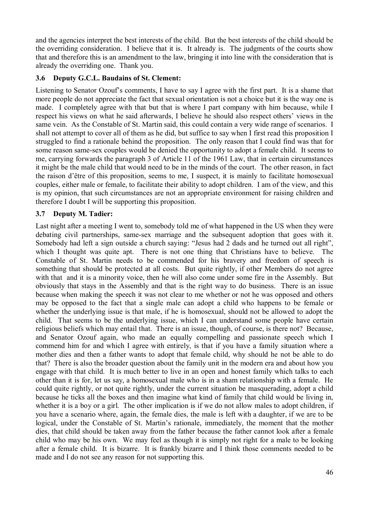and the agencies interpret the best interests of the child. But the best interests of the child should be the overriding consideration. I believe that it is. It already is. The judgments of the courts show that and therefore this is an amendment to the law, bringing it into line with the consideration that is already the overriding one. Thank you.

### **3.6 Deputy G.C.L. Baudains of St. Clement:**

Listening to Senator Ozouf's comments, I have to say I agree with the first part. It is a shame that more people do not appreciate the fact that sexual orientation is not a choice but it is the way one is made. I completely agree with that but that is where I part company with him because, while I respect his views on what he said afterwards, I believe he should also respect others' views in the same vein. As the Constable of St. Martin said, this could contain a very wide range of scenarios. I shall not attempt to cover all of them as he did, but suffice to say when I first read this proposition I struggled to find a rationale behind the proposition. The only reason that I could find was that for some reason same-sex couples would be denied the opportunity to adopt a female child. It seems to me, carrying forwards the paragraph 3 of Article 11 of the 1961 Law, that in certain circumstances it might be the male child that would need to be in the minds of the court. The other reason, in fact the raison d'être of this proposition, seems to me, I suspect, it is mainly to facilitate homosexual couples, either male or female, to facilitate their ability to adopt children. I am of the view, and this is my opinion, that such circumstances are not an appropriate environment for raising children and therefore I doubt I will be supporting this proposition.

## **3.7 Deputy M. Tadier:**

Last night after a meeting I went to, somebody told me of what happened in the US when they were debating civil partnerships, same-sex marriage and the subsequent adoption that goes with it. Somebody had left a sign outside a church saying: "Jesus had 2 dads and he turned out all right", which I thought was quite apt. There is not one thing that Christians have to believe. The Constable of St. Martin needs to be commended for his bravery and freedom of speech is something that should be protected at all costs. But quite rightly, if other Members do not agree with that and it is a minority voice, then he will also come under some fire in the Assembly. But obviously that stays in the Assembly and that is the right way to do business. There is an issue because when making the speech it was not clear to me whether or not he was opposed and others may be opposed to the fact that a single male can adopt a child who happens to be female or whether the underlying issue is that male, if he is homosexual, should not be allowed to adopt the child. That seems to be the underlying issue, which I can understand some people have certain religious beliefs which may entail that. There is an issue, though, of course, is there not? Because, and Senator Ozouf again, who made an equally compelling and passionate speech which I commend him for and which I agree with entirely, is that if you have a family situation where a mother dies and then a father wants to adopt that female child, why should he not be able to do that? There is also the broader question about the family unit in the modern era and about how you engage with that child. It is much better to live in an open and honest family which talks to each other than it is for, let us say, a homosexual male who is in a sham relationship with a female. He could quite rightly, or not quite rightly, under the current situation be masquerading, adopt a child because he ticks all the boxes and then imagine what kind of family that child would be living in, whether it is a boy or a girl. The other implication is if we do not allow males to adopt children, if you have a scenario where, again, the female dies, the male is left with a daughter, if we are to be logical, under the Constable of St. Martin's rationale, immediately, the moment that the mother dies, that child should be taken away from the father because the father cannot look after a female child who may be his own. We may feel as though it is simply not right for a male to be looking after a female child. It is bizarre. It is frankly bizarre and I think those comments needed to be made and I do not see any reason for not supporting this.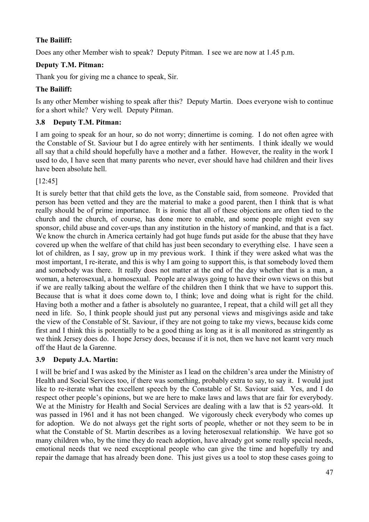# **The Bailiff:**

Does any other Member wish to speak? Deputy Pitman. I see we are now at 1.45 p.m.

# **Deputy T.M. Pitman:**

Thank you for giving me a chance to speak, Sir.

# **The Bailiff:**

Is any other Member wishing to speak after this? Deputy Martin. Does everyone wish to continue for a short while? Very well. Deputy Pitman.

# **3.8 Deputy T.M. Pitman:**

I am going to speak for an hour, so do not worry; dinnertime is coming. I do not often agree with the Constable of St. Saviour but I do agree entirely with her sentiments. I think ideally we would all say that a child should hopefully have a mother and a father. However, the reality in the work I used to do, I have seen that many parents who never, ever should have had children and their lives have been absolute hell.

[12:45]

It is surely better that that child gets the love, as the Constable said, from someone. Provided that person has been vetted and they are the material to make a good parent, then I think that is what really should be of prime importance. It is ironic that all of these objections are often tied to the church and the church, of course, has done more to enable, and some people might even say sponsor, child abuse and cover-ups than any institution in the history of mankind, and that is a fact. We know the church in America certainly had got huge funds put aside for the abuse that they have covered up when the welfare of that child has just been secondary to everything else. I have seen a lot of children, as I say, grow up in my previous work. I think if they were asked what was the most important, I re-iterate, and this is why I am going to support this, is that somebody loved them and somebody was there. It really does not matter at the end of the day whether that is a man, a woman, a heterosexual, a homosexual. People are always going to have their own views on this but if we are really talking about the welfare of the children then I think that we have to support this. Because that is what it does come down to, I think; love and doing what is right for the child. Having both a mother and a father is absolutely no guarantee, I repeat, that a child will get all they need in life. So, I think people should just put any personal views and misgivings aside and take the view of the Constable of St. Saviour, if they are not going to take my views, because kids come first and I think this is potentially to be a good thing as long as it is all monitored as stringently as we think Jersey does do. I hope Jersey does, because if it is not, then we have not learnt very much off the Haut de la Garenne.

# **3.9 Deputy J.A. Martin:**

I will be brief and I was asked by the Minister as I lead on the children's area under the Ministry of Health and Social Services too, if there was something, probably extra to say, to say it. I would just like to re-iterate what the excellent speech by the Constable of St. Saviour said. Yes, and I do respect other people's opinions, but we are here to make laws and laws that are fair for everybody. We at the Ministry for Health and Social Services are dealing with a law that is 52 years-old. It was passed in 1961 and it has not been changed. We vigorously check everybody who comes up for adoption. We do not always get the right sorts of people, whether or not they seem to be in what the Constable of St. Martin describes as a loving heterosexual relationship. We have got so many children who, by the time they do reach adoption, have already got some really special needs, emotional needs that we need exceptional people who can give the time and hopefully try and repair the damage that has already been done. This just gives us a tool to stop these cases going to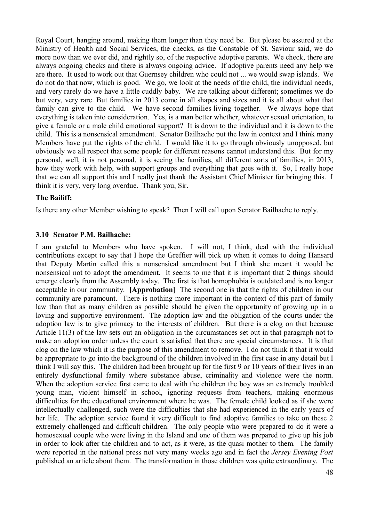Royal Court, hanging around, making them longer than they need be. But please be assured at the Ministry of Health and Social Services, the checks, as the Constable of St. Saviour said, we do more now than we ever did, and rightly so, of the respective adoptive parents. We check, there are always ongoing checks and there is always ongoing advice. If adoptive parents need any help we are there. It used to work out that Guernsey children who could not ... we would swap islands. We do not do that now, which is good. We go, we look at the needs of the child, the individual needs, and very rarely do we have a little cuddly baby. We are talking about different; sometimes we do but very, very rare. But families in 2013 come in all shapes and sizes and it is all about what that family can give to the child. We have second families living together. We always hope that everything is taken into consideration. Yes, is a man better whether, whatever sexual orientation, to give a female or a male child emotional support? It is down to the individual and it is down to the child. This is a nonsensical amendment. Senator Bailhache put the law in context and I think many Members have put the rights of the child. I would like it to go through obviously unopposed, but obviously we all respect that some people for different reasons cannot understand this. But for my personal, well, it is not personal, it is seeing the families, all different sorts of families, in 2013, how they work with help, with support groups and everything that goes with it. So, I really hope that we can all support this and I really just thank the Assistant Chief Minister for bringing this. I think it is very, very long overdue. Thank you, Sir.

### **The Bailiff:**

Is there any other Member wishing to speak? Then I will call upon Senator Bailhache to reply.

#### **3.10 Senator P.M. Bailhache:**

I am grateful to Members who have spoken. I will not, I think, deal with the individual contributions except to say that I hope the Greffier will pick up when it comes to doing Hansard that Deputy Martin called this a nonsensical amendment but I think she meant it would be nonsensical not to adopt the amendment. It seems to me that it is important that 2 things should emerge clearly from the Assembly today. The first is that homophobia is outdated and is no longer acceptable in our community. **[Approbation]** The second one is that the rights of children in our community are paramount. There is nothing more important in the context of this part of family law than that as many children as possible should be given the opportunity of growing up in a loving and supportive environment. The adoption law and the obligation of the courts under the adoption law is to give primacy to the interests of children. But there is a clog on that because Article 11(3) of the law sets out an obligation in the circumstances set out in that paragraph not to make an adoption order unless the court is satisfied that there are special circumstances. It is that clog on the law which it is the purpose of this amendment to remove. I do not think it that it would be appropriate to go into the background of the children involved in the first case in any detail but I think I will say this. The children had been brought up for the first 9 or 10 years of their lives in an entirely dysfunctional family where substance abuse, criminality and violence were the norm. When the adoption service first came to deal with the children the boy was an extremely troubled young man, violent himself in school, ignoring requests from teachers, making enormous difficulties for the educational environment where he was. The female child looked as if she were intellectually challenged, such were the difficulties that she had experienced in the early years of her life. The adoption service found it very difficult to find adoptive families to take on these 2 extremely challenged and difficult children. The only people who were prepared to do it were a homosexual couple who were living in the Island and one of them was prepared to give up his job in order to look after the children and to act, as it were, as the quasi mother to them. The family were reported in the national press not very many weeks ago and in fact the *Jersey Evening Post* published an article about them. The transformation in those children was quite extraordinary. The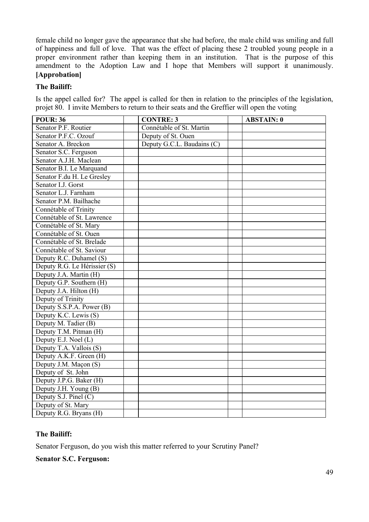female child no longer gave the appearance that she had before, the male child was smiling and full of happiness and full of love. That was the effect of placing these 2 troubled young people in a proper environment rather than keeping them in an institution. That is the purpose of this amendment to the Adoption Law and I hope that Members will support it unanimously. **[Approbation]**

#### **The Bailiff:**

Is the appel called for? The appel is called for then in relation to the principles of the legislation, projet 80. I invite Members to return to their seats and the Greffier will open the voting

| <b>POUR: 36</b>              | <b>CONTRE: 3</b>           | <b>ABSTAIN: 0</b> |
|------------------------------|----------------------------|-------------------|
| Senator P.F. Routier         | Connétable of St. Martin   |                   |
| Senator P.F.C. Ozouf         | Deputy of St. Ouen         |                   |
| Senator A. Breckon           | Deputy G.C.L. Baudains (C) |                   |
| Senator S.C. Ferguson        |                            |                   |
| Senator A.J.H. Maclean       |                            |                   |
| Senator B.I. Le Marquand     |                            |                   |
| Senator F.du H. Le Gresley   |                            |                   |
| Senator I.J. Gorst           |                            |                   |
| Senator L.J. Farnham         |                            |                   |
| Senator P.M. Bailhache       |                            |                   |
| Connétable of Trinity        |                            |                   |
| Connétable of St. Lawrence   |                            |                   |
| Connétable of St. Mary       |                            |                   |
| Connétable of St. Ouen       |                            |                   |
| Connétable of St. Brelade    |                            |                   |
| Connétable of St. Saviour    |                            |                   |
| Deputy R.C. Duhamel (S)      |                            |                   |
| Deputy R.G. Le Hérissier (S) |                            |                   |
| Deputy J.A. Martin (H)       |                            |                   |
| Deputy G.P. Southern (H)     |                            |                   |
| Deputy J.A. Hilton (H)       |                            |                   |
| Deputy of Trinity            |                            |                   |
| Deputy S.S.P.A. Power (B)    |                            |                   |
| Deputy K.C. Lewis (S)        |                            |                   |
| Deputy M. Tadier (B)         |                            |                   |
| Deputy T.M. Pitman (H)       |                            |                   |
| Deputy E.J. Noel $(L)$       |                            |                   |
| Deputy T.A. Vallois (S)      |                            |                   |
| Deputy A.K.F. Green (H)      |                            |                   |
| Deputy J.M. Maçon (S)        |                            |                   |
| Deputy of St. John           |                            |                   |
| Deputy J.P.G. Baker (H)      |                            |                   |
| Deputy J.H. Young (B)        |                            |                   |
| Deputy S.J. Pinel $(C)$      |                            |                   |
| Deputy of St. Mary           |                            |                   |
| Deputy R.G. Bryans (H)       |                            |                   |

# **The Bailiff:**

Senator Ferguson, do you wish this matter referred to your Scrutiny Panel?

### **Senator S.C. Ferguson:**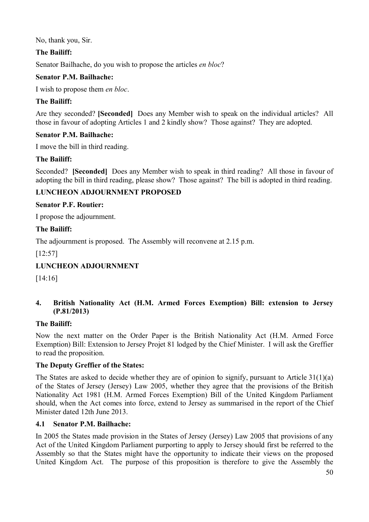No, thank you, Sir.

# **The Bailiff:**

Senator Bailhache, do you wish to propose the articles *en bloc*?

## **Senator P.M. Bailhache:**

I wish to propose them *en bloc*.

## **The Bailiff:**

Are they seconded? **[Seconded]** Does any Member wish to speak on the individual articles? All those in favour of adopting Articles 1 and 2 kindly show? Those against? They are adopted.

## **Senator P.M. Bailhache:**

I move the bill in third reading.

# **The Bailiff:**

Seconded? **[Seconded]** Does any Member wish to speak in third reading? All those in favour of adopting the bill in third reading, please show? Those against? The bill is adopted in third reading.

# **LUNCHEON ADJOURNMENT PROPOSED**

### **Senator P.F. Routier:**

I propose the adjournment.

### **The Bailiff:**

The adjournment is proposed. The Assembly will reconvene at 2.15 p.m.

### [12:57]

# **LUNCHEON ADJOURNMENT**

[14:16]

## **4. British Nationality Act (H.M. Armed Forces Exemption) Bill: extension to Jersey (P.81/2013)**

### **The Bailiff:**

Now the next matter on the Order Paper is the British Nationality Act (H.M. Armed Force Exemption) Bill: Extension to Jersey Projet 81 lodged by the Chief Minister. I will ask the Greffier to read the proposition.

### **The Deputy Greffier of the States:**

The States are asked to decide whether they are of opinion to signify, pursuant to Article 31(1)(a) of the States of Jersey (Jersey) Law 2005, whether they agree that the provisions of the British Nationality Act 1981 (H.M. Armed Forces Exemption) Bill of the United Kingdom Parliament should, when the Act comes into force, extend to Jersey as summarised in the report of the Chief Minister dated 12th June 2013.

# **4.1 Senator P.M. Bailhache:**

In 2005 the States made provision in the States of Jersey (Jersey) Law 2005 that provisions of any Act of the United Kingdom Parliament purporting to apply to Jersey should first be referred to the Assembly so that the States might have the opportunity to indicate their views on the proposed United Kingdom Act. The purpose of this proposition is therefore to give the Assembly the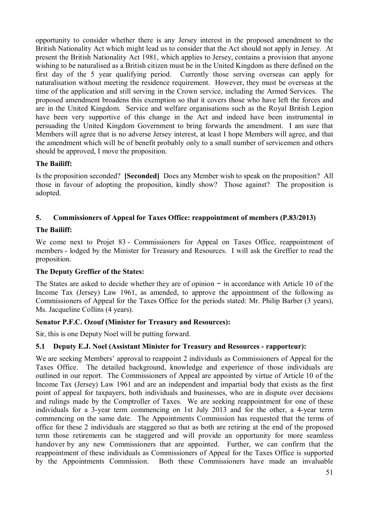opportunity to consider whether there is any Jersey interest in the proposed amendment to the British Nationality Act which might lead us to consider that the Act should not apply in Jersey. At present the British Nationality Act 1981, which applies to Jersey, contains a provision that anyone wishing to be naturalised as a British citizen must be in the United Kingdom as there defined on the first day of the 5 year qualifying period. Currently those serving overseas can apply for naturalisation without meeting the residence requirement. However, they must be overseas at the time of the application and still serving in the Crown service, including the Armed Services. The proposed amendment broadens this exemption so that it covers those who have left the forces and are in the United Kingdom. Service and welfare organisations such as the Royal British Legion have been very supportive of this change in the Act and indeed have been instrumental in persuading the United Kingdom Government to bring forwards the amendment. I am sure that Members will agree that is no adverse Jersey interest, at least I hope Members will agree, and that the amendment which will be of benefit probably only to a small number of servicemen and others should be approved, I move the proposition.

# **The Bailiff:**

Is the proposition seconded? **[Seconded]** Does any Member wish to speak on the proposition? All those in favour of adopting the proposition, kindly show? Those against? The proposition is adopted.

# **5. Commissioners of Appeal for Taxes Office: reappointment of members (P.83/2013)**

# **The Bailiff:**

We come next to Projet 83 - Commissioners for Appeal on Taxes Office, reappointment of members - lodged by the Minister for Treasury and Resources. I will ask the Greffier to read the proposition.

# **The Deputy Greffier of the States:**

The States are asked to decide whether they are of opinion – in accordance with Article 10 of the Income Tax (Jersey) Law 1961, as amended, to approve the appointment of the following as Commissioners of Appeal for the Taxes Office for the periods stated: Mr. Philip Barber (3 years), Ms. Jacqueline Collins (4 years).

# **Senator P.F.C. Ozouf (Minister for Treasury and Resources):**

Sir, this is one Deputy Noel will be putting forward.

# **5.1 Deputy E.J. Noel (Assistant Minister for Treasury and Resources - rapporteur):**

We are seeking Members' approval to reappoint 2 individuals as Commissioners of Appeal for the Taxes Office. The detailed background, knowledge and experience of those individuals are outlined in our report. The Commissioners of Appeal are appointed by virtue of Article 10 of the Income Tax (Jersey) Law 1961 and are an independent and impartial body that exists as the first point of appeal for taxpayers, both individuals and businesses, who are in dispute over decisions and rulings made by the Comptroller of Taxes. We are seeking reappointment for one of these individuals for a 3-year term commencing on 1st July 2013 and for the other, a 4-year term commencing on the same date. The Appointments Commission has requested that the terms of office for these 2 individuals are staggered so that as both are retiring at the end of the proposed term those retirements can be staggered and will provide an opportunity for more seamless handover by any new Commissioners that are appointed. Further, we can confirm that the reappointment of these individuals as Commissioners of Appeal for the Taxes Office is supported by the Appointments Commission. Both these Commissioners have made an invaluable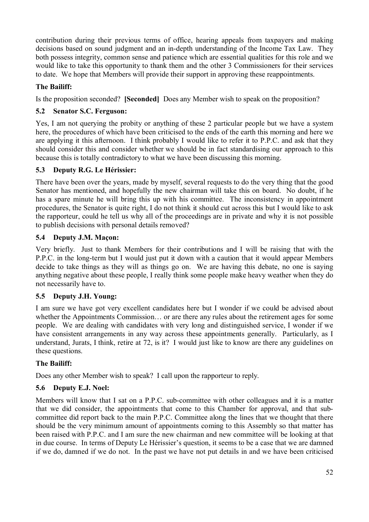contribution during their previous terms of office, hearing appeals from taxpayers and making decisions based on sound judgment and an in-depth understanding of the Income Tax Law. They both possess integrity, common sense and patience which are essential qualities for this role and we would like to take this opportunity to thank them and the other 3 Commissioners for their services to date. We hope that Members will provide their support in approving these reappointments.

## **The Bailiff:**

Is the proposition seconded? **[Seconded]** Does any Member wish to speak on the proposition?

## **5.2 Senator S.C. Ferguson:**

Yes, I am not querying the probity or anything of these 2 particular people but we have a system here, the procedures of which have been criticised to the ends of the earth this morning and here we are applying it this afternoon. I think probably I would like to refer it to P.P.C. and ask that they should consider this and consider whether we should be in fact standardising our approach to this because this is totally contradictory to what we have been discussing this morning.

# **5.3 Deputy R.G. Le Hérissier:**

There have been over the years, made by myself, several requests to do the very thing that the good Senator has mentioned, and hopefully the new chairman will take this on board. No doubt, if he has a spare minute he will bring this up with his committee. The inconsistency in appointment procedures, the Senator is quite right, I do not think it should cut across this but I would like to ask the rapporteur, could he tell us why all of the proceedings are in private and why it is not possible to publish decisions with personal details removed?

## **5.4 Deputy J.M. Maçon:**

Very briefly. Just to thank Members for their contributions and I will be raising that with the P.P.C. in the long-term but I would just put it down with a caution that it would appear Members decide to take things as they will as things go on. We are having this debate, no one is saying anything negative about these people, I really think some people make heavy weather when they do not necessarily have to.

# **5.5 Deputy J.H. Young:**

I am sure we have got very excellent candidates here but I wonder if we could be advised about whether the Appointments Commission… or are there any rules about the retirement ages for some people. We are dealing with candidates with very long and distinguished service, I wonder if we have consistent arrangements in any way across these appointments generally. Particularly, as I understand, Jurats, I think, retire at 72, is it? I would just like to know are there any guidelines on these questions.

### **The Bailiff:**

Does any other Member wish to speak? I call upon the rapporteur to reply.

# **5.6 Deputy E.J. Noel:**

Members will know that I sat on a P.P.C. sub-committee with other colleagues and it is a matter that we did consider, the appointments that come to this Chamber for approval, and that subcommittee did report back to the main P.P.C. Committee along the lines that we thought that there should be the very minimum amount of appointments coming to this Assembly so that matter has been raised with P.P.C. and I am sure the new chairman and new committee will be looking at that in due course. In terms of Deputy Le Hérissier's question, it seems to be a case that we are damned if we do, damned if we do not. In the past we have not put details in and we have been criticised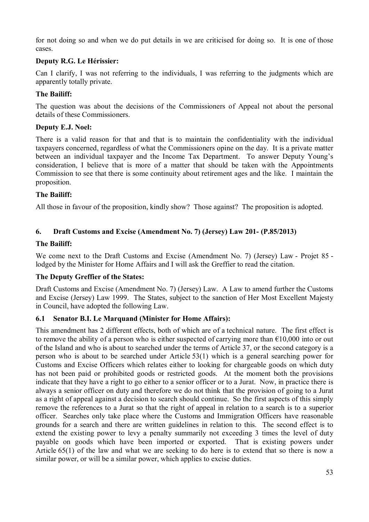for not doing so and when we do put details in we are criticised for doing so. It is one of those cases.

## **Deputy R.G. Le Hérissier:**

Can I clarify, I was not referring to the individuals, I was referring to the judgments which are apparently totally private.

### **The Bailiff:**

The question was about the decisions of the Commissioners of Appeal not about the personal details of these Commissioners.

### **Deputy E.J. Noel:**

There is a valid reason for that and that is to maintain the confidentiality with the individual taxpayers concerned, regardless of what the Commissioners opine on the day. It is a private matter between an individual taxpayer and the Income Tax Department. To answer Deputy Young's consideration, I believe that is more of a matter that should be taken with the Appointments Commission to see that there is some continuity about retirement ages and the like. I maintain the proposition.

## **The Bailiff:**

All those in favour of the proposition, kindly show? Those against? The proposition is adopted.

## **6. Draft Customs and Excise (Amendment No. 7) (Jersey) Law 201- (P.85/2013)**

## **The Bailiff:**

We come next to the Draft Customs and Excise (Amendment No. 7) (Jersey) Law - Projet 85 lodged by the Minister for Home Affairs and I will ask the Greffier to read the citation.

### **The Deputy Greffier of the States:**

Draft Customs and Excise (Amendment No. 7) (Jersey) Law. A Law to amend further the Customs and Excise (Jersey) Law 1999. The States, subject to the sanction of Her Most Excellent Majesty in Council, have adopted the following Law.

# **6.1 Senator B.I. Le Marquand (Minister for Home Affairs):**

This amendment has 2 different effects, both of which are of a technical nature. The first effect is to remove the ability of a person who is either suspected of carrying more than  $\epsilon$ 10,000 into or out of the Island and who is about to searched under the terms of Article 37, or the second category is a person who is about to be searched under Article 53(1) which is a general searching power for Customs and Excise Officers which relates either to looking for chargeable goods on which duty has not been paid or prohibited goods or restricted goods. At the moment both the provisions indicate that they have a right to go either to a senior officer or to a Jurat. Now, in practice there is always a senior officer on duty and therefore we do not think that the provision of going to a Jurat as a right of appeal against a decision to search should continue. So the first aspects of this simply remove the references to a Jurat so that the right of appeal in relation to a search is to a superior officer. Searches only take place where the Customs and Immigration Officers have reasonable grounds for a search and there are written guidelines in relation to this. The second effect is to extend the existing power to levy a penalty summarily not exceeding 3 times the level of duty payable on goods which have been imported or exported. That is existing powers under Article 65(1) of the law and what we are seeking to do here is to extend that so there is now a similar power, or will be a similar power, which applies to excise duties.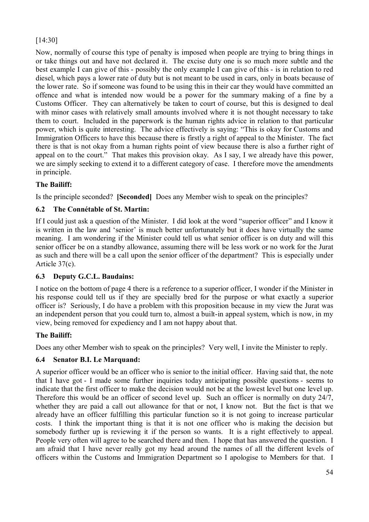# [14:30]

Now, normally of course this type of penalty is imposed when people are trying to bring things in or take things out and have not declared it. The excise duty one is so much more subtle and the best example I can give of this - possibly the only example I can give of this - is in relation to red diesel, which pays a lower rate of duty but is not meant to be used in cars, only in boats because of the lower rate. So if someone was found to be using this in their car they would have committed an offence and what is intended now would be a power for the summary making of a fine by a Customs Officer. They can alternatively be taken to court of course, but this is designed to deal with minor cases with relatively small amounts involved where it is not thought necessary to take them to court. Included in the paperwork is the human rights advice in relation to that particular power, which is quite interesting. The advice effectively is saying: "This is okay for Customs and Immigration Officers to have this because there is firstly a right of appeal to the Minister. The fact there is that is not okay from a human rights point of view because there is also a further right of appeal on to the court." That makes this provision okay. As I say, I we already have this power, we are simply seeking to extend it to a different category of case. I therefore move the amendments in principle.

# **The Bailiff:**

Is the principle seconded? **[Seconded]** Does any Member wish to speak on the principles?

# **6.2 The Connétable of St. Martin:**

If I could just ask a question of the Minister. I did look at the word "superior officer" and I know it is written in the law and 'senior' is much better unfortunately but it does have virtually the same meaning. I am wondering if the Minister could tell us what senior officer is on duty and will this senior officer be on a standby allowance, assuming there will be less work or no work for the Jurat as such and there will be a call upon the senior officer of the department? This is especially under Article 37(c).

### **6.3 Deputy G.C.L. Baudains:**

I notice on the bottom of page 4 there is a reference to a superior officer, I wonder if the Minister in his response could tell us if they are specially bred for the purpose or what exactly a superior officer is? Seriously, I do have a problem with this proposition because in my view the Jurat was an independent person that you could turn to, almost a built-in appeal system, which is now, in my view, being removed for expediency and I am not happy about that.

### **The Bailiff:**

Does any other Member wish to speak on the principles? Very well, I invite the Minister to reply.

# **6.4 Senator B.I. Le Marquand:**

A superior officer would be an officer who is senior to the initial officer. Having said that, the note that I have got - I made some further inquiries today anticipating possible questions - seems to indicate that the first officer to make the decision would not be at the lowest level but one level up. Therefore this would be an officer of second level up. Such an officer is normally on duty 24/7, whether they are paid a call out allowance for that or not, I know not. But the fact is that we already have an officer fulfilling this particular function so it is not going to increase particular costs. I think the important thing is that it is not one officer who is making the decision but somebody further up is reviewing it if the person so wants. It is a right effectively to appeal. People very often will agree to be searched there and then. I hope that has answered the question. I am afraid that I have never really got my head around the names of all the different levels of officers within the Customs and Immigration Department so I apologise to Members for that. I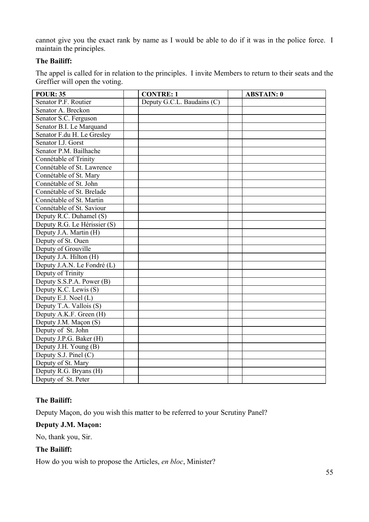cannot give you the exact rank by name as I would be able to do if it was in the police force. I maintain the principles.

### **The Bailiff:**

The appel is called for in relation to the principles. I invite Members to return to their seats and the Greffier will open the voting.

| <b>POUR: 35</b>              | <b>CONTRE: 1</b>           | <b>ABSTAIN: 0</b> |
|------------------------------|----------------------------|-------------------|
| Senator P.F. Routier         | Deputy G.C.L. Baudains (C) |                   |
| Senator A. Breckon           |                            |                   |
| Senator S.C. Ferguson        |                            |                   |
| Senator B.I. Le Marquand     |                            |                   |
| Senator F.du H. Le Gresley   |                            |                   |
| Senator I.J. Gorst           |                            |                   |
| Senator P.M. Bailhache       |                            |                   |
| Connétable of Trinity        |                            |                   |
| Connétable of St. Lawrence   |                            |                   |
| Connétable of St. Mary       |                            |                   |
| Connétable of St. John       |                            |                   |
| Connétable of St. Brelade    |                            |                   |
| Connétable of St. Martin     |                            |                   |
| Connétable of St. Saviour    |                            |                   |
| Deputy R.C. Duhamel (S)      |                            |                   |
| Deputy R.G. Le Hérissier (S) |                            |                   |
| Deputy J.A. Martin (H)       |                            |                   |
| Deputy of St. Ouen           |                            |                   |
| Deputy of Grouville          |                            |                   |
| Deputy J.A. Hilton (H)       |                            |                   |
| Deputy J.A.N. Le Fondré (L)  |                            |                   |
| Deputy of Trinity            |                            |                   |
| Deputy S.S.P.A. Power (B)    |                            |                   |
| Deputy K.C. Lewis (S)        |                            |                   |
| Deputy E.J. Noel (L)         |                            |                   |
| Deputy T.A. Vallois (S)      |                            |                   |
| Deputy A.K.F. Green (H)      |                            |                   |
| Deputy J.M. Maçon (S)        |                            |                   |
| Deputy of St. John           |                            |                   |
| Deputy J.P.G. Baker (H)      |                            |                   |
| Deputy J.H. Young (B)        |                            |                   |
| Deputy S.J. Pinel (C)        |                            |                   |
| Deputy of St. Mary           |                            |                   |
| Deputy R.G. Bryans (H)       |                            |                   |
| Deputy of St. Peter          |                            |                   |

### **The Bailiff:**

Deputy Maçon, do you wish this matter to be referred to your Scrutiny Panel?

### **Deputy J.M. Maçon:**

No, thank you, Sir.

## **The Bailiff:**

How do you wish to propose the Articles, *en bloc*, Minister?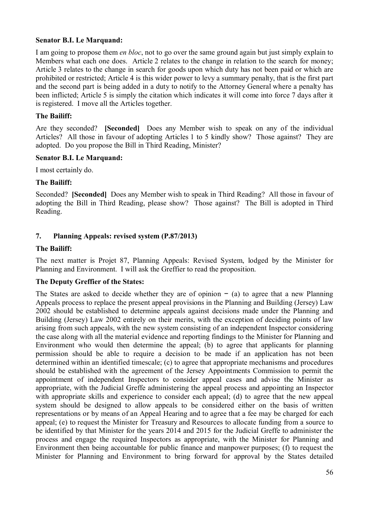### **Senator B.I. Le Marquand:**

I am going to propose them *en bloc*, not to go over the same ground again but just simply explain to Members what each one does. Article 2 relates to the change in relation to the search for money; Article 3 relates to the change in search for goods upon which duty has not been paid or which are prohibited or restricted; Article 4 is this wider power to levy a summary penalty, that is the first part and the second part is being added in a duty to notify to the Attorney General where a penalty has been inflicted; Article 5 is simply the citation which indicates it will come into force 7 days after it is registered. I move all the Articles together.

### **The Bailiff:**

Are they seconded? **[Seconded]** Does any Member wish to speak on any of the individual Articles? All those in favour of adopting Articles 1 to 5 kindly show? Those against? They are adopted. Do you propose the Bill in Third Reading, Minister?

### **Senator B.I. Le Marquand:**

I most certainly do.

### **The Bailiff:**

Seconded? **[Seconded]** Does any Member wish to speak in Third Reading? All those in favour of adopting the Bill in Third Reading, please show? Those against? The Bill is adopted in Third Reading.

## **7. Planning Appeals: revised system (P.87/2013)**

### **The Bailiff:**

The next matter is Projet 87, Planning Appeals: Revised System, lodged by the Minister for Planning and Environment. I will ask the Greffier to read the proposition.

### **The Deputy Greffier of the States:**

The States are asked to decide whether they are of opinion − (a) to agree that a new Planning Appeals process to replace the present appeal provisions in the Planning and Building (Jersey) Law 2002 should be established to determine appeals against decisions made under the Planning and Building (Jersey) Law 2002 entirely on their merits, with the exception of deciding points of law arising from such appeals, with the new system consisting of an independent Inspector considering the case along with all the material evidence and reporting findings to the Minister for Planning and Environment who would then determine the appeal; (b) to agree that applicants for planning permission should be able to require a decision to be made if an application has not been determined within an identified timescale; (c) to agree that appropriate mechanisms and procedures should be established with the agreement of the Jersey Appointments Commission to permit the appointment of independent Inspectors to consider appeal cases and advise the Minister as appropriate, with the Judicial Greffe administering the appeal process and appointing an Inspector with appropriate skills and experience to consider each appeal; (d) to agree that the new appeal system should be designed to allow appeals to be considered either on the basis of written representations or by means of an Appeal Hearing and to agree that a fee may be charged for each appeal; (e) to request the Minister for Treasury and Resources to allocate funding from a source to be identified by that Minister for the years 2014 and 2015 for the Judicial Greffe to administer the process and engage the required Inspectors as appropriate, with the Minister for Planning and Environment then being accountable for public finance and manpower purposes; (f) to request the Minister for Planning and Environment to bring forward for approval by the States detailed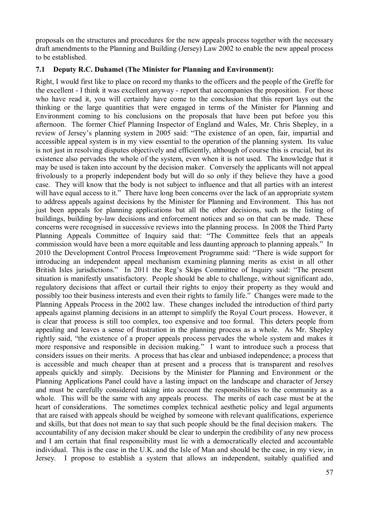proposals on the structures and procedures for the new appeals process together with the necessary draft amendments to the Planning and Building (Jersey) Law 2002 to enable the new appeal process to be established.

### **7.1 Deputy R.C. Duhamel (The Minister for Planning and Environment):**

Right, I would first like to place on record my thanks to the officers and the people of the Greffe for the excellent - I think it was excellent anyway - report that accompanies the proposition. For those who have read it, you will certainly have come to the conclusion that this report lays out the thinking or the large quantities that were engaged in terms of the Minister for Planning and Environment coming to his conclusions on the proposals that have been put before you this afternoon. The former Chief Planning Inspector of England and Wales, Mr. Chris Shepley, in a review of Jersey's planning system in 2005 said: "The existence of an open, fair, impartial and accessible appeal system is in my view essential to the operation of the planning system. Its value is not just in resolving disputes objectively and efficiently, although of course this is crucial, but its existence also pervades the whole of the system, even when it is not used. The knowledge that it may be used is taken into account by the decision maker. Conversely the applicants will not appeal frivolously to a properly independent body but will do so only if they believe they have a good case. They will know that the body is not subject to influence and that all parties with an interest will have equal access to it." There have long been concerns over the lack of an appropriate system to address appeals against decisions by the Minister for Planning and Environment. This has not just been appeals for planning applications but all the other decisions, such as the listing of buildings, building by-law decisions and enforcement notices and so on that can be made. These concerns were recognised in successive reviews into the planning process. In 2008 the Third Party Planning Appeals Committee of Inquiry said that: "The Committee feels that an appeals commission would have been a more equitable and less daunting approach to planning appeals." In 2010 the Development Control Process Improvement Programme said: "There is wide support for introducing an independent appeal mechanism examining planning merits as exist in all other British Isles jurisdictions." In 2011 the Reg's Skips Committee of Inquiry said: "The present situation is manifestly unsatisfactory. People should be able to challenge, without significant ado, regulatory decisions that affect or curtail their rights to enjoy their property as they would and possibly too their business interests and even their rights to family life." Changes were made to the Planning Appeals Process in the 2002 law. These changes included the introduction of third party appeals against planning decisions in an attempt to simplify the Royal Court process. However, it is clear that process is still too complex, too expensive and too formal. This deters people from appealing and leaves a sense of frustration in the planning process as a whole. As Mr. Shepley rightly said, "the existence of a proper appeals process pervades the whole system and makes it more responsive and responsible in decision making." I want to introduce such a process that considers issues on their merits. A process that has clear and unbiased independence; a process that is accessible and much cheaper than at present and a process that is transparent and resolves appeals quickly and simply. Decisions by the Minister for Planning and Environment or the Planning Applications Panel could have a lasting impact on the landscape and character of Jersey and must be carefully considered taking into account the responsibilities to the community as a whole. This will be the same with any appeals process. The merits of each case must be at the heart of considerations. The sometimes complex technical aesthetic policy and legal arguments that are raised with appeals should be weighed by someone with relevant qualifications, experience and skills, but that does not mean to say that such people should be the final decision makers. The accountability of any decision maker should be clear to underpin the credibility of any new process and I am certain that final responsibility must lie with a democratically elected and accountable individual. This is the case in the U.K. and the Isle of Man and should be the case, in my view, in Jersey. I propose to establish a system that allows an independent, suitably qualified and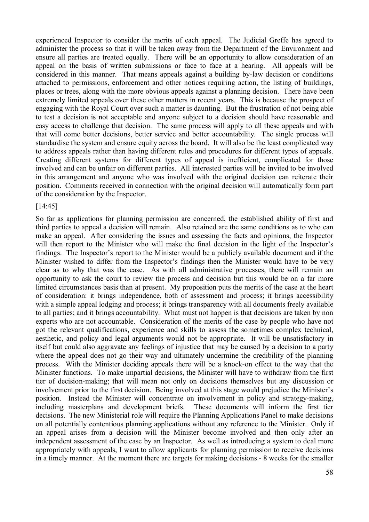experienced Inspector to consider the merits of each appeal. The Judicial Greffe has agreed to administer the process so that it will be taken away from the Department of the Environment and ensure all parties are treated equally. There will be an opportunity to allow consideration of an appeal on the basis of written submissions or face to face at a hearing. All appeals will be considered in this manner. That means appeals against a building by-law decision or conditions attached to permissions, enforcement and other notices requiring action, the listing of buildings, places or trees, along with the more obvious appeals against a planning decision. There have been extremely limited appeals over these other matters in recent years. This is because the prospect of engaging with the Royal Court over such a matter is daunting. But the frustration of not being able to test a decision is not acceptable and anyone subject to a decision should have reasonable and easy access to challenge that decision. The same process will apply to all these appeals and with that will come better decisions, better service and better accountability. The single process will standardise the system and ensure equity across the board. It will also be the least complicated way to address appeals rather than having different rules and procedures for different types of appeals. Creating different systems for different types of appeal is inefficient, complicated for those involved and can be unfair on different parties. All interested parties will be invited to be involved in this arrangement and anyone who was involved with the original decision can reiterate their position. Comments received in connection with the original decision will automatically form part of the consideration by the Inspector.

#### [14:45]

So far as applications for planning permission are concerned, the established ability of first and third parties to appeal a decision will remain. Also retained are the same conditions as to who can make an appeal. After considering the issues and assessing the facts and opinions, the Inspector will then report to the Minister who will make the final decision in the light of the Inspector's findings. The Inspector's report to the Minister would be a publicly available document and if the Minister wished to differ from the Inspector's findings then the Minister would have to be very clear as to why that was the case. As with all administrative processes, there will remain an opportunity to ask the court to review the process and decision but this would be on a far more limited circumstances basis than at present. My proposition puts the merits of the case at the heart of consideration: it brings independence, both of assessment and process; it brings accessibility with a simple appeal lodging and process; it brings transparency with all documents freely available to all parties; and it brings accountability. What must not happen is that decisions are taken by non experts who are not accountable. Consideration of the merits of the case by people who have not got the relevant qualifications, experience and skills to assess the sometimes complex technical, aesthetic, and policy and legal arguments would not be appropriate. It will be unsatisfactory in itself but could also aggravate any feelings of injustice that may be caused by a decision to a party where the appeal does not go their way and ultimately undermine the credibility of the planning process. With the Minister deciding appeals there will be a knock-on effect to the way that the Minister functions. To make impartial decisions, the Minister will have to withdraw from the first tier of decision-making; that will mean not only on decisions themselves but any discussion or involvement prior to the first decision. Being involved at this stage would prejudice the Minister's position. Instead the Minister will concentrate on involvement in policy and strategy-making, including masterplans and development briefs. These documents will inform the first tier decisions. The new Ministerial role will require the Planning Applications Panel to make decisions on all potentially contentious planning applications without any reference to the Minister. Only if an appeal arises from a decision will the Minister become involved and then only after an independent assessment of the case by an Inspector. As well as introducing a system to deal more appropriately with appeals, I want to allow applicants for planning permission to receive decisions in a timely manner. At the moment there are targets for making decisions - 8 weeks for the smaller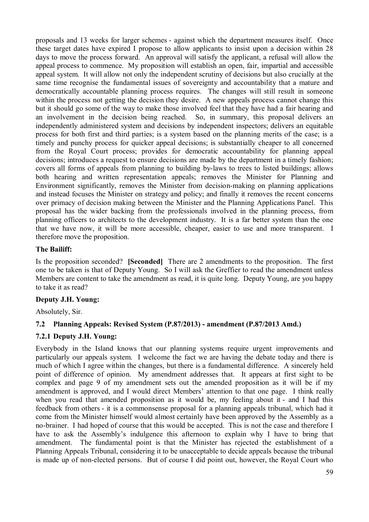proposals and 13 weeks for larger schemes - against which the department measures itself. Once these target dates have expired I propose to allow applicants to insist upon a decision within 28 days to move the process forward. An approval will satisfy the applicant, a refusal will allow the appeal process to commence. My proposition will establish an open, fair, impartial and accessible appeal system. It will allow not only the independent scrutiny of decisions but also crucially at the same time recognise the fundamental issues of sovereignty and accountability that a mature and democratically accountable planning process requires. The changes will still result in someone within the process not getting the decision they desire. A new appeals process cannot change this but it should go some of the way to make those involved feel that they have had a fair hearing and an involvement in the decision being reached. So, in summary, this proposal delivers an independently administered system and decisions by independent inspectors; delivers an equitable process for both first and third parties; is a system based on the planning merits of the case; is a timely and punchy process for quicker appeal decisions; is substantially cheaper to all concerned from the Royal Court process; provides for democratic accountability for planning appeal decisions; introduces a request to ensure decisions are made by the department in a timely fashion; covers all forms of appeals from planning to building by-laws to trees to listed buildings; allows both hearing and written representation appeals; removes the Minister for Planning and Environment significantly, removes the Minister from decision-making on planning applications and instead focuses the Minister on strategy and policy; and finally it removes the recent concerns over primacy of decision making between the Minister and the Planning Applications Panel. This proposal has the wider backing from the professionals involved in the planning process, from planning officers to architects to the development industry. It is a far better system than the one that we have now, it will be more accessible, cheaper, easier to use and more transparent. I therefore move the proposition.

## **The Bailiff:**

Is the proposition seconded? **[Seconded]** There are 2 amendments to the proposition. The first one to be taken is that of Deputy Young. So I will ask the Greffier to read the amendment unless Members are content to take the amendment as read, it is quite long. Deputy Young, are you happy to take it as read?

# **Deputy J.H. Young:**

Absolutely, Sir.

# **7.2 Planning Appeals: Revised System (P.87/2013) - amendment (P.87/2013 Amd.)**

# **7.2.1 Deputy J.H. Young:**

Everybody in the Island knows that our planning systems require urgent improvements and particularly our appeals system. I welcome the fact we are having the debate today and there is much of which I agree within the changes, but there is a fundamental difference. A sincerely held point of difference of opinion. My amendment addresses that. It appears at first sight to be complex and page 9 of my amendment sets out the amended proposition as it will be if my amendment is approved, and I would direct Members' attention to that one page. I think really when you read that amended proposition as it would be, my feeling about it - and I had this feedback from others - it is a commonsense proposal for a planning appeals tribunal, which had it come from the Minister himself would almost certainly have been approved by the Assembly as a no-brainer. I had hoped of course that this would be accepted. This is not the case and therefore I have to ask the Assembly's indulgence this afternoon to explain why I have to bring that amendment. The fundamental point is that the Minister has rejected the establishment of a Planning Appeals Tribunal, considering it to be unacceptable to decide appeals because the tribunal is made up of non-elected persons. But of course I did point out, however, the Royal Court who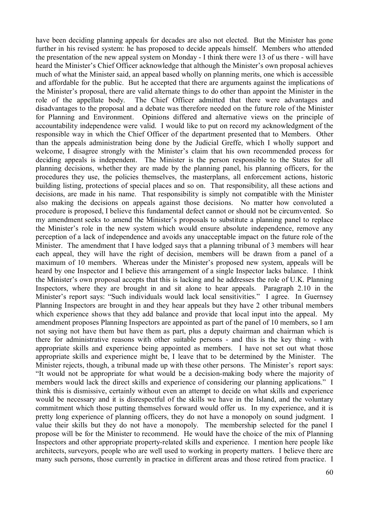have been deciding planning appeals for decades are also not elected. But the Minister has gone further in his revised system: he has proposed to decide appeals himself. Members who attended the presentation of the new appeal system on Monday - I think there were 13 of us there - will have heard the Minister's Chief Officer acknowledge that although the Minister's own proposal achieves much of what the Minister said, an appeal based wholly on planning merits, one which is accessible and affordable for the public. But he accepted that there are arguments against the implications of the Minister's proposal, there are valid alternate things to do other than appoint the Minister in the role of the appellate body. The Chief Officer admitted that there were advantages and disadvantages to the proposal and a debate was therefore needed on the future role of the Minister for Planning and Environment. Opinions differed and alternative views on the principle of accountability independence were valid. I would like to put on record my acknowledgment of the responsible way in which the Chief Officer of the department presented that to Members. Other than the appeals administration being done by the Judicial Greffe, which I wholly support and welcome, I disagree strongly with the Minister's claim that his own recommended process for deciding appeals is independent. The Minister is the person responsible to the States for all planning decisions, whether they are made by the planning panel, his planning officers, for the procedures they use, the policies themselves, the masterplans, all enforcement actions, historic building listing, protections of special places and so on. That responsibility, all these actions and decisions, are made in his name. That responsibility is simply not compatible with the Minister also making the decisions on appeals against those decisions. No matter how convoluted a procedure is proposed, I believe this fundamental defect cannot or should not be circumvented. So my amendment seeks to amend the Minister's proposals to substitute a planning panel to replace the Minister's role in the new system which would ensure absolute independence, remove any perception of a lack of independence and avoids any unacceptable impact on the future role of the Minister. The amendment that I have lodged says that a planning tribunal of 3 members will hear each appeal, they will have the right of decision, members will be drawn from a panel of a maximum of 10 members. Whereas under the Minister's proposed new system, appeals will be heard by one Inspector and I believe this arrangement of a single Inspector lacks balance. I think the Minister's own proposal accepts that this is lacking and he addresses the role of U.K. Planning Inspectors, where they are brought in and sit alone to hear appeals. Paragraph 2.10 in the Minister's report says: "Such individuals would lack local sensitivities." I agree. In Guernsey Planning Inspectors are brought in and they hear appeals but they have 2 other tribunal members which experience shows that they add balance and provide that local input into the appeal. My amendment proposes Planning Inspectors are appointed as part of the panel of 10 members, so I am not saying not have them but have them as part, plus a deputy chairman and chairman which is there for administrative reasons with other suitable persons - and this is the key thing - with appropriate skills and experience being appointed as members. I have not set out what those appropriate skills and experience might be, I leave that to be determined by the Minister. The Minister rejects, though, a tribunal made up with these other persons. The Minister's report says: "It would not be appropriate for what would be a decision-making body where the majority of members would lack the direct skills and experience of considering our planning applications." I think this is dismissive, certainly without even an attempt to decide on what skills and experience would be necessary and it is disrespectful of the skills we have in the Island, and the voluntary commitment which those putting themselves forward would offer us. In my experience, and it is pretty long experience of planning officers, they do not have a monopoly on sound judgment. I value their skills but they do not have a monopoly. The membership selected for the panel I propose will be for the Minister to recommend. He would have the choice of the mix of Planning Inspectors and other appropriate property-related skills and experience. I mention here people like architects, surveyors, people who are well used to working in property matters. I believe there are many such persons, those currently in practice in different areas and those retired from practice. I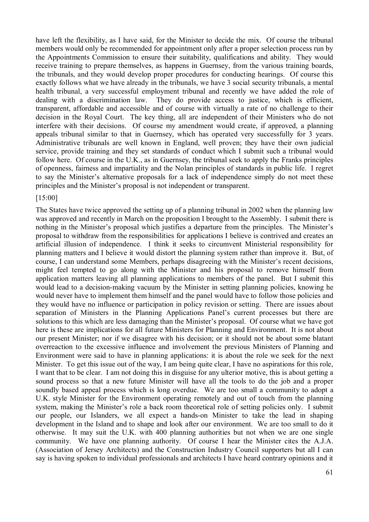have left the flexibility, as I have said, for the Minister to decide the mix. Of course the tribunal members would only be recommended for appointment only after a proper selection process run by the Appointments Commission to ensure their suitability, qualifications and ability. They would receive training to prepare themselves, as happens in Guernsey, from the various training boards, the tribunals, and they would develop proper procedures for conducting hearings. Of course this exactly follows what we have already in the tribunals, we have 3 social security tribunals, a mental health tribunal, a very successful employment tribunal and recently we have added the role of dealing with a discrimination law. They do provide access to justice, which is efficient, transparent, affordable and accessible and of course with virtually a rate of no challenge to their decision in the Royal Court. The key thing, all are independent of their Ministers who do not interfere with their decisions. Of course my amendment would create, if approved, a planning appeals tribunal similar to that in Guernsey, which has operated very successfully for 3 years. Administrative tribunals are well known in England, well proven; they have their own judicial service, provide training and they set standards of conduct which I submit such a tribunal would follow here. Of course in the U.K., as in Guernsey, the tribunal seek to apply the Franks principles of openness, fairness and impartiality and the Nolan principles of standards in public life. I regret to say the Minister's alternative proposals for a lack of independence simply do not meet these principles and the Minister's proposal is not independent or transparent.

#### [15:00]

The States have twice approved the setting up of a planning tribunal in 2002 when the planning law was approved and recently in March on the proposition I brought to the Assembly. I submit there is nothing in the Minister's proposal which justifies a departure from the principles. The Minister's proposal to withdraw from the responsibilities for applications I believe is contrived and creates an artificial illusion of independence. I think it seeks to circumvent Ministerial responsibility for planning matters and I believe it would distort the planning system rather than improve it. But, of course, I can understand some Members, perhaps disagreeing with the Minister's recent decisions, might feel tempted to go along with the Minister and his proposal to remove himself from application matters leaving all planning applications to members of the panel. But I submit this would lead to a decision-making vacuum by the Minister in setting planning policies, knowing he would never have to implement them himself and the panel would have to follow those policies and they would have no influence or participation in policy revision or setting. There are issues about separation of Ministers in the Planning Applications Panel's current processes but there are solutions to this which are less damaging than the Minister's proposal. Of course what we have got here is these are implications for all future Ministers for Planning and Environment. It is not about our present Minister; nor if we disagree with his decision; or it should not be about some blatant overreaction to the excessive influence and involvement the previous Ministers of Planning and Environment were said to have in planning applications: it is about the role we seek for the next Minister. To get this issue out of the way, I am being quite clear, I have no aspirations for this role, I want that to be clear. I am not doing this in disguise for any ulterior motive, this is about getting a sound process so that a new future Minister will have all the tools to do the job and a proper soundly based appeal process which is long overdue. We are too small a community to adopt a U.K. style Minister for the Environment operating remotely and out of touch from the planning system, making the Minister's role a back room theoretical role of setting policies only. I submit our people, our Islanders, we all expect a hands-on Minister to take the lead in shaping development in the Island and to shape and look after our environment. We are too small to do it otherwise. It may suit the U.K. with 400 planning authorities but not when we are one single community. We have one planning authority. Of course I hear the Minister cites the A.J.A. (Association of Jersey Architects) and the Construction Industry Council supporters but all I can say is having spoken to individual professionals and architects I have heard contrary opinions and it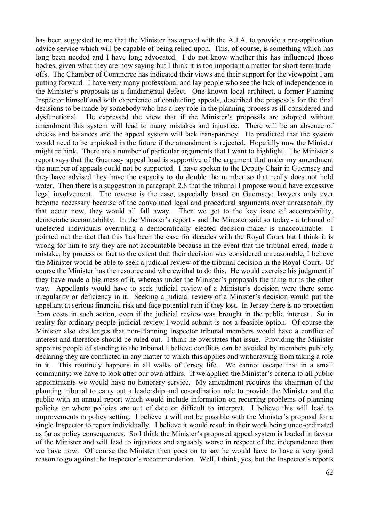has been suggested to me that the Minister has agreed with the A.J.A. to provide a pre-application advice service which will be capable of being relied upon. This, of course, is something which has long been needed and I have long advocated. I do not know whether this has influenced those bodies, given what they are now saying but I think it is too important a matter for short-term tradeoffs. The Chamber of Commerce has indicated their views and their support for the viewpoint I am putting forward. I have very many professional and lay people who see the lack of independence in the Minister's proposals as a fundamental defect. One known local architect, a former Planning Inspector himself and with experience of conducting appeals, described the proposals for the final decisions to be made by somebody who has a key role in the planning process as ill-considered and dysfunctional. He expressed the view that if the Minister's proposals are adopted without amendment this system will lead to many mistakes and injustice. There will be an absence of checks and balances and the appeal system will lack transparency. He predicted that the system would need to be unpicked in the future if the amendment is rejected. Hopefully now the Minister might rethink. There are a number of particular arguments that I want to highlight. The Minister's report says that the Guernsey appeal load is supportive of the argument that under my amendment the number of appeals could not be supported. I have spoken to the Deputy Chair in Guernsey and they have advised they have the capacity to do double the number so that really does not hold water. Then there is a suggestion in paragraph 2.8 that the tribunal I propose would have excessive legal involvement. The reverse is the case, especially based on Guernsey: lawyers only ever become necessary because of the convoluted legal and procedural arguments over unreasonability that occur now, they would all fall away. Then we get to the key issue of accountability, democratic accountability. In the Minister's report - and the Minister said so today - a tribunal of unelected individuals overruling a democratically elected decision-maker is unaccountable. I pointed out the fact that this has been the case for decades with the Royal Court but I think it is wrong for him to say they are not accountable because in the event that the tribunal erred, made a mistake, by process or fact to the extent that their decision was considered unreasonable, I believe the Minister would be able to seek a judicial review of the tribunal decision in the Royal Court. Of course the Minister has the resource and wherewithal to do this. He would exercise his judgment if they have made a big mess of it, whereas under the Minister's proposals the thing turns the other way. Appellants would have to seek judicial review of a Minister's decision were there some irregularity or deficiency in it. Seeking a judicial review of a Minister's decision would put the appellant at serious financial risk and face potential ruin if they lost. In Jersey there is no protection from costs in such action, even if the judicial review was brought in the public interest. So in reality for ordinary people judicial review I would submit is not a feasible option. Of course the Minister also challenges that non-Planning Inspector tribunal members would have a conflict of interest and therefore should be ruled out. I think he overstates that issue. Providing the Minister appoints people of standing to the tribunal I believe conflicts can be avoided by members publicly declaring they are conflicted in any matter to which this applies and withdrawing from taking a role in it. This routinely happens in all walks of Jersey life. We cannot escape that in a small community: we have to look after our own affairs. If we applied the Minister's criteria to all public appointments we would have no honorary service. My amendment requires the chairman of the planning tribunal to carry out a leadership and co-ordination role to provide the Minister and the public with an annual report which would include information on recurring problems of planning policies or where policies are out of date or difficult to interpret. I believe this will lead to improvements in policy setting. I believe it will not be possible with the Minister's proposal for a single Inspector to report individually. I believe it would result in their work being unco-ordinated as far as policy consequences. So I think the Minister's proposed appeal system is loaded in favour of the Minister and will lead to injustices and arguably worse in respect of the independence than we have now. Of course the Minister then goes on to say he would have to have a very good reason to go against the Inspector's recommendation. Well, I think, yes, but the Inspector's reports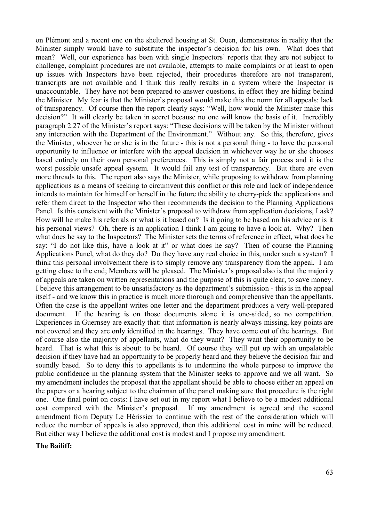on Plémont and a recent one on the sheltered housing at St. Ouen, demonstrates in reality that the Minister simply would have to substitute the inspector's decision for his own. What does that mean? Well, our experience has been with single Inspectors' reports that they are not subject to challenge, complaint procedures are not available, attempts to make complaints or at least to open up issues with Inspectors have been rejected, their procedures therefore are not transparent, transcripts are not available and I think this really results in a system where the Inspector is unaccountable. They have not been prepared to answer questions, in effect they are hiding behind the Minister. My fear is that the Minister's proposal would make this the norm for all appeals: lack of transparency. Of course then the report clearly says: "Well, how would the Minister make this decision?" It will clearly be taken in secret because no one will know the basis of it. Incredibly paragraph 2.27 of the Minister's report says: "These decisions will be taken by the Minister without any interaction with the Department of the Environment." Without any. So this, therefore, gives the Minister, whoever he or she is in the future - this is not a personal thing - to have the personal opportunity to influence or interfere with the appeal decision in whichever way he or she chooses based entirely on their own personal preferences. This is simply not a fair process and it is the worst possible unsafe appeal system. It would fail any test of transparency. But there are even more threads to this. The report also says the Minister, while proposing to withdraw from planning applications as a means of seeking to circumvent this conflict or this role and lack of independence intends to maintain for himself or herself in the future the ability to cherry-pick the applications and refer them direct to the Inspector who then recommends the decision to the Planning Applications Panel. Is this consistent with the Minister's proposal to withdraw from application decisions, I ask? How will he make his referrals or what is it based on? Is it going to be based on his advice or is it his personal views? Oh, there is an application I think I am going to have a look at. Why? Then what does he say to the Inspectors? The Minister sets the terms of reference in effect, what does he say: "I do not like this, have a look at it" or what does he say? Then of course the Planning Applications Panel, what do they do? Do they have any real choice in this, under such a system? I think this personal involvement there is to simply remove any transparency from the appeal. I am getting close to the end; Members will be pleased. The Minister's proposal also is that the majority of appeals are taken on written representations and the purpose of this is quite clear, to save money. I believe this arrangement to be unsatisfactory as the department's submission - this is in the appeal itself - and we know this in practice is much more thorough and comprehensive than the appellants. Often the case is the appellant writes one letter and the department produces a very well-prepared document. If the hearing is on those documents alone it is one-sided, so no competition. Experiences in Guernsey are exactly that: that information is nearly always missing, key points are not covered and they are only identified in the hearings. They have come out of the hearings. But of course also the majority of appellants, what do they want? They want their opportunity to be heard. That is what this is about: to be heard. Of course they will put up with an unpalatable decision if they have had an opportunity to be properly heard and they believe the decision fair and soundly based. So to deny this to appellants is to undermine the whole purpose to improve the public confidence in the planning system that the Minister seeks to approve and we all want. So my amendment includes the proposal that the appellant should be able to choose either an appeal on the papers or a hearing subject to the chairman of the panel making sure that procedure is the right one. One final point on costs: I have set out in my report what I believe to be a modest additional cost compared with the Minister's proposal. If my amendment is agreed and the second amendment from Deputy Le Hérissier to continue with the rest of the consideration which will reduce the number of appeals is also approved, then this additional cost in mine will be reduced. But either way I believe the additional cost is modest and I propose my amendment.

#### **The Bailiff:**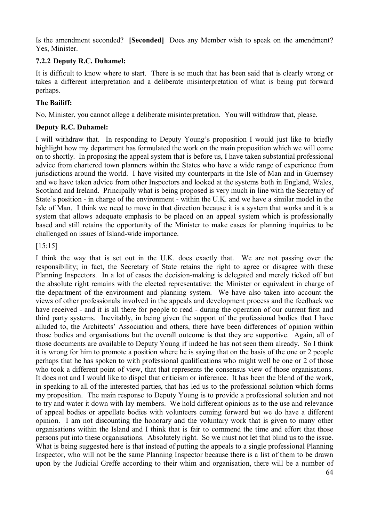Is the amendment seconded? **[Seconded]** Does any Member wish to speak on the amendment? Yes, Minister.

## **7.2.2 Deputy R.C. Duhamel:**

It is difficult to know where to start. There is so much that has been said that is clearly wrong or takes a different interpretation and a deliberate misinterpretation of what is being put forward perhaps.

## **The Bailiff:**

No, Minister, you cannot allege a deliberate misinterpretation. You will withdraw that, please.

### **Deputy R.C. Duhamel:**

I will withdraw that. In responding to Deputy Young's proposition I would just like to briefly highlight how my department has formulated the work on the main proposition which we will come on to shortly. In proposing the appeal system that is before us, I have taken substantial professional advice from chartered town planners within the States who have a wide range of experience from jurisdictions around the world. I have visited my counterparts in the Isle of Man and in Guernsey and we have taken advice from other Inspectors and looked at the systems both in England, Wales, Scotland and Ireland. Principally what is being proposed is very much in line with the Secretary of State's position - in charge of the environment - within the U.K. and we have a similar model in the Isle of Man. I think we need to move in that direction because it is a system that works and it is a system that allows adequate emphasis to be placed on an appeal system which is professionally based and still retains the opportunity of the Minister to make cases for planning inquiries to be challenged on issues of Island-wide importance.

### [15:15]

I think the way that is set out in the U.K. does exactly that. We are not passing over the responsibility; in fact, the Secretary of State retains the right to agree or disagree with these Planning Inspectors. In a lot of cases the decision-making is delegated and merely ticked off but the absolute right remains with the elected representative: the Minister or equivalent in charge of the department of the environment and planning system. We have also taken into account the views of other professionals involved in the appeals and development process and the feedback we have received - and it is all there for people to read - during the operation of our current first and third party systems. Inevitably, in being given the support of the professional bodies that I have alluded to, the Architects' Association and others, there have been differences of opinion within those bodies and organisations but the overall outcome is that they are supportive. Again, all of those documents are available to Deputy Young if indeed he has not seen them already. So I think it is wrong for him to promote a position where he is saying that on the basis of the one or 2 people perhaps that he has spoken to with professional qualifications who might well be one or 2 of those who took a different point of view, that that represents the consensus view of those organisations. It does not and I would like to dispel that criticism or inference. It has been the blend of the work, in speaking to all of the interested parties, that has led us to the professional solution which forms my proposition. The main response to Deputy Young is to provide a professional solution and not to try and water it down with lay members. We hold different opinions as to the use and relevance of appeal bodies or appellate bodies with volunteers coming forward but we do have a different opinion. I am not discounting the honorary and the voluntary work that is given to many other organisations within the Island and I think that is fair to commend the time and effort that those persons put into these organisations. Absolutely right. So we must not let that blind us to the issue. What is being suggested here is that instead of putting the appeals to a single professional Planning Inspector, who will not be the same Planning Inspector because there is a list of them to be drawn upon by the Judicial Greffe according to their whim and organisation, there will be a number of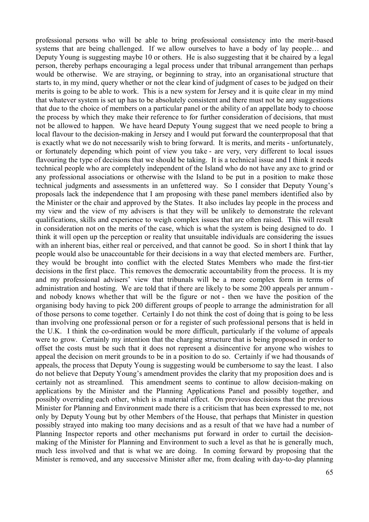professional persons who will be able to bring professional consistency into the merit-based systems that are being challenged. If we allow ourselves to have a body of lay people… and Deputy Young is suggesting maybe 10 or others. He is also suggesting that it be chaired by a legal person, thereby perhaps encouraging a legal process under that tribunal arrangement than perhaps would be otherwise. We are straying, or beginning to stray, into an organisational structure that starts to, in my mind, query whether or not the clear kind of judgment of cases to be judged on their merits is going to be able to work. This is a new system for Jersey and it is quite clear in my mind that whatever system is set up has to be absolutely consistent and there must not be any suggestions that due to the choice of members on a particular panel or the ability of an appellate body to choose the process by which they make their reference to for further consideration of decisions, that must not be allowed to happen. We have heard Deputy Young suggest that we need people to bring a local flavour to the decision-making in Jersey and I would put forward the counterproposal that that is exactly what we do not necessarily wish to bring forward. It is merits, and merits - unfortunately, or fortunately depending which point of view you take - are very, very different to local issues flavouring the type of decisions that we should be taking. It is a technical issue and I think it needs technical people who are completely independent of the Island who do not have any axe to grind or any professional associations or otherwise with the Island to be put in a position to make those technical judgments and assessments in an unfettered way. So I consider that Deputy Young's proposals lack the independence that I am proposing with these panel members identified also by the Minister or the chair and approved by the States. It also includes lay people in the process and my view and the view of my advisers is that they will be unlikely to demonstrate the relevant qualifications, skills and experience to weigh complex issues that are often raised. This will result in consideration not on the merits of the case, which is what the system is being designed to do. I think it will open up the perception or reality that unsuitable individuals are considering the issues with an inherent bias, either real or perceived, and that cannot be good. So in short I think that lay people would also be unaccountable for their decisions in a way that elected members are. Further, they would be brought into conflict with the elected States Members who made the first-tier decisions in the first place. This removes the democratic accountability from the process. It is my and my professional advisers' view that tribunals will be a more complex form in terms of administration and hosting. We are told that if there are likely to be some 200 appeals per annum and nobody knows whether that will be the figure or not - then we have the position of the organising body having to pick 200 different groups of people to arrange the administration for all of those persons to come together. Certainly I do not think the cost of doing that is going to be less than involving one professional person or for a register of such professional persons that is held in the U.K. I think the co-ordination would be more difficult, particularly if the volume of appeals were to grow. Certainly my intention that the charging structure that is being proposed in order to offset the costs must be such that it does not represent a disincentive for anyone who wishes to appeal the decision on merit grounds to be in a position to do so. Certainly if we had thousands of appeals, the process that Deputy Young is suggesting would be cumbersome to say the least. I also do not believe that Deputy Young's amendment provides the clarity that my proposition does and is certainly not as streamlined. This amendment seems to continue to allow decision-making on applications by the Minister and the Planning Applications Panel and possibly together, and possibly overriding each other, which is a material effect. On previous decisions that the previous Minister for Planning and Environment made there is a criticism that has been expressed to me, not only by Deputy Young but by other Members of the House, that perhaps that Minister in question possibly strayed into making too many decisions and as a result of that we have had a number of Planning Inspector reports and other mechanisms put forward in order to curtail the decisionmaking of the Minister for Planning and Environment to such a level as that he is generally much, much less involved and that is what we are doing. In coming forward by proposing that the Minister is removed, and any successive Minister after me, from dealing with day-to-day planning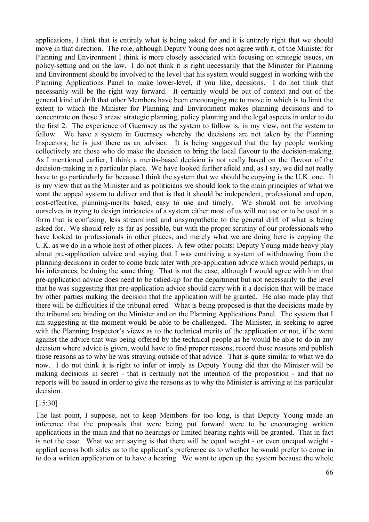applications, I think that is entirely what is being asked for and it is entirely right that we should move in that direction. The role, although Deputy Young does not agree with it, of the Minister for Planning and Environment I think is more closely associated with focusing on strategic issues, on policy-setting and on the law. I do not think it is right necessarily that the Minister for Planning and Environment should be involved to the level that his system would suggest in working with the Planning Applications Panel to make lower-level, if you like, decisions. I do not think that necessarily will be the right way forward. It certainly would be out of context and out of the general kind of drift that other Members have been encouraging me to move in which is to limit the extent to which the Minister for Planning and Environment makes planning decisions and to concentrate on those 3 areas: strategic planning, policy planning and the legal aspects in order to do the first 2. The experience of Guernsey as the system to follow is, in my view, not the system to follow. We have a system in Guernsey whereby the decisions are not taken by the Planning Inspectors; he is just there as an adviser. It is being suggested that the lay people working collectively are those who do make the decision to bring the local flavour to the decision-making. As I mentioned earlier, I think a merits-based decision is not really based on the flavour of the decision-making in a particular place. We have looked further afield and, as I say, we did not really have to go particularly far because I think the system that we should be copying is the U.K. one. It is my view that as the Minister and as politicians we should look to the main principles of what we want the appeal system to deliver and that is that it should be independent, professional and open, cost-effective, planning-merits based, easy to use and timely. We should not be involving ourselves in trying to design intricacies of a system either most of us will not use or to be used in a form that is confusing, less streamlined and unsympathetic to the general drift of what is being asked for. We should rely as far as possible, but with the proper scrutiny of our professionals who have looked to professionals in other places, and merely what we are doing here is copying the U.K. as we do in a whole host of other places. A few other points: Deputy Young made heavy play about pre-application advice and saying that I was contriving a system of withdrawing from the planning decisions in order to come back later with pre-application advice which would perhaps, in his inferences, be doing the same thing. That is not the case, although I would agree with him that pre-application advice does need to be tidied-up for the department but not necessarily to the level that he was suggesting that pre-application advice should carry with it a decision that will be made by other parties making the decision that the application will be granted. He also made play that there will be difficulties if the tribunal erred. What is being proposed is that the decisions made by the tribunal are binding on the Minister and on the Planning Applications Panel. The system that I am suggesting at the moment would be able to be challenged. The Minister, in seeking to agree with the Planning Inspector's views as to the technical merits of the application or not, if he went against the advice that was being offered by the technical people as he would be able to do in any decision where advice is given, would have to find proper reasons, record those reasons and publish those reasons as to why he was straying outside of that advice. That is quite similar to what we do now. I do not think it is right to infer or imply as Deputy Young did that the Minister will be making decisions in secret - that is certainly not the intention of the proposition - and that no reports will be issued in order to give the reasons as to why the Minister is arriving at his particular decision.

#### [15:30]

The last point, I suppose, not to keep Members for too long, is that Deputy Young made an inference that the proposals that were being put forward were to be encouraging written applications in the main and that no hearings or limited hearing rights will be granted. That in fact is not the case. What we are saying is that there will be equal weight - or even unequal weight applied across both sides as to the applicant's preference as to whether he would prefer to come in to do a written application or to have a hearing. We want to open up the system because the whole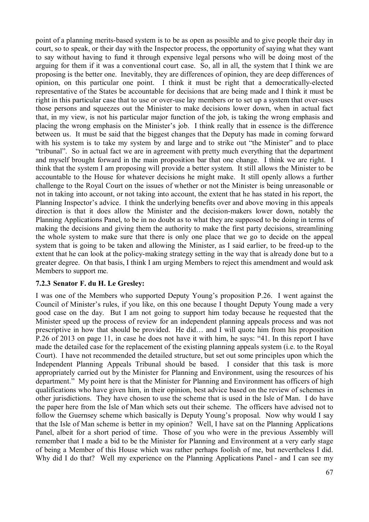point of a planning merits-based system is to be as open as possible and to give people their day in court, so to speak, or their day with the Inspector process, the opportunity of saying what they want to say without having to fund it through expensive legal persons who will be doing most of the arguing for them if it was a conventional court case. So, all in all, the system that I think we are proposing is the better one. Inevitably, they are differences of opinion, they are deep differences of opinion, on this particular one point. I think it must be right that a democratically-elected representative of the States be accountable for decisions that are being made and I think it must be right in this particular case that to use or over-use lay members or to set up a system that over-uses those persons and squeezes out the Minister to make decisions lower down, when in actual fact that, in my view, is not his particular major function of the job, is taking the wrong emphasis and placing the wrong emphasis on the Minister's job. I think really that in essence is the difference between us. It must be said that the biggest changes that the Deputy has made in coming forward with his system is to take my system by and large and to strike out "the Minister" and to place "tribunal". So in actual fact we are in agreement with pretty much everything that the department and myself brought forward in the main proposition bar that one change. I think we are right. I think that the system I am proposing will provide a better system. It still allows the Minister to be accountable to the House for whatever decisions he might make. It still openly allows a further challenge to the Royal Court on the issues of whether or not the Minister is being unreasonable or not in taking into account, or not taking into account, the extent that he has stated in his report, the Planning Inspector's advice. I think the underlying benefits over and above moving in this appeals direction is that it does allow the Minister and the decision-makers lower down, notably the Planning Applications Panel, to be in no doubt as to what they are supposed to be doing in terms of making the decisions and giving them the authority to make the first party decisions, streamlining the whole system to make sure that there is only one place that we go to decide on the appeal system that is going to be taken and allowing the Minister, as I said earlier, to be freed-up to the extent that he can look at the policy-making strategy setting in the way that is already done but to a greater degree. On that basis, I think I am urging Members to reject this amendment and would ask Members to support me.

### **7.2.3 Senator F. du H. Le Gresley:**

I was one of the Members who supported Deputy Young's proposition P.26. I went against the Council of Minister's rules, if you like, on this one because I thought Deputy Young made a very good case on the day. But I am not going to support him today because he requested that the Minister speed up the process of review for an independent planning appeals process and was not prescriptive in how that should be provided. He did… and I will quote him from his proposition P.26 of 2013 on page 11, in case he does not have it with him, he says: "41. In this report I have made the detailed case for the replacement of the existing planning appeals system (i.e. to the Royal Court). I have not recommended the detailed structure, but set out some principles upon which the Independent Planning Appeals Tribunal should be based. I consider that this task is more appropriately carried out by the Minister for Planning and Environment, using the resources of his department." My point here is that the Minister for Planning and Environment has officers of high qualifications who have given him, in their opinion, best advice based on the review of schemes in other jurisdictions. They have chosen to use the scheme that is used in the Isle of Man. I do have the paper here from the Isle of Man which sets out their scheme. The officers have advised not to follow the Guernsey scheme which basically is Deputy Young's proposal. Now why would I say that the Isle of Man scheme is better in my opinion? Well, I have sat on the Planning Applications Panel, albeit for a short period of time. Those of you who were in the previous Assembly will remember that I made a bid to be the Minister for Planning and Environment at a very early stage of being a Member of this House which was rather perhaps foolish of me, but nevertheless I did. Why did I do that? Well my experience on the Planning Applications Panel - and I can see my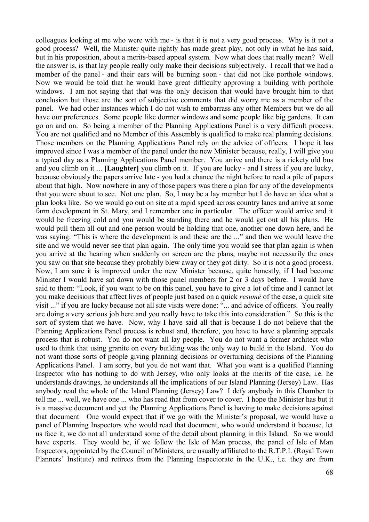colleagues looking at me who were with me - is that it is not a very good process. Why is it not a good process? Well, the Minister quite rightly has made great play, not only in what he has said, but in his proposition, about a merits-based appeal system. Now what does that really mean? Well the answer is, is that lay people really only make their decisions subjectively. I recall that we had a member of the panel - and their ears will be burning soon - that did not like porthole windows. Now we would be told that he would have great difficulty approving a building with porthole windows. I am not saying that that was the only decision that would have brought him to that conclusion but those are the sort of subjective comments that did worry me as a member of the panel. We had other instances which I do not wish to embarrass any other Members but we do all have our preferences. Some people like dormer windows and some people like big gardens. It can go on and on. So being a member of the Planning Applications Panel is a very difficult process. You are not qualified and no Member of this Assembly is qualified to make real planning decisions. Those members on the Planning Applications Panel rely on the advice of officers. I hope it has improved since I was a member of the panel under the new Minister because, really, I will give you a typical day as a Planning Applications Panel member. You arrive and there is a rickety old bus and you climb on it ... **[Laughter]** you climb on it. If you are lucky - and I stress if you are lucky, because obviously the papers arrive late - you had a chance the night before to read a pile of papers about that high. Now nowhere in any of those papers was there a plan for any of the developments that you were about to see. Not one plan. So, I may be a lay member but I do have an idea what a plan looks like. So we would go out on site at a rapid speed across country lanes and arrive at some farm development in St. Mary, and I remember one in particular. The officer would arrive and it would be freezing cold and you would be standing there and he would get out all his plans. He would pull them all out and one person would be holding that one, another one down here, and he was saying: "This is where the development is and these are the ..." and then we would leave the site and we would never see that plan again. The only time you would see that plan again is when you arrive at the hearing when suddenly on screen are the plans, maybe not necessarily the ones you saw on that site because they probably blew away or they got dirty. So it is not a good process. Now, I am sure it is improved under the new Minister because, quite honestly, if I had become Minister I would have sat down with those panel members for 2 or 3 days before. I would have said to them: "Look, if you want to be on this panel, you have to give a lot of time and I cannot let you make decisions that affect lives of people just based on a quick *resumé* of the case, a quick site visit ..." if you are lucky because not all site visits were done: "... and advice of officers. You really are doing a very serious job here and you really have to take this into consideration." So this is the sort of system that we have. Now, why I have said all that is because I do not believe that the Planning Applications Panel process is robust and, therefore, you have to have a planning appeals process that is robust. You do not want all lay people. You do not want a former architect who used to think that using granite on every building was the only way to build in the Island. You do not want those sorts of people giving planning decisions or overturning decisions of the Planning Applications Panel. I am sorry, but you do not want that. What you want is a qualified Planning Inspector who has nothing to do with Jersey, who only looks at the merits of the case, i.e. he understands drawings, he understands all the implications of our Island Planning (Jersey) Law. Has anybody read the whole of the Island Planning (Jersey) Law? I defy anybody in this Chamber to tell me ... well, we have one ... who has read that from cover to cover. I hope the Minister has but it is a massive document and yet the Planning Applications Panel is having to make decisions against that document. One would expect that if we go with the Minister's proposal, we would have a panel of Planning Inspectors who would read that document, who would understand it because, let us face it, we do not all understand some of the detail about planning in this Island. So we would have experts. They would be, if we follow the Isle of Man process, the panel of Isle of Man Inspectors, appointed by the Council of Ministers, are usually affiliated to the R.T.P.I. (Royal Town Planners' Institute) and retirees from the Planning Inspectorate in the U.K., i.e. they are from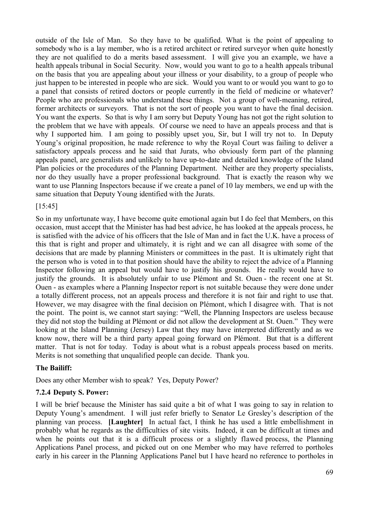outside of the Isle of Man. So they have to be qualified. What is the point of appealing to somebody who is a lay member, who is a retired architect or retired surveyor when quite honestly they are not qualified to do a merits based assessment. I will give you an example, we have a health appeals tribunal in Social Security. Now, would you want to go to a health appeals tribunal on the basis that you are appealing about your illness or your disability, to a group of people who just happen to be interested in people who are sick. Would you want to or would you want to go to a panel that consists of retired doctors or people currently in the field of medicine or whatever? People who are professionals who understand these things. Not a group of well-meaning, retired, former architects or surveyors. That is not the sort of people you want to have the final decision. You want the experts. So that is why I am sorry but Deputy Young has not got the right solution to the problem that we have with appeals. Of course we need to have an appeals process and that is why I supported him. I am going to possibly upset you, Sir, but I will try not to. In Deputy Young's original proposition, he made reference to why the Royal Court was failing to deliver a satisfactory appeals process and he said that Jurats, who obviously form part of the planning appeals panel, are generalists and unlikely to have up-to-date and detailed knowledge of the Island Plan policies or the procedures of the Planning Department. Neither are they property specialists, nor do they usually have a proper professional background. That is exactly the reason why we want to use Planning Inspectors because if we create a panel of 10 lay members, we end up with the same situation that Deputy Young identified with the Jurats.

### [15:45]

So in my unfortunate way, I have become quite emotional again but I do feel that Members, on this occasion, must accept that the Minister has had best advice, he has looked at the appeals process, he is satisfied with the advice of his officers that the Isle of Man and in fact the U.K. have a process of this that is right and proper and ultimately, it is right and we can all disagree with some of the decisions that are made by planning Ministers or committees in the past. It is ultimately right that the person who is voted in to that position should have the ability to reject the advice of a Planning Inspector following an appeal but would have to justify his grounds. He really would have to justify the grounds. It is absolutely unfair to use Plémont and St. Ouen - the recent one at St. Ouen - as examples where a Planning Inspector report is not suitable because they were done under a totally different process, not an appeals process and therefore it is not fair and right to use that. However, we may disagree with the final decision on Plémont, which I disagree with. That is not the point. The point is, we cannot start saying: "Well, the Planning Inspectors are useless because they did not stop the building at Plémont or did not allow the development at St. Ouen." They were looking at the Island Planning (Jersey) Law that they may have interpreted differently and as we know now, there will be a third party appeal going forward on Plémont. But that is a different matter. That is not for today. Today is about what is a robust appeals process based on merits. Merits is not something that unqualified people can decide. Thank you.

### **The Bailiff:**

Does any other Member wish to speak? Yes, Deputy Power?

### **7.2.4 Deputy S. Power:**

I will be brief because the Minister has said quite a bit of what I was going to say in relation to Deputy Young's amendment. I will just refer briefly to Senator Le Gresley's description of the planning van process. **[Laughter]** In actual fact, I think he has used a little embellishment in probably what he regards as the difficulties of site visits. Indeed, it can be difficult at times and when he points out that it is a difficult process or a slightly flawed process, the Planning Applications Panel process, and picked out on one Member who may have referred to portholes early in his career in the Planning Applications Panel but I have heard no reference to portholes in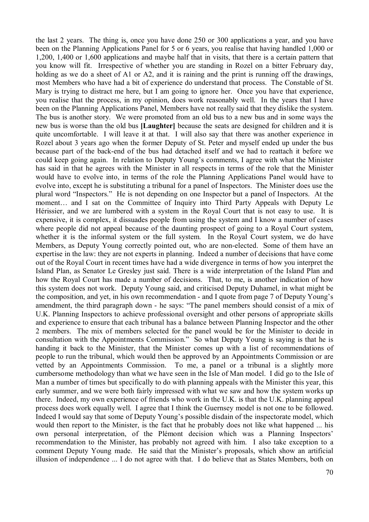the last 2 years. The thing is, once you have done 250 or 300 applications a year, and you have been on the Planning Applications Panel for 5 or 6 years, you realise that having handled 1,000 or 1,200, 1,400 or 1,600 applications and maybe half that in visits, that there is a certain pattern that you know will fit. Irrespective of whether you are standing in Rozel on a bitter February day, holding as we do a sheet of A1 or A2, and it is raining and the print is running off the drawings, most Members who have had a bit of experience do understand that process. The Constable of St. Mary is trying to distract me here, but I am going to ignore her. Once you have that experience, you realise that the process, in my opinion, does work reasonably well. In the years that I have been on the Planning Applications Panel, Members have not really said that they dislike the system. The bus is another story. We were promoted from an old bus to a new bus and in some ways the new bus is worse than the old bus **[Laughter]** because the seats are designed for children and it is quite uncomfortable. I will leave it at that. I will also say that there was another experience in Rozel about 3 years ago when the former Deputy of St. Peter and myself ended up under the bus because part of the back-end of the bus had detached itself and we had to reattach it before we could keep going again. In relation to Deputy Young's comments, I agree with what the Minister has said in that he agrees with the Minister in all respects in terms of the role that the Minister would have to evolve into, in terms of the role the Planning Applications Panel would have to evolve into, except he is substituting a tribunal for a panel of Inspectors. The Minister does use the plural word "Inspectors." He is not depending on one Inspector but a panel of Inspectors. At the moment… and I sat on the Committee of Inquiry into Third Party Appeals with Deputy Le Hérissier, and we are lumbered with a system in the Royal Court that is not easy to use. It is expensive, it is complex, it dissuades people from using the system and I know a number of cases where people did not appeal because of the daunting prospect of going to a Royal Court system, whether it is the informal system or the full system. In the Royal Court system, we do have Members, as Deputy Young correctly pointed out, who are non-elected. Some of them have an expertise in the law: they are not experts in planning. Indeed a number of decisions that have come out of the Royal Court in recent times have had a wide divergence in terms of how you interpret the Island Plan, as Senator Le Gresley just said. There is a wide interpretation of the Island Plan and how the Royal Court has made a number of decisions. That, to me, is another indication of how this system does not work. Deputy Young said, and criticised Deputy Duhamel, in what might be the composition, and yet, in his own recommendation - and I quote from page 7 of Deputy Young's amendment, the third paragraph down - he says: "The panel members should consist of a mix of U.K. Planning Inspectors to achieve professional oversight and other persons of appropriate skills and experience to ensure that each tribunal has a balance between Planning Inspector and the other 2 members. The mix of members selected for the panel would be for the Minister to decide in consultation with the Appointments Commission." So what Deputy Young is saying is that he is handing it back to the Minister, that the Minister comes up with a list of recommendations of people to run the tribunal, which would then be approved by an Appointments Commission or are vetted by an Appointments Commission. To me, a panel or a tribunal is a slightly more cumbersome methodology than what we have seen in the Isle of Man model. I did go to the Isle of Man a number of times but specifically to do with planning appeals with the Minister this year, this early summer, and we were both fairly impressed with what we saw and how the system works up there. Indeed, my own experience of friends who work in the U.K. is that the U.K. planning appeal process does work equally well. I agree that I think the Guernsey model is not one to be followed. Indeed I would say that some of Deputy Young's possible disdain of the inspectorate model, which would then report to the Minister, is the fact that he probably does not like what happened ... his own personal interpretation, of the Plémont decision which was a Planning Inspectors' recommendation to the Minister, has probably not agreed with him. I also take exception to a comment Deputy Young made. He said that the Minister's proposals, which show an artificial illusion of independence ... I do not agree with that. I do believe that as States Members, both on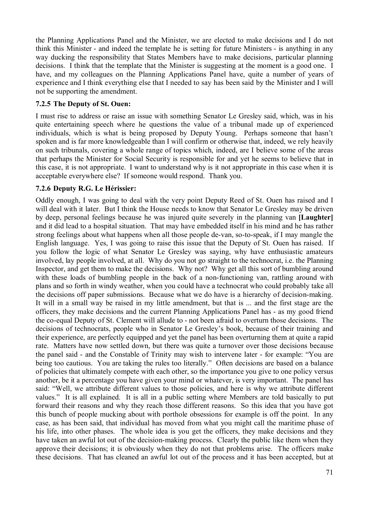the Planning Applications Panel and the Minister, we are elected to make decisions and I do not think this Minister - and indeed the template he is setting for future Ministers - is anything in any way ducking the responsibility that States Members have to make decisions, particular planning decisions. I think that the template that the Minister is suggesting at the moment is a good one. I have, and my colleagues on the Planning Applications Panel have, quite a number of years of experience and I think everything else that I needed to say has been said by the Minister and I will not be supporting the amendment.

### **7.2.5 The Deputy of St. Ouen:**

I must rise to address or raise an issue with something Senator Le Gresley said, which, was in his quite entertaining speech where he questions the value of a tribunal made up of experienced individuals, which is what is being proposed by Deputy Young. Perhaps someone that hasn't spoken and is far more knowledgeable than I will confirm or otherwise that, indeed, we rely heavily on such tribunals, covering a whole range of topics which, indeed, are I believe some of the areas that perhaps the Minister for Social Security is responsible for and yet he seems to believe that in this case, it is not appropriate. I want to understand why is it not appropriate in this case when it is acceptable everywhere else? If someone would respond. Thank you.

### **7.2.6 Deputy R.G. Le Hérissier:**

Oddly enough, I was going to deal with the very point Deputy Reed of St. Ouen has raised and I will deal with it later. But I think the House needs to know that Senator Le Gresley may be driven by deep, personal feelings because he was injured quite severely in the planning van **[Laughter]** and it did lead to a hospital situation. That may have embedded itself in his mind and he has rather strong feelings about what happens when all those people de-van, so-to-speak, if I may mangle the English language. Yes, I was going to raise this issue that the Deputy of St. Ouen has raised. If you follow the logic of what Senator Le Gresley was saying, why have enthusiastic amateurs involved, lay people involved, at all. Why do you not go straight to the technocrat, i.e. the Planning Inspector, and get them to make the decisions. Why not? Why get all this sort of bumbling around with these loads of bumbling people in the back of a non-functioning van, rattling around with plans and so forth in windy weather, when you could have a technocrat who could probably take all the decisions off paper submissions. Because what we do have is a hierarchy of decision-making. It will in a small way be raised in my little amendment, but that is ... and the first stage are the officers, they make decisions and the current Planning Applications Panel has - as my good friend the co-equal Deputy of St. Clement will allude to - not been afraid to overturn those decisions. The decisions of technocrats, people who in Senator Le Gresley's book, because of their training and their experience, are perfectly equipped and yet the panel has been overturning them at quite a rapid rate. Matters have now settled down, but there was quite a turnover over those decisions because the panel said - and the Constable of Trinity may wish to intervene later - for example: "You are being too cautious. You are taking the rules too literally." Often decisions are based on a balance of policies that ultimately compete with each other, so the importance you give to one policy versus another, be it a percentage you have given your mind or whatever, is very important. The panel has said: "Well, we attribute different values to those policies, and here is why we attribute different values." It is all explained. It is all in a public setting where Members are told basically to put forward their reasons and why they reach those different reasons. So this idea that you have got this bunch of people mucking about with porthole obsessions for example is off the point. In any case, as has been said, that individual has moved from what you might call the maritime phase of his life, into other phases. The whole idea is you get the officers, they make decisions and they have taken an awful lot out of the decision-making process. Clearly the public like them when they approve their decisions; it is obviously when they do not that problems arise. The officers make these decisions. That has cleaned an awful lot out of the process and it has been accepted, but at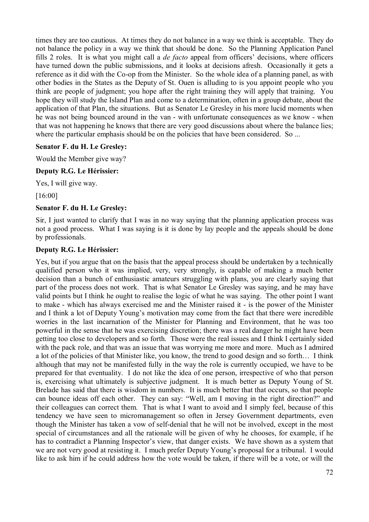times they are too cautious. At times they do not balance in a way we think is acceptable. They do not balance the policy in a way we think that should be done. So the Planning Application Panel fills 2 roles. It is what you might call a *de facto* appeal from officers' decisions, where officers have turned down the public submissions, and it looks at decisions afresh. Occasionally it gets a reference as it did with the Co-op from the Minister. So the whole idea of a planning panel, as with other bodies in the States as the Deputy of St. Ouen is alluding to is you appoint people who you think are people of judgment; you hope after the right training they will apply that training. You hope they will study the Island Plan and come to a determination, often in a group debate, about the application of that Plan, the situations. But as Senator Le Gresley in his more lucid moments when he was not being bounced around in the van - with unfortunate consequences as we know - when that was not happening he knows that there are very good discussions about where the balance lies; where the particular emphasis should be on the policies that have been considered. So ...

### **Senator F. du H. Le Gresley:**

Would the Member give way?

### **Deputy R.G. Le Hérissier:**

Yes, I will give way.

[16:00]

# **Senator F. du H. Le Gresley:**

Sir, I just wanted to clarify that I was in no way saying that the planning application process was not a good process. What I was saying is it is done by lay people and the appeals should be done by professionals.

### **Deputy R.G. Le Hérissier:**

Yes, but if you argue that on the basis that the appeal process should be undertaken by a technically qualified person who it was implied, very, very strongly, is capable of making a much better decision than a bunch of enthusiastic amateurs struggling with plans, you are clearly saying that part of the process does not work. That is what Senator Le Gresley was saying, and he may have valid points but I think he ought to realise the logic of what he was saying. The other point I want to make - which has always exercised me and the Minister raised it - is the power of the Minister and I think a lot of Deputy Young's motivation may come from the fact that there were incredible worries in the last incarnation of the Minister for Planning and Environment, that he was too powerful in the sense that he was exercising discretion; there was a real danger he might have been getting too close to developers and so forth. Those were the real issues and I think I certainly sided with the pack role, and that was an issue that was worrying me more and more. Much as I admired a lot of the policies of that Minister like, you know, the trend to good design and so forth… I think although that may not be manifested fully in the way the role is currently occupied, we have to be prepared for that eventuality. I do not like the idea of one person, irrespective of who that person is, exercising what ultimately is subjective judgment. It is much better as Deputy Young of St. Brelade has said that there is wisdom in numbers. It is much better that that occurs, so that people can bounce ideas off each other. They can say: "Well, am I moving in the right direction?" and their colleagues can correct them. That is what I want to avoid and I simply feel, because of this tendency we have seen to micromanagement so often in Jersey Government departments, even though the Minister has taken a vow of self-denial that he will not be involved, except in the most special of circumstances and all the rationale will be given of why he chooses, for example, if he has to contradict a Planning Inspector's view, that danger exists. We have shown as a system that we are not very good at resisting it. I much prefer Deputy Young's proposal for a tribunal. I would like to ask him if he could address how the vote would be taken, if there will be a vote, or will the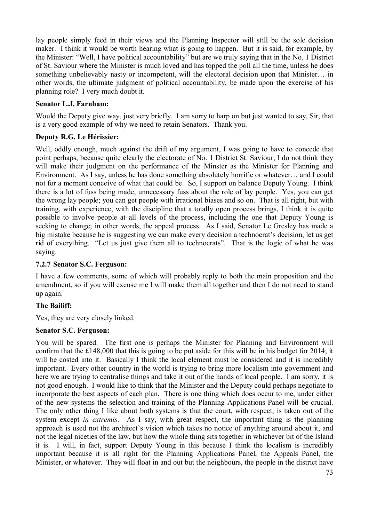lay people simply feed in their views and the Planning Inspector will still be the sole decision maker. I think it would be worth hearing what is going to happen. But it is said, for example, by the Minister: "Well, I have political accountability" but are we truly saying that in the No. 1 District of St. Saviour where the Minister is much loved and has topped the poll all the time, unless he does something unbelievably nasty or incompetent, will the electoral decision upon that Minister… in other words, the ultimate judgment of political accountability, be made upon the exercise of his planning role? I very much doubt it.

## **Senator L.J. Farnham:**

Would the Deputy give way, just very briefly. I am sorry to harp on but just wanted to say, Sir, that is a very good example of why we need to retain Senators. Thank you.

## **Deputy R.G. Le Hérissier:**

Well, oddly enough, much against the drift of my argument. I was going to have to concede that point perhaps, because quite clearly the electorate of No. 1 District St. Saviour, I do not think they will make their judgment on the performance of the Minster as the Minister for Planning and Environment. As I say, unless he has done something absolutely horrific or whatever… and I could not for a moment conceive of what that could be. So, I support on balance Deputy Young. I think there is a lot of fuss being made, unnecessary fuss about the role of lay people. Yes, you can get the wrong lay people; you can get people with irrational biases and so on. That is all right, but with training, with experience, with the discipline that a totally open process brings, I think it is quite possible to involve people at all levels of the process, including the one that Deputy Young is seeking to change; in other words, the appeal process. As I said, Senator Le Gresley has made a big mistake because he is suggesting we can make every decision a technocrat's decision, let us get rid of everything. "Let us just give them all to technocrats". That is the logic of what he was saying.

## **7.2.7 Senator S.C. Ferguson:**

I have a few comments, some of which will probably reply to both the main proposition and the amendment, so if you will excuse me I will make them all together and then I do not need to stand up again.

# **The Bailiff:**

Yes, they are very closely linked.

## **Senator S.C. Ferguson:**

You will be spared. The first one is perhaps the Minister for Planning and Environment will confirm that the £148,000 that this is going to be put aside for this will be in his budget for 2014; it will be costed into it. Basically I think the local element must be considered and it is incredibly important. Every other country in the world is trying to bring more localism into government and here we are trying to centralise things and take it out of the hands of local people. I am sorry, it is not good enough. I would like to think that the Minister and the Deputy could perhaps negotiate to incorporate the best aspects of each plan. There is one thing which does occur to me, under either of the new systems the selection and training of the Planning Applications Panel will be crucial. The only other thing I like about both systems is that the court, with respect, is taken out of the system except *in extremis*. As I say, with great respect, the important thing is the planning approach is used not the architect's vision which takes no notice of anything around about it, and not the legal niceties of the law, but how the whole thing sits together in whichever bit of the Island it is. I will, in fact, support Deputy Young in this because I think the localism is incredibly important because it is all right for the Planning Applications Panel, the Appeals Panel, the Minister, or whatever. They will float in and out but the neighbours, the people in the district have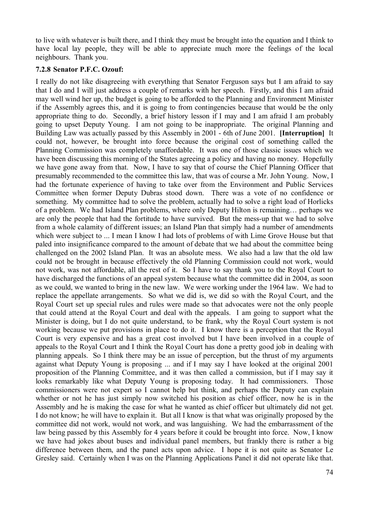to live with whatever is built there, and I think they must be brought into the equation and I think to have local lay people, they will be able to appreciate much more the feelings of the local neighbours. Thank you.

### **7.2.8 Senator P.F.C. Ozouf:**

I really do not like disagreeing with everything that Senator Ferguson says but I am afraid to say that I do and I will just address a couple of remarks with her speech. Firstly, and this I am afraid may well wind her up, the budget is going to be afforded to the Planning and Environment Minister if the Assembly agrees this, and it is going to from contingencies because that would be the only appropriate thing to do. Secondly, a brief history lesson if I may and I am afraid I am probably going to upset Deputy Young. I am not going to be inappropriate. The original Planning and Building Law was actually passed by this Assembly in 2001 - 6th of June 2001. **[Interruption]** It could not, however, be brought into force because the original cost of something called the Planning Commission was completely unaffordable. It was one of those classic issues which we have been discussing this morning of the States agreeing a policy and having no money. Hopefully we have gone away from that. Now, I have to say that of course the Chief Planning Officer that presumably recommended to the committee this law, that was of course a Mr. John Young. Now, I had the fortunate experience of having to take over from the Environment and Public Services Committee when former Deputy Dubras stood down. There was a vote of no confidence or something. My committee had to solve the problem, actually had to solve a right load of Horlicks of a problem. We had Island Plan problems, where only Deputy Hilton is remaining… perhaps we are only the people that had the fortitude to have survived. But the mess-up that we had to solve from a whole calamity of different issues; an Island Plan that simply had a number of amendments which were subject to ... I mean I know I had lots of problems of with Lime Grove House but that paled into insignificance compared to the amount of debate that we had about the committee being challenged on the 2002 Island Plan. It was an absolute mess. We also had a law that the old law could not be brought in because effectively the old Planning Commission could not work, would not work, was not affordable, all the rest of it. So I have to say thank you to the Royal Court to have discharged the functions of an appeal system because what the committee did in 2004, as soon as we could, we wanted to bring in the new law. We were working under the 1964 law. We had to replace the appellate arrangements. So what we did is, we did so with the Royal Court, and the Royal Court set up special rules and rules were made so that advocates were not the only people that could attend at the Royal Court and deal with the appeals. I am going to support what the Minister is doing, but I do not quite understand, to be frank, why the Royal Court system is not working because we put provisions in place to do it. I know there is a perception that the Royal Court is very expensive and has a great cost involved but I have been involved in a couple of appeals to the Royal Court and I think the Royal Court has done a pretty good job in dealing with planning appeals. So I think there may be an issue of perception, but the thrust of my arguments against what Deputy Young is proposing ... and if I may say I have looked at the original 2001 proposition of the Planning Committee, and it was then called a commission, but if I may say it looks remarkably like what Deputy Young is proposing today. It had commissioners. Those commissioners were not expert so I cannot help but think, and perhaps the Deputy can explain whether or not he has just simply now switched his position as chief officer, now he is in the Assembly and he is making the case for what he wanted as chief officer but ultimately did not get. I do not know; he will have to explain it. But all I know is that what was originally proposed by the committee did not work, would not work, and was languishing. We had the embarrassment of the law being passed by this Assembly for 4 years before it could be brought into force. Now, I know we have had jokes about buses and individual panel members, but frankly there is rather a big difference between them, and the panel acts upon advice. I hope it is not quite as Senator Le Gresley said. Certainly when I was on the Planning Applications Panel it did not operate like that.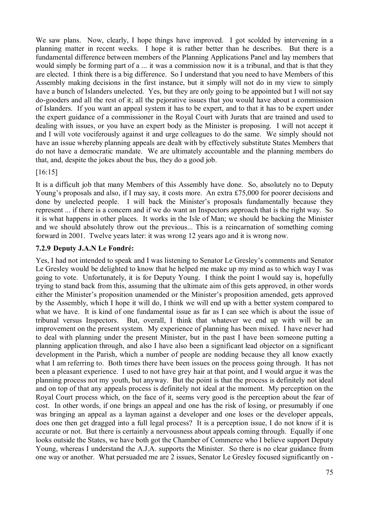We saw plans. Now, clearly, I hope things have improved. I got scolded by intervening in a planning matter in recent weeks. I hope it is rather better than he describes. But there is a fundamental difference between members of the Planning Applications Panel and lay members that would simply be forming part of a ... it was a commission now it is a tribunal, and that is that they are elected. I think there is a big difference. So I understand that you need to have Members of this Assembly making decisions in the first instance, but it simply will not do in my view to simply have a bunch of Islanders unelected. Yes, but they are only going to be appointed but I will not say do-gooders and all the rest of it; all the pejorative issues that you would have about a commission of Islanders. If you want an appeal system it has to be expert, and to that it has to be expert under the expert guidance of a commissioner in the Royal Court with Jurats that are trained and used to dealing with issues, or you have an expert body as the Minister is proposing. I will not accept it and I will vote vociferously against it and urge colleagues to do the same. We simply should not have an issue whereby planning appeals are dealt with by effectively substitute States Members that do not have a democratic mandate. We are ultimately accountable and the planning members do that, and, despite the jokes about the bus, they do a good job.

[16:15]

It is a difficult job that many Members of this Assembly have done. So, absolutely no to Deputy Young's proposals and also, if I may say, it costs more. An extra £75,000 for poorer decisions and done by unelected people. I will back the Minister's proposals fundamentally because they represent ... if there is a concern and if we do want an Inspectors approach that is the right way. So it is what happens in other places. It works in the Isle of Man; we should be backing the Minister and we should absolutely throw out the previous... This is a reincarnation of something coming forward in 2001. Twelve years later: it was wrong 12 years ago and it is wrong now.

## **7.2.9 Deputy J.A.N Le Fondré:**

Yes, I had not intended to speak and I was listening to Senator Le Gresley's comments and Senator Le Gresley would be delighted to know that he helped me make up my mind as to which way I was going to vote. Unfortunately, it is for Deputy Young. I think the point I would say is, hopefully trying to stand back from this, assuming that the ultimate aim of this gets approved, in other words either the Minister's proposition unamended or the Minister's proposition amended, gets approved by the Assembly, which I hope it will do, I think we will end up with a better system compared to what we have. It is kind of one fundamental issue as far as I can see which is about the issue of tribunal versus Inspectors. But, overall, I think that whatever we end up with will be an improvement on the present system. My experience of planning has been mixed. I have never had to deal with planning under the present Minister, but in the past I have been someone putting a planning application through, and also I have also been a significant lead objector on a significant development in the Parish, which a number of people are nodding because they all know exactly what I am referring to. Both times there have been issues on the process going through. It has not been a pleasant experience. I used to not have grey hair at that point, and I would argue it was the planning process not my youth, but anyway. But the point is that the process is definitely not ideal and on top of that any appeals process is definitely not ideal at the moment. My perception on the Royal Court process which, on the face of it, seems very good is the perception about the fear of cost. In other words, if one brings an appeal and one has the risk of losing, or presumably if one was bringing an appeal as a layman against a developer and one loses or the developer appeals, does one then get dragged into a full legal process? It is a perception issue, I do not know if it is accurate or not. But there is certainly a nervousness about appeals coming through. Equally if one looks outside the States, we have both got the Chamber of Commerce who I believe support Deputy Young, whereas I understand the A.J.A. supports the Minister. So there is no clear guidance from one way or another. What persuaded me are 2 issues, Senator Le Gresley focused significantly on -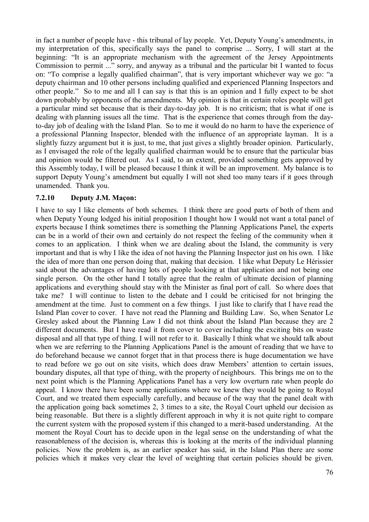in fact a number of people have - this tribunal of lay people. Yet, Deputy Young's amendments, in my interpretation of this, specifically says the panel to comprise ... Sorry, I will start at the beginning: "It is an appropriate mechanism with the agreement of the Jersey Appointments Commission to permit ..." sorry, and anyway as a tribunal and the particular bit I wanted to focus on: "To comprise a legally qualified chairman", that is very important whichever way we go: "a deputy chairman and 10 other persons including qualified and experienced Planning Inspectors and other people." So to me and all I can say is that this is an opinion and I fully expect to be shot down probably by opponents of the amendments. My opinion is that in certain roles people will get a particular mind set because that is their day-to-day job. It is no criticism; that is what if one is dealing with planning issues all the time. That is the experience that comes through from the dayto-day job of dealing with the Island Plan. So to me it would do no harm to have the experience of a professional Planning Inspector, blended with the influence of an appropriate layman. It is a slightly fuzzy argument but it is just, to me, that just gives a slightly broader opinion. Particularly, as I envisaged the role of the legally qualified chairman would be to ensure that the particular bias and opinion would be filtered out. As I said, to an extent, provided something gets approved by this Assembly today, I will be pleased because I think it will be an improvement. My balance is to support Deputy Young's amendment but equally I will not shed too many tears if it goes through unamended. Thank you.

## **7.2.10 Deputy J.M. Maçon:**

I have to say I like elements of both schemes. I think there are good parts of both of them and when Deputy Young lodged his initial proposition I thought how I would not want a total panel of experts because I think sometimes there is something the Planning Applications Panel, the experts can be in a world of their own and certainly do not respect the feeling of the community when it comes to an application. I think when we are dealing about the Island, the community is very important and that is why I like the idea of not having the Planning Inspector just on his own. I like the idea of more than one person doing that, making that decision. I like what Deputy Le Hérissier said about the advantages of having lots of people looking at that application and not being one single person. On the other hand I totally agree that the realm of ultimate decision of planning applications and everything should stay with the Minister as final port of call. So where does that take me? I will continue to listen to the debate and I could be criticised for not bringing the amendment at the time. Just to comment on a few things. I just like to clarify that I have read the Island Plan cover to cover. I have not read the Planning and Building Law. So, when Senator Le Gresley asked about the Planning Law I did not think about the Island Plan because they are 2 different documents. But I have read it from cover to cover including the exciting bits on waste disposal and all that type of thing. I will not refer to it. Basically I think what we should talk about when we are referring to the Planning Applications Panel is the amount of reading that we have to do beforehand because we cannot forget that in that process there is huge documentation we have to read before we go out on site visits, which does draw Members' attention to certain issues, boundary disputes, all that type of thing, with the property of neighbours. This brings me on to the next point which is the Planning Applications Panel has a very low overturn rate when people do appeal. I know there have been some applications where we knew they would be going to Royal Court, and we treated them especially carefully, and because of the way that the panel dealt with the application going back sometimes 2, 3 times to a site, the Royal Court upheld our decision as being reasonable. But there is a slightly different approach in why it is not quite right to compare the current system with the proposed system if this changed to a merit-based understanding. At the moment the Royal Court has to decide upon in the legal sense on the understanding of what the reasonableness of the decision is, whereas this is looking at the merits of the individual planning policies. Now the problem is, as an earlier speaker has said, in the Island Plan there are some policies which it makes very clear the level of weighting that certain policies should be given.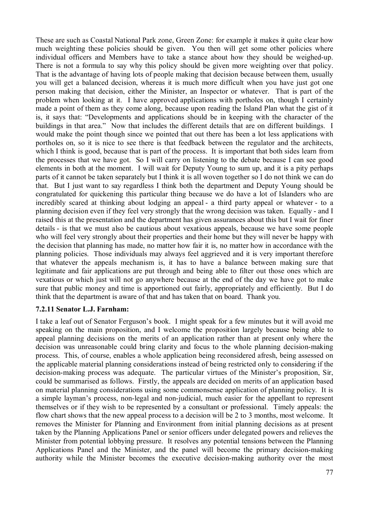These are such as Coastal National Park zone, Green Zone: for example it makes it quite clear how much weighting these policies should be given. You then will get some other policies where individual officers and Members have to take a stance about how they should be weighed-up. There is not a formula to say why this policy should be given more weighting over that policy. That is the advantage of having lots of people making that decision because between them, usually you will get a balanced decision, whereas it is much more difficult when you have just got one person making that decision, either the Minister, an Inspector or whatever. That is part of the problem when looking at it. I have approved applications with portholes on, though I certainly made a point of them as they come along, because upon reading the Island Plan what the gist of it is, it says that: "Developments and applications should be in keeping with the character of the buildings in that area." Now that includes the different details that are on different buildings. I would make the point though since we pointed that out there has been a lot less applications with portholes on, so it is nice to see there is that feedback between the regulator and the architects, which I think is good, because that is part of the process. It is important that both sides learn from the processes that we have got. So I will carry on listening to the debate because I can see good elements in both at the moment. I will wait for Deputy Young to sum up, and it is a pity perhaps parts of it cannot be taken separately but I think it is all woven together so I do not think we can do that. But I just want to say regardless I think both the department and Deputy Young should be congratulated for quickening this particular thing because we do have a lot of Islanders who are incredibly scared at thinking about lodging an appeal - a third party appeal or whatever - to a planning decision even if they feel very strongly that the wrong decision was taken. Equally - and I raised this at the presentation and the department has given assurances about this but I wait for finer details - is that we must also be cautious about vexatious appeals, because we have some people who will feel very strongly about their properties and their home but they will never be happy with the decision that planning has made, no matter how fair it is, no matter how in accordance with the planning policies. Those individuals may always feel aggrieved and it is very important therefore that whatever the appeals mechanism is, it has to have a balance between making sure that legitimate and fair applications are put through and being able to filter out those ones which are vexatious or which just will not go anywhere because at the end of the day we have got to make sure that public money and time is apportioned out fairly, appropriately and efficiently. But I do think that the department is aware of that and has taken that on board. Thank you.

### **7.2.11 Senator L.J. Farnham:**

I take a leaf out of Senator Ferguson's book. I might speak for a few minutes but it will avoid me speaking on the main proposition, and I welcome the proposition largely because being able to appeal planning decisions on the merits of an application rather than at present only where the decision was unreasonable could bring clarity and focus to the whole planning decision-making process. This, of course, enables a whole application being reconsidered afresh, being assessed on the applicable material planning considerations instead of being restricted only to considering if the decision-making process was adequate. The particular virtues of the Minister's proposition, Sir, could be summarised as follows. Firstly, the appeals are decided on merits of an application based on material planning considerations using some commonsense application of planning policy. It is a simple layman's process, non-legal and non-judicial, much easier for the appellant to represent themselves or if they wish to be represented by a consultant or professional. Timely appeals: the flow chart shows that the new appeal process to a decision will be 2 to 3 months, most welcome. It removes the Minister for Planning and Environment from initial planning decisions as at present taken by the Planning Applications Panel or senior officers under delegated powers and relieves the Minister from potential lobbying pressure. It resolves any potential tensions between the Planning Applications Panel and the Minister, and the panel will become the primary decision-making authority while the Minister becomes the executive decision-making authority over the most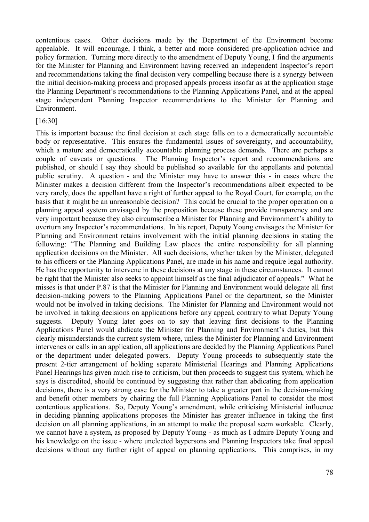contentious cases. Other decisions made by the Department of the Environment become appealable. It will encourage, I think, a better and more considered pre-application advice and policy formation. Turning more directly to the amendment of Deputy Young, I find the arguments for the Minister for Planning and Environment having received an independent Inspector's report and recommendations taking the final decision very compelling because there is a synergy between the initial decision-making process and proposed appeals process insofar as at the application stage the Planning Department's recommendations to the Planning Applications Panel, and at the appeal stage independent Planning Inspector recommendations to the Minister for Planning and Environment.

#### [16:30]

This is important because the final decision at each stage falls on to a democratically accountable body or representative. This ensures the fundamental issues of sovereignty, and accountability, which a mature and democratically accountable planning process demands. There are perhaps a couple of caveats or questions. The Planning Inspector's report and recommendations are published, or should I say they should be published so available for the appellants and potential public scrutiny. A question - and the Minister may have to answer this - in cases where the Minister makes a decision different from the Inspector's recommendations albeit expected to be very rarely, does the appellant have a right of further appeal to the Royal Court, for example, on the basis that it might be an unreasonable decision? This could be crucial to the proper operation on a planning appeal system envisaged by the proposition because these provide transparency and are very important because they also circumscribe a Minister for Planning and Environment's ability to overturn any Inspector's recommendations. In his report, Deputy Young envisages the Minister for Planning and Environment retains involvement with the initial planning decisions in stating the following: "The Planning and Building Law places the entire responsibility for all planning application decisions on the Minister. All such decisions, whether taken by the Minister, delegated to his officers or the Planning Applications Panel, are made in his name and require legal authority. He has the opportunity to intervene in these decisions at any stage in these circumstances. It cannot be right that the Minister also seeks to appoint himself as the final adjudicator of appeals." What he misses is that under P.87 is that the Minister for Planning and Environment would delegate all first decision-making powers to the Planning Applications Panel or the department, so the Minister would not be involved in taking decisions. The Minister for Planning and Environment would not be involved in taking decisions on applications before any appeal, contrary to what Deputy Young suggests. Deputy Young later goes on to say that leaving first decisions to the Planning Applications Panel would abdicate the Minister for Planning and Environment's duties, but this clearly misunderstands the current system where, unless the Minister for Planning and Environment intervenes or calls in an application, all applications are decided by the Planning Applications Panel or the department under delegated powers. Deputy Young proceeds to subsequently state the present 2-tier arrangement of holding separate Ministerial Hearings and Planning Applications Panel Hearings has given much rise to criticism, but then proceeds to suggest this system, which he says is discredited, should be continued by suggesting that rather than abdicating from application decisions, there is a very strong case for the Minister to take a greater part in the decision-making and benefit other members by chairing the full Planning Applications Panel to consider the most contentious applications. So, Deputy Young's amendment, while criticising Ministerial influence in deciding planning applications proposes the Minister has greater influence in taking the first decision on all planning applications, in an attempt to make the proposal seem workable. Clearly, we cannot have a system, as proposed by Deputy Young - as much as I admire Deputy Young and his knowledge on the issue - where unelected laypersons and Planning Inspectors take final appeal decisions without any further right of appeal on planning applications. This comprises, in my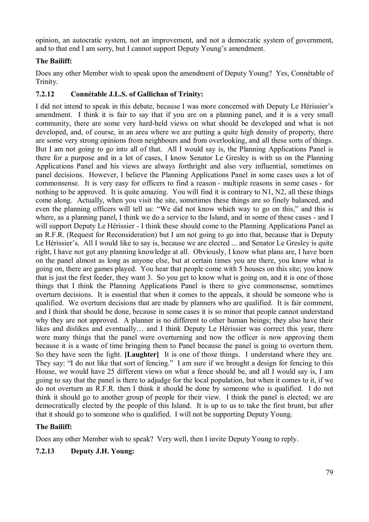opinion, an autocratic system, not an improvement, and not a democratic system of government, and to that end I am sorry, but I cannot support Deputy Young's amendment.

# **The Bailiff:**

Does any other Member wish to speak upon the amendment of Deputy Young? Yes, Connétable of Trinity.

## **7.2.12 Connétable J.L.S. of Gallichan of Trinity:**

I did not intend to speak in this debate, because I was more concerned with Deputy Le Hérissier's amendment. I think it is fair to say that if you are on a planning panel, and it is a very small community, there are some very hard-held views on what should be developed and what is not developed, and, of course, in an area where we are putting a quite high density of property, there are some very strong opinions from neighbours and from overlooking, and all these sorts of things. But I am not going to go into all of that. All I would say is, the Planning Applications Panel is there for a purpose and in a lot of cases, I know Senator Le Gresley is with us on the Planning Applications Panel and his views are always forthright and also very influential, sometimes on panel decisions. However, I believe the Planning Applications Panel in some cases uses a lot of commonsense. It is very easy for officers to find a reason - multiple reasons in some cases - for nothing to be approved. It is quite amazing. You will find it is contrary to N1, N2, all these things come along. Actually, when you visit the site, sometimes these things are so finely balanced, and even the planning officers will tell us: "We did not know which way to go on this," and this is where, as a planning panel, I think we do a service to the Island, and in some of these cases - and I will support Deputy Le Hérissier - I think these should come to the Planning Applications Panel as an R.F.R. (Request for Reconsideration) but I am not going to go into that, because that is Deputy Le Hérissier's. All I would like to say is, because we are elected ... and Senator Le Gresley is quite right, I have not got any planning knowledge at all. Obviously, I know what plans are, I have been on the panel almost as long as anyone else, but at certain times you are there, you know what is going on, there are games played. You hear that people come with 5 houses on this site; you know that is just the first feeder, they want 3. So you get to know what is going on, and it is one of those things that I think the Planning Applications Panel is there to give commonsense, sometimes overturn decisions. It is essential that when it comes to the appeals, it should be someone who is qualified. We overturn decisions that are made by planners who are qualified. It is fair comment, and I think that should be done, because in some cases it is so minor that people cannot understand why they are not approved. A planner is no different to other human beings; they also have their likes and dislikes and eventually… and I think Deputy Le Hérissier was correct this year, there were many things that the panel were overturning and now the officer is now approving them because it is a waste of time bringing them to Panel because the panel is going to overturn them. So they have seen the light. **[Laughter]** It is one of those things. I understand where they are. They say: "I do not like that sort of fencing." I am sure if we brought a design for fencing to this House, we would have 25 different views on what a fence should be, and all I would say is, I am going to say that the panel is there to adjudge for the local population, but when it comes to it, if we do not overturn an R.F.R. then I think it should be done by someone who is qualified. I do not think it should go to another group of people for their view. I think the panel is elected; we are democratically elected by the people of this Island. It is up to us to take the first brunt, but after that it should go to someone who is qualified. I will not be supporting Deputy Young.

## **The Bailiff:**

Does any other Member wish to speak? Very well, then I invite Deputy Young to reply.

## **7.2.13 Deputy J.H. Young:**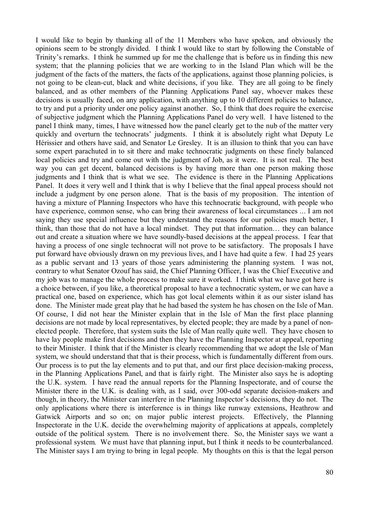I would like to begin by thanking all of the 11 Members who have spoken, and obviously the opinions seem to be strongly divided. I think I would like to start by following the Constable of Trinity's remarks. I think he summed up for me the challenge that is before us in finding this new system; that the planning policies that we are working to in the Island Plan which will be the judgment of the facts of the matters, the facts of the applications, against those planning policies, is not going to be clean-cut, black and white decisions, if you like. They are all going to be finely balanced, and as other members of the Planning Applications Panel say, whoever makes these decisions is usually faced, on any application, with anything up to 10 different policies to balance, to try and put a priority under one policy against another. So, I think that does require the exercise of subjective judgment which the Planning Applications Panel do very well. I have listened to the panel I think many, times, I have witnessed how the panel clearly get to the nub of the matter very quickly and overturn the technocrats' judgments. I think it is absolutely right what Deputy Le Hérissier and others have said, and Senator Le Gresley. It is an illusion to think that you can have some expert parachuted in to sit there and make technocratic judgments on these finely balanced local policies and try and come out with the judgment of Job, as it were. It is not real. The best way you can get decent, balanced decisions is by having more than one person making those judgments and I think that is what we see. The evidence is there in the Planning Applications Panel. It does it very well and I think that is why I believe that the final appeal process should not include a judgment by one person alone. That is the basis of my proposition. The intention of having a mixture of Planning Inspectors who have this technocratic background, with people who have experience, common sense, who can bring their awareness of local circumstances ... I am not saying they use special influence but they understand the reasons for our policies much better, I think, than those that do not have a local mindset. They put that information… they can balance out and create a situation where we have soundly-based decisions at the appeal process. I fear that having a process of one single technocrat will not prove to be satisfactory. The proposals I have put forward have obviously drawn on my previous lives, and I have had quite a few. I had 25 years as a public servant and 13 years of those years administering the planning system. I was not, contrary to what Senator Ozouf has said, the Chief Planning Officer, I was the Chief Executive and my job was to manage the whole process to make sure it worked. I think what we have got here is a choice between, if you like, a theoretical proposal to have a technocratic system, or we can have a practical one, based on experience, which has got local elements within it as our sister island has done. The Minister made great play that he had based the system he has chosen on the Isle of Man. Of course, I did not hear the Minister explain that in the Isle of Man the first place planning decisions are not made by local representatives, by elected people; they are made by a panel of nonelected people. Therefore, that system suits the Isle of Man really quite well. They have chosen to have lay people make first decisions and then they have the Planning Inspector at appeal, reporting to their Minister. I think that if the Minister is clearly recommending that we adopt the Isle of Man system, we should understand that that is their process, which is fundamentally different from ours. Our process is to put the lay elements and to put that, and our first place decision-making process, in the Planning Applications Panel, and that is fairly right. The Minister also says he is adopting the U.K. system. I have read the annual reports for the Planning Inspectorate, and of course the Minister there in the U.K. is dealing with, as I said, over 300-odd separate decision-makers and though, in theory, the Minister can interfere in the Planning Inspector's decisions, they do not. The only applications where there is interference is in things like runway extensions, Heathrow and Gatwick Airports and so on; on major public interest projects. Effectively, the Planning Inspectorate in the U.K. decide the overwhelming majority of applications at appeals, completely outside of the political system. There is no involvement there. So, the Minister says we want a professional system. We must have that planning input, but I think it needs to be counterbalanced. The Minister says I am trying to bring in legal people. My thoughts on this is that the legal person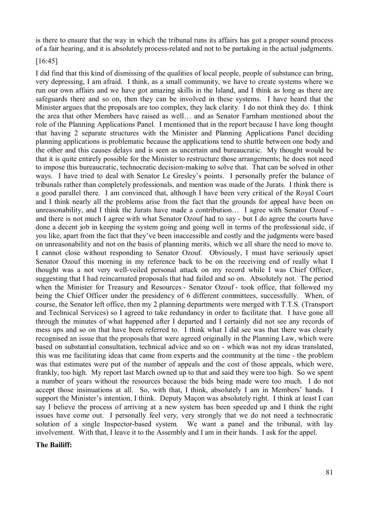is there to ensure that the way in which the tribunal runs its affairs has got a proper sound process of a fair hearing, and it is absolutely process-related and not to be partaking in the actual judgments.

#### [16:45]

I did find that this kind of dismissing of the qualities of local people, people of substance can bring, very depressing, I am afraid. I think, as a small community, we have to create systems where we run our own affairs and we have got amazing skills in the Island, and I think as long as there are safeguards there and so on, then they can be involved in these systems. I have heard that the Minister argues that the proposals are too complex, they lack clarity. I do not think they do. I think the area that other Members have raised as well… and as Senator Farnham mentioned about the role of the Planning Applications Panel. I mentioned that in the report because I have long thought that having 2 separate structures with the Minister and Planning Applications Panel deciding planning applications is problematic because the applications tend to shuttle between one body and the other and this causes delays and is seen as uncertain and bureaucratic. My thought would be that it is quite entirely possible for the Minister to restructure those arrangements; he does not need to impose this bureaucratic, technocratic decision-making to solve that. That can be solved in other ways. I have tried to deal with Senator Le Gresley's points. I personally prefer the balance of tribunals rather than completely professionals, and mention was made of the Jurats. I think there is a good parallel there. I am convinced that, although I have been very critical of the Royal Court and I think nearly all the problems arise from the fact that the grounds for appeal have been on unreasonability, and I think the Jurats have made a contribution… I agree with Senator Ozouf and there is not much I agree with what Senator Ozouf had to say - but I do agree the courts have done a decent job in keeping the system going and going well in terms of the professional side, if you like, apart from the fact that they've been inaccessible and costly and the judgments were based on unreasonability and not on the basis of planning merits, which we all share the need to move to. I cannot close without responding to Senator Ozouf. Obviously, I must have seriously upset Senator Ozouf this morning in my reference back to be on the receiving end of really what I thought was a not very well-veiled personal attack on my record while I was Chief Officer, suggesting that I had reincarnated proposals that had failed and so on. Absolutely not. The period when the Minister for Treasury and Resources - Senator Ozouf - took office, that followed my being the Chief Officer under the presidency of 6 different committees, successfully. When, of course, the Senator left office, then my 2 planning departments were merged with T.T.S. (Transport and Technical Services) so I agreed to take redundancy in order to facilitate that. I have gone all through the minutes of what happened after I departed and I certainly did not see any records of mess ups and so on that have been referred to. I think what I did see was that there was clearly recognised an issue that the proposals that were agreed originally in the Planning Law, which were based on substantial consultation, technical advice and so on - which was not my ideas translated, this was me facilitating ideas that came from experts and the community at the time - the problem was that estimates were put of the number of appeals and the cost of those appeals, which were, frankly, too high. My report last March owned up to that and said they were too high. So we spent a number of years without the resources because the bids being made were too much. I do not accept those insinuations at all. So, with that, I think, absolutely I am in Members' hands. I support the Minister's intention, I think. Deputy Maçon was absolutely right. I think at least I can say I believe the process of arriving at a new system has been speeded up and I think the right issues have come out. I personally feel very, very strongly that we do not need a technocratic solution of a single Inspector-based system. We want a panel and the tribunal, with lay involvement. With that, I leave it to the Assembly and I am in their hands. I ask for the appel.

#### **The Bailiff:**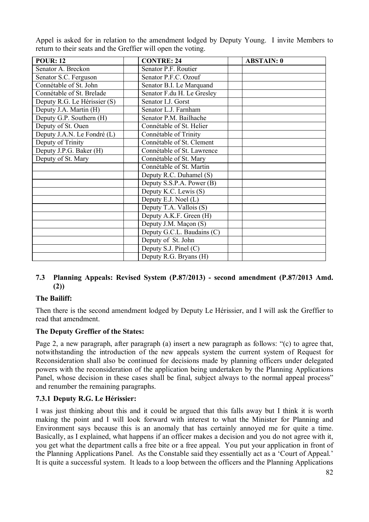Appel is asked for in relation to the amendment lodged by Deputy Young. I invite Members to return to their seats and the Greffier will open the voting.

| $\overline{POUR}$ : 12       | <b>CONTRE: 24</b>          | <b>ABSTAIN: 0</b> |
|------------------------------|----------------------------|-------------------|
| Senator A. Breckon           | Senator P.F. Routier       |                   |
| Senator S.C. Ferguson        | Senator P.F.C. Ozouf       |                   |
| Connétable of St. John       | Senator B.I. Le Marquand   |                   |
| Connétable of St. Brelade    | Senator F.du H. Le Gresley |                   |
| Deputy R.G. Le Hérissier (S) | Senator I.J. Gorst         |                   |
| Deputy J.A. Martin (H)       | Senator L.J. Farnham       |                   |
| Deputy G.P. Southern (H)     | Senator P.M. Bailhache     |                   |
| Deputy of St. Ouen           | Connétable of St. Helier   |                   |
| Deputy J.A.N. Le Fondré (L)  | Connétable of Trinity      |                   |
| Deputy of Trinity            | Connétable of St. Clement  |                   |
| Deputy J.P.G. Baker (H)      | Connétable of St. Lawrence |                   |
| Deputy of St. Mary           | Connétable of St. Mary     |                   |
|                              | Connétable of St. Martin   |                   |
|                              | Deputy R.C. Duhamel (S)    |                   |
|                              | Deputy S.S.P.A. Power (B)  |                   |
|                              | Deputy K.C. Lewis (S)      |                   |
|                              | Deputy E.J. Noel (L)       |                   |
|                              | Deputy T.A. Vallois (S)    |                   |
|                              | Deputy A.K.F. Green (H)    |                   |
|                              | Deputy J.M. Maçon (S)      |                   |
|                              | Deputy G.C.L. Baudains (C) |                   |
|                              | Deputy of St. John         |                   |
|                              | Deputy S.J. Pinel (C)      |                   |
|                              | Deputy R.G. Bryans (H)     |                   |

## **7.3 Planning Appeals: Revised System (P.87/2013) - second amendment (P.87/2013 Amd. (2))**

## **The Bailiff:**

Then there is the second amendment lodged by Deputy Le Hérissier, and I will ask the Greffier to read that amendment.

## **The Deputy Greffier of the States:**

Page 2, a new paragraph, after paragraph (a) insert a new paragraph as follows: "(c) to agree that, notwithstanding the introduction of the new appeals system the current system of Request for Reconsideration shall also be continued for decisions made by planning officers under delegated powers with the reconsideration of the application being undertaken by the Planning Applications Panel, whose decision in these cases shall be final, subject always to the normal appeal process" and renumber the remaining paragraphs.

## **7.3.1 Deputy R.G. Le Hérissier:**

I was just thinking about this and it could be argued that this falls away but I think it is worth making the point and I will look forward with interest to what the Minister for Planning and Environment says because this is an anomaly that has certainly annoyed me for quite a time. Basically, as I explained, what happens if an officer makes a decision and you do not agree with it, you get what the department calls a free bite or a free appeal. You put your application in front of the Planning Applications Panel. As the Constable said they essentially act as a 'Court of Appeal.' It is quite a successful system. It leads to a loop between the officers and the Planning Applications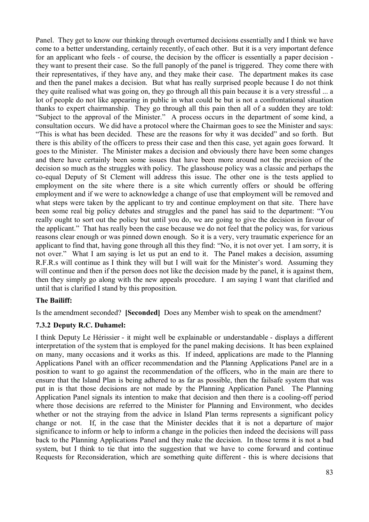Panel. They get to know our thinking through overturned decisions essentially and I think we have come to a better understanding, certainly recently, of each other. But it is a very important defence for an applicant who feels - of course, the decision by the officer is essentially a paper decision they want to present their case. So the full panoply of the panel is triggered. They come there with their representatives, if they have any, and they make their case. The department makes its case and then the panel makes a decision. But what has really surprised people because I do not think they quite realised what was going on, they go through all this pain because it is a very stressful ... a lot of people do not like appearing in public in what could be but is not a confrontational situation thanks to expert chairmanship. They go through all this pain then all of a sudden they are told: "Subject to the approval of the Minister." A process occurs in the department of some kind, a consultation occurs. We did have a protocol where the Chairman goes to see the Minister and says: "This is what has been decided. These are the reasons for why it was decided" and so forth. But there is this ability of the officers to press their case and then this case, yet again goes forward. It goes to the Minister. The Minister makes a decision and obviously there have been some changes and there have certainly been some issues that have been more around not the precision of the decision so much as the struggles with policy. The glasshouse policy was a classic and perhaps the co-equal Deputy of St Clement will address this issue. The other one is the tests applied to employment on the site where there is a site which currently offers or should be offering employment and if we were to acknowledge a change of use that employment will be removed and what steps were taken by the applicant to try and continue employment on that site. There have been some real big policy debates and struggles and the panel has said to the department: "You really ought to sort out the policy but until you do, we are going to give the decision in favour of the applicant." That has really been the case because we do not feel that the policy was, for various reasons clear enough or was pinned down enough. So it is a very, very traumatic experience for an applicant to find that, having gone through all this they find: "No, it is not over yet. I am sorry, it is not over." What I am saying is let us put an end to it. The Panel makes a decision, assuming R.F.R.s will continue as I think they will but I will wait for the Minister's word. Assuming they will continue and then if the person does not like the decision made by the panel, it is against them, then they simply go along with the new appeals procedure. I am saying I want that clarified and until that is clarified I stand by this proposition.

## **The Bailiff:**

Is the amendment seconded? **[Seconded]** Does any Member wish to speak on the amendment?

### **7.3.2 Deputy R.C. Duhamel:**

I think Deputy Le Hérissier - it might well be explainable or understandable - displays a different interpretation of the system that is employed for the panel making decisions. It has been explained on many, many occasions and it works as this. If indeed, applications are made to the Planning Applications Panel with an officer recommendation and the Planning Applications Panel are in a position to want to go against the recommendation of the officers, who in the main are there to ensure that the Island Plan is being adhered to as far as possible, then the failsafe system that was put in is that those decisions are not made by the Planning Application Panel. The Planning Application Panel signals its intention to make that decision and then there is a cooling-off period where those decisions are referred to the Minister for Planning and Environment, who decides whether or not the straying from the advice in Island Plan terms represents a significant policy change or not. If, in the case that the Minister decides that it is not a departure of major significance to inform or help to inform a change in the policies then indeed the decisions will pass back to the Planning Applications Panel and they make the decision. In those terms it is not a bad system, but I think to tie that into the suggestion that we have to come forward and continue Requests for Reconsideration, which are something quite different - this is where decisions that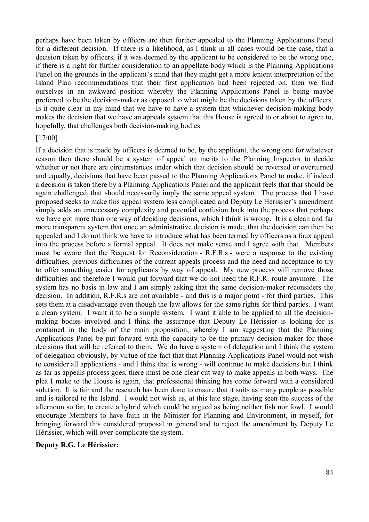perhaps have been taken by officers are then further appealed to the Planning Applications Panel for a different decision. If there is a likelihood, as I think in all cases would be the case, that a decision taken by officers, if it was deemed by the applicant to be considered to be the wrong one, if there is a right for further consideration to an appellate body which is the Planning Applications Panel on the grounds in the applicant's mind that they might get a more lenient interpretation of the Island Plan recommendations that their first application had been rejected on, then we find ourselves in an awkward position whereby the Planning Applications Panel is being maybe preferred to be the decision-maker as opposed to what might be the decisions taken by the officers. Is it quite clear in my mind that we have to have a system that whichever decision-making body makes the decision that we have an appeals system that this House is agreed to or about to agree to, hopefully, that challenges both decision-making bodies.

#### [17:00]

If a decision that is made by officers is deemed to be, by the applicant, the wrong one for whatever reason then there should be a system of appeal on merits to the Planning Inspector to decide whether or not there are circumstances under which that decision should be reversed or overturned and equally, decisions that have been passed to the Planning Applications Panel to make, if indeed a decision is taken there by a Planning Applications Panel and the applicant feels that that should be again challenged, that should necessarily imply the same appeal system. The process that I have proposed seeks to make this appeal system less complicated and Deputy Le Hérissier's amendment simply adds an unnecessary complexity and potential confusion back into the process that perhaps we have got more than one way of deciding decisions, which I think is wrong. It is a clean and far more transparent system that once an administrative decision is made, that the decision can then be appealed and I do not think we have to introduce what has been termed by officers as a faux appeal into the process before a formal appeal. It does not make sense and I agree with that. Members must be aware that the Request for Reconsideration - R.F.R.s - were a response to the existing difficulties, previous difficulties of the current appeals process and the need and acceptance to try to offer something easier for applicants by way of appeal. My new process will remove those difficulties and therefore I would put forward that we do not need the R.F.R. route anymore. The system has no basis in law and I am simply asking that the same decision-maker reconsiders the decision. In addition, R.F.R.s are not available - and this is a major point - for third parties. This sets them at a disadvantage even though the law allows for the same rights for third parties. I want a clean system. I want it to be a simple system. I want it able to be applied to all the decisionmaking bodies involved and I think the assurance that Deputy Le Hérissier is looking for is contained in the body of the main proposition, whereby I am suggesting that the Planning Applications Panel be put forward with the capacity to be the primary decision-maker for those decisions that will be referred to them. We do have a system of delegation and I think the system of delegation obviously, by virtue of the fact that that Planning Applications Panel would not wish to consider all applications - and I think that is wrong - will continue to make decisions but I think as far as appeals process goes, there must be one clear cut way to make appeals in both ways. The plea I make to the House is again, that professional thinking has come forward with a considered solution. It is fair and the research has been done to ensure that it suits as many people as possible and is tailored to the Island. I would not wish us, at this late stage, having seen the success of the afternoon so far, to create a hybrid which could be argued as being neither fish nor fowl. I would encourage Members to have faith in the Minister for Planning and Environment, in myself, for bringing forward this considered proposal in general and to reject the amendment by Deputy Le Hérissier, which will over-complicate the system.

#### **Deputy R.G. Le Hérissier:**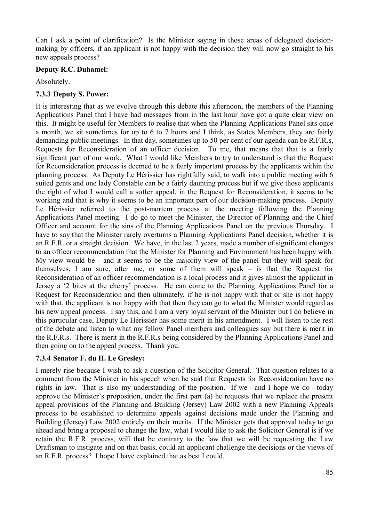Can I ask a point of clarification? Is the Minister saying in those areas of delegated decisionmaking by officers, if an applicant is not happy with the decision they will now go straight to his new appeals process?

## **Deputy R.C. Duhamel:**

Absolutely.

## **7.3.3 Deputy S. Power:**

It is interesting that as we evolve through this debate this afternoon, the members of the Planning Applications Panel that I have had messages from in the last hour have got a quite clear view on this. It might be useful for Members to realise that when the Planning Applications Panel sits once a month, we sit sometimes for up to 6 to 7 hours and I think, as States Members, they are fairly demanding public meetings. In that day, sometimes up to 50 per cent of our agenda can be R.F.R.s, Requests for Reconsideration of an officer decision. To me, that means that that is a fairly significant part of our work. What I would like Members to try to understand is that the Request for Reconsideration process is deemed to be a fairly important process by the applicants within the planning process. As Deputy Le Hérissier has rightfully said, to walk into a public meeting with 6 suited gents and one lady Constable can be a fairly daunting process but if we give those applicants the right of what I would call a softer appeal, in the Request for Reconsideration, it seems to be working and that is why it seems to be an important part of our decision-making process. Deputy Le Hérissier referred to the post-mortem process at the meeting following the Planning Applications Panel meeting. I do go to meet the Minister, the Director of Planning and the Chief Officer and account for the sins of the Planning Applications Panel on the previous Thursday. I have to say that the Minister rarely overturns a Planning Applications Panel decision, whether it is an R.F.R. or a straight decision. We have, in the last 2 years, made a number of significant changes to an officer recommendation that the Minister for Planning and Environment has been happy with. My view would be - and it seems to be the majority view of the panel but they will speak for themselves, I am sure, after me, or some of them will speak – is that the Request for Reconsideration of an officer recommendation is a local process and it gives almost the applicant in Jersey a '2 bites at the cherry' process. He can come to the Planning Applications Panel for a Request for Reconsideration and then ultimately, if he is not happy with that or she is not happy with that, the applicant is not happy with that then they can go to what the Minister would regard as his new appeal process. I say this, and I am a very loyal servant of the Minister but I do believe in this particular case, Deputy Le Hérissier has some merit in his amendment. I will listen to the rest of the debate and listen to what my fellow Panel members and colleagues say but there is merit in the R.F.R.s. There is merit in the R.F.R.s being considered by the Planning Applications Panel and then going on to the appeal process. Thank you.

# **7.3.4 Senator F. du H. Le Gresley:**

I merely rise because I wish to ask a question of the Solicitor General. That question relates to a comment from the Minister in his speech when he said that Requests for Reconsideration have no rights in law. That is also my understanding of the position. If we - and I hope we do - today approve the Minister's proposition, under the first part (a) he requests that we replace the present appeal provisions of the Planning and Building (Jersey) Law 2002 with a new Planning Appeals process to be established to determine appeals against decisions made under the Planning and Building (Jersey) Law 2002 entirely on their merits. If the Minister gets that approval today to go ahead and bring a proposal to change the law, what I would like to ask the Solicitor General is if we retain the R.F.R. process, will that be contrary to the law that we will be requesting the Law Draftsman to instigate and on that basis, could an applicant challenge the decisions or the views of an R.F.R. process? I hope I have explained that as best I could.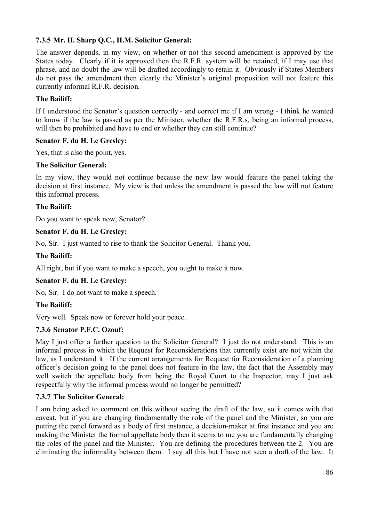# **7.3.5 Mr. H. Sharp Q.C., H.M. Solicitor General:**

The answer depends, in my view, on whether or not this second amendment is approved by the States today. Clearly if it is approved then the R.F.R. system will be retained, if I may use that phrase, and no doubt the law will be drafted accordingly to retain it. Obviously if States Members do not pass the amendment then clearly the Minister's original proposition will not feature this currently informal R.F.R. decision.

### **The Bailiff:**

If I understood the Senator's question correctly - and correct me if I am wrong - I think he wanted to know if the law is passed as per the Minister, whether the R.F.R.s, being an informal process, will then be prohibited and have to end or whether they can still continue?

### **Senator F. du H. Le Gresley:**

Yes, that is also the point, yes.

### **The Solicitor General:**

In my view, they would not continue because the new law would feature the panel taking the decision at first instance. My view is that unless the amendment is passed the law will not feature this informal process.

### **The Bailiff:**

Do you want to speak now, Senator?

### **Senator F. du H. Le Gresley:**

No, Sir. I just wanted to rise to thank the Solicitor General. Thank you.

### **The Bailiff:**

All right, but if you want to make a speech, you ought to make it now.

### **Senator F. du H. Le Gresley:**

No, Sir. I do not want to make a speech.

### **The Bailiff:**

Very well. Speak now or forever hold your peace.

## **7.3.6 Senator P.F.C. Ozouf:**

May I just offer a further question to the Solicitor General? I just do not understand. This is an informal process in which the Request for Reconsiderations that currently exist are not within the law, as I understand it. If the current arrangements for Request for Reconsideration of a planning officer's decision going to the panel does not feature in the law, the fact that the Assembly may well switch the appellate body from being the Royal Court to the Inspector, may I just ask respectfully why the informal process would no longer be permitted?

### **7.3.7 The Solicitor General:**

I am being asked to comment on this without seeing the draft of the law, so it comes with that caveat, but if you are changing fundamentally the role of the panel and the Minister, so you are putting the panel forward as a body of first instance, a decision-maker at first instance and you are making the Minister the formal appellate body then it seems to me you are fundamentally changing the roles of the panel and the Minister. You are defining the procedures between the 2. You are eliminating the informality between them. I say all this but I have not seen a draft of the law. It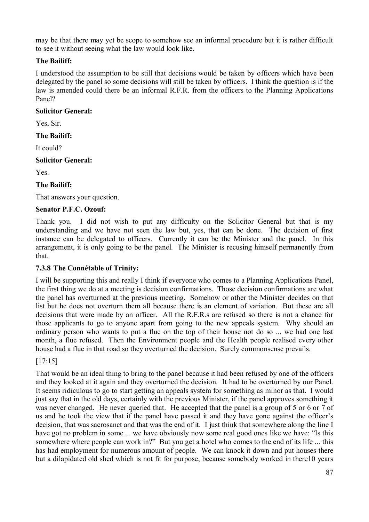may be that there may yet be scope to somehow see an informal procedure but it is rather difficult to see it without seeing what the law would look like.

# **The Bailiff:**

I understood the assumption to be still that decisions would be taken by officers which have been delegated by the panel so some decisions will still be taken by officers. I think the question is if the law is amended could there be an informal R.F.R. from the officers to the Planning Applications Panel?

## **Solicitor General:**

Yes, Sir.

## **The Bailiff:**

It could?

## **Solicitor General:**

Yes.

# **The Bailiff:**

That answers your question.

## **Senator P.F.C. Ozouf:**

Thank you. I did not wish to put any difficulty on the Solicitor General but that is my understanding and we have not seen the law but, yes, that can be done. The decision of first instance can be delegated to officers. Currently it can be the Minister and the panel. In this arrangement, it is only going to be the panel. The Minister is recusing himself permanently from that.

# **7.3.8 The Connétable of Trinity:**

I will be supporting this and really I think if everyone who comes to a Planning Applications Panel, the first thing we do at a meeting is decision confirmations. Those decision confirmations are what the panel has overturned at the previous meeting. Somehow or other the Minister decides on that list but he does not overturn them all because there is an element of variation. But these are all decisions that were made by an officer. All the R.F.R.s are refused so there is not a chance for those applicants to go to anyone apart from going to the new appeals system. Why should an ordinary person who wants to put a flue on the top of their house not do so ... we had one last month, a flue refused. Then the Environment people and the Health people realised every other house had a flue in that road so they overturned the decision. Surely commonsense prevails.

# [17:15]

That would be an ideal thing to bring to the panel because it had been refused by one of the officers and they looked at it again and they overturned the decision. It had to be overturned by our Panel. It seems ridiculous to go to start getting an appeals system for something as minor as that. I would just say that in the old days, certainly with the previous Minister, if the panel approves something it was never changed. He never queried that. He accepted that the panel is a group of 5 or 6 or 7 of us and he took the view that if the panel have passed it and they have gone against the officer's decision, that was sacrosanct and that was the end of it. I just think that somewhere along the line I have got no problem in some ... we have obviously now some real good ones like we have: "Is this somewhere where people can work in?" But you get a hotel who comes to the end of its life ... this has had employment for numerous amount of people. We can knock it down and put houses there but a dilapidated old shed which is not fit for purpose, because somebody worked in there10 years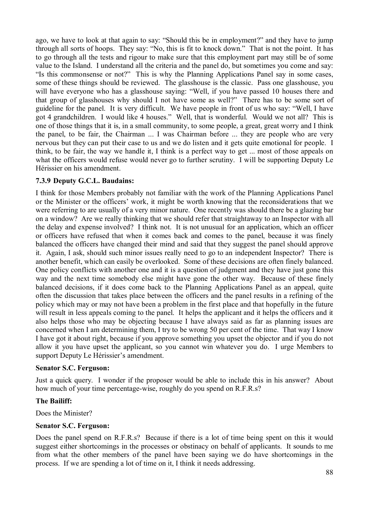ago, we have to look at that again to say: "Should this be in employment?" and they have to jump through all sorts of hoops. They say: "No, this is fit to knock down." That is not the point. It has to go through all the tests and rigour to make sure that this employment part may still be of some value to the Island. I understand all the criteria and the panel do, but sometimes you come and say: "Is this commonsense or not?" This is why the Planning Applications Panel say in some cases, some of these things should be reviewed. The glasshouse is the classic. Pass one glasshouse, you will have everyone who has a glasshouse saying: "Well, if you have passed 10 houses there and that group of glasshouses why should I not have some as well?" There has to be some sort of guideline for the panel. It is very difficult. We have people in front of us who say: "Well, I have got 4 grandchildren. I would like 4 houses." Well, that is wonderful. Would we not all? This is one of those things that it is, in a small community, to some people, a great, great worry and I think the panel, to be fair, the Chairman ... I was Chairman before ... they are people who are very nervous but they can put their case to us and we do listen and it gets quite emotional for people. I think, to be fair, the way we handle it, I think is a perfect way to get ... most of those appeals on what the officers would refuse would never go to further scrutiny. I will be supporting Deputy Le Hérissier on his amendment.

## **7.3.9 Deputy G.C.L. Baudains:**

I think for those Members probably not familiar with the work of the Planning Applications Panel or the Minister or the officers' work, it might be worth knowing that the reconsiderations that we were referring to are usually of a very minor nature. One recently was should there be a glazing bar on a window? Are we really thinking that we should refer that straightaway to an Inspector with all the delay and expense involved? I think not. It is not unusual for an application, which an officer or officers have refused that when it comes back and comes to the panel, because it was finely balanced the officers have changed their mind and said that they suggest the panel should approve it. Again, I ask, should such minor issues really need to go to an independent Inspector? There is another benefit, which can easily be overlooked. Some of these decisions are often finely balanced. One policy conflicts with another one and it is a question of judgment and they have just gone this way and the next time somebody else might have gone the other way. Because of these finely balanced decisions, if it does come back to the Planning Applications Panel as an appeal, quite often the discussion that takes place between the officers and the panel results in a refining of the policy which may or may not have been a problem in the first place and that hopefully in the future will result in less appeals coming to the panel. It helps the applicant and it helps the officers and it also helps those who may be objecting because I have always said as far as planning issues are concerned when I am determining them, I try to be wrong 50 per cent of the time. That way I know I have got it about right, because if you approve something you upset the objector and if you do not allow it you have upset the applicant, so you cannot win whatever you do. I urge Members to support Deputy Le Hérissier's amendment.

### **Senator S.C. Ferguson:**

Just a quick query. I wonder if the proposer would be able to include this in his answer? About how much of your time percentage-wise, roughly do you spend on R.F.R.s?

### **The Bailiff:**

Does the Minister?

### **Senator S.C. Ferguson:**

Does the panel spend on R.F.R.s? Because if there is a lot of time being spent on this it would suggest either shortcomings in the processes or obstinacy on behalf of applicants. It sounds to me from what the other members of the panel have been saying we do have shortcomings in the process. If we are spending a lot of time on it, I think it needs addressing.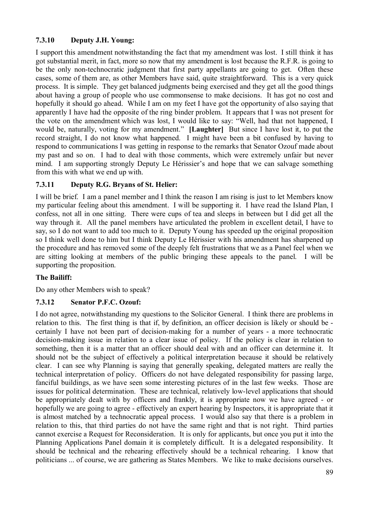# **7.3.10 Deputy J.H. Young:**

I support this amendment notwithstanding the fact that my amendment was lost. I still think it has got substantial merit, in fact, more so now that my amendment is lost because the R.F.R. is going to be the only non-technocratic judgment that first party appellants are going to get. Often these cases, some of them are, as other Members have said, quite straightforward. This is a very quick process. It is simple. They get balanced judgments being exercised and they get all the good things about having a group of people who use commonsense to make decisions. It has got no cost and hopefully it should go ahead. While I am on my feet I have got the opportunity of also saying that apparently I have had the opposite of the ring binder problem. It appears that I was not present for the vote on the amendment which was lost, I would like to say: "Well, had that not happened, I would be, naturally, voting for my amendment." **[Laughter]** But since I have lost it, to put the record straight, I do not know what happened. I might have been a bit confused by having to respond to communications I was getting in response to the remarks that Senator Ozouf made about my past and so on. I had to deal with those comments, which were extremely unfair but never mind. I am supporting strongly Deputy Le Hérissier's and hope that we can salvage something from this with what we end up with.

# **7.3.11 Deputy R.G. Bryans of St. Helier:**

I will be brief. I am a panel member and I think the reason I am rising is just to let Members know my particular feeling about this amendment. I will be supporting it. I have read the Island Plan, I confess, not all in one sitting. There were cups of tea and sleeps in between but I did get all the way through it. All the panel members have articulated the problem in excellent detail, I have to say, so I do not want to add too much to it. Deputy Young has speeded up the original proposition so I think well done to him but I think Deputy Le Hérissier with his amendment has sharpened up the procedure and has removed some of the deeply felt frustrations that we as a Panel feel when we are sitting looking at members of the public bringing these appeals to the panel. I will be supporting the proposition.

# **The Bailiff:**

Do any other Members wish to speak?

# **7.3.12 Senator P.F.C. Ozouf:**

I do not agree, notwithstanding my questions to the Solicitor General. I think there are problems in relation to this. The first thing is that if, by definition, an officer decision is likely or should be certainly I have not been part of decision-making for a number of years - a more technocratic decision-making issue in relation to a clear issue of policy. If the policy is clear in relation to something, then it is a matter that an officer should deal with and an officer can determine it. It should not be the subject of effectively a political interpretation because it should be relatively clear. I can see why Planning is saying that generally speaking, delegated matters are really the technical interpretation of policy. Officers do not have delegated responsibility for passing large, fanciful buildings, as we have seen some interesting pictures of in the last few weeks. Those are issues for political determination. These are technical, relatively low-level applications that should be appropriately dealt with by officers and frankly, it is appropriate now we have agreed - or hopefully we are going to agree - effectively an expert hearing by Inspectors, it is appropriate that it is almost matched by a technocratic appeal process. I would also say that there is a problem in relation to this, that third parties do not have the same right and that is not right. Third parties cannot exercise a Request for Reconsideration. It is only for applicants, but once you put it into the Planning Applications Panel domain it is completely difficult. It is a delegated responsibility. It should be technical and the rehearing effectively should be a technical rehearing. I know that politicians ... of course, we are gathering as States Members. We like to make decisions ourselves.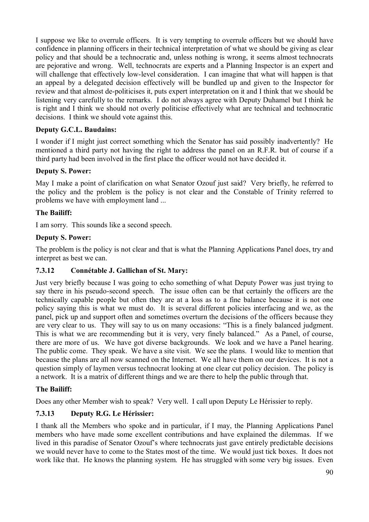I suppose we like to overrule officers. It is very tempting to overrule officers but we should have confidence in planning officers in their technical interpretation of what we should be giving as clear policy and that should be a technocratic and, unless nothing is wrong, it seems almost technocrats are pejorative and wrong. Well, technocrats are experts and a Planning Inspector is an expert and will challenge that effectively low-level consideration. I can imagine that what will happen is that an appeal by a delegated decision effectively will be bundled up and given to the Inspector for review and that almost de-politicises it, puts expert interpretation on it and I think that we should be listening very carefully to the remarks. I do not always agree with Deputy Duhamel but I think he is right and I think we should not overly politicise effectively what are technical and technocratic decisions. I think we should vote against this.

## **Deputy G.C.L. Baudains:**

I wonder if I might just correct something which the Senator has said possibly inadvertently? He mentioned a third party not having the right to address the panel on an R.F.R. but of course if a third party had been involved in the first place the officer would not have decided it.

## **Deputy S. Power:**

May I make a point of clarification on what Senator Ozouf just said? Very briefly, he referred to the policy and the problem is the policy is not clear and the Constable of Trinity referred to problems we have with employment land ...

## **The Bailiff:**

I am sorry. This sounds like a second speech.

## **Deputy S. Power:**

The problem is the policy is not clear and that is what the Planning Applications Panel does, try and interpret as best we can.

## **7.3.12 Connétable J. Gallichan of St. Mary:**

Just very briefly because I was going to echo something of what Deputy Power was just trying to say there in his pseudo-second speech. The issue often can be that certainly the officers are the technically capable people but often they are at a loss as to a fine balance because it is not one policy saying this is what we must do. It is several different policies interfacing and we, as the panel, pick up and support often and sometimes overturn the decisions of the officers because they are very clear to us. They will say to us on many occasions: "This is a finely balanced judgment. This is what we are recommending but it is very, very finely balanced." As a Panel, of course, there are more of us. We have got diverse backgrounds. We look and we have a Panel hearing. The public come. They speak. We have a site visit. We see the plans. I would like to mention that because the plans are all now scanned on the Internet. We all have them on our devices. It is not a question simply of laymen versus technocrat looking at one clear cut policy decision. The policy is a network. It is a matrix of different things and we are there to help the public through that.

## **The Bailiff:**

Does any other Member wish to speak? Very well. I call upon Deputy Le Hérissier to reply.

# **7.3.13 Deputy R.G. Le Hérissier:**

I thank all the Members who spoke and in particular, if I may, the Planning Applications Panel members who have made some excellent contributions and have explained the dilemmas. If we lived in this paradise of Senator Ozouf's where technocrats just gave entirely predictable decisions we would never have to come to the States most of the time. We would just tick boxes. It does not work like that. He knows the planning system. He has struggled with some very big issues. Even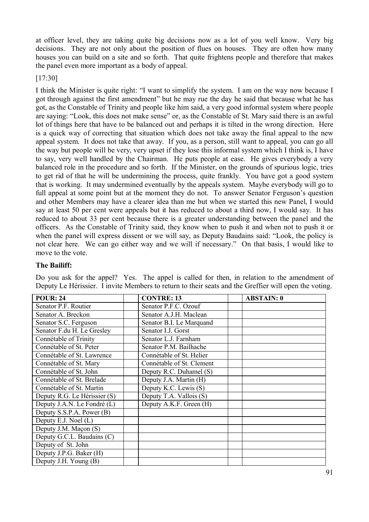at officer level, they are taking quite big decisions now as a lot of you well know. Very big decisions. They are not only about the position of flues on houses. They are often how many houses you can build on a site and so forth. That quite frightens people and therefore that makes the panel even more important as a body of appeal.

### [17:30]

I think the Minister is quite right: "I want to simplify the system. I am on the way now because I got through against the first amendment" but he may rue the day he said that because what he has got, as the Constable of Trinity and people like him said, a very good informal system where people are saying: "Look, this does not make sense" or, as the Constable of St. Mary said there is an awful lot of things here that have to be balanced out and perhaps it is tilted in the wrong direction. Here is a quick way of correcting that situation which does not take away the final appeal to the new appeal system. It does not take that away. If you, as a person, still want to appeal, you can go all the way but people will be very, very upset if they lose this informal system which I think is, I have to say, very well handled by the Chairman. He puts people at ease. He gives everybody a very balanced role in the procedure and so forth. If the Minister, on the grounds of spurious logic, tries to get rid of that he will be undermining the process, quite frankly. You have got a good system that is working. It may undermined eventually by the appeals system. Maybe everybody will go to full appeal at some point but at the moment they do not. To answer Senator Ferguson's question and other Members may have a clearer idea than me but when we started this new Panel, I would say at least 50 per cent were appeals but it has reduced to about a third now, I would say. It has reduced to about 33 per cent because there is a greater understanding between the panel and the officers. As the Constable of Trinity said, they know when to push it and when not to push it or when the panel will express dissent or we will say, as Deputy Baudains said: "Look, the policy is not clear here. We can go either way and we will if necessary." On that basis, I would like to move to the vote.

### **The Bailiff:**

| <b>POUR: 24</b>              | <b>CONTRE: 13</b>         | <b>ABSTAIN: 0</b> |
|------------------------------|---------------------------|-------------------|
| Senator P.F. Routier         | Senator P.F.C. Ozouf      |                   |
| Senator A. Breckon           | Senator A.J.H. Maclean    |                   |
| Senator S.C. Ferguson        | Senator B.I. Le Marquand  |                   |
| Senator F.du H. Le Gresley   | Senator I.J. Gorst        |                   |
| Connétable of Trinity        | Senator L.J. Farnham      |                   |
| Connétable of St. Peter      | Senator P.M. Bailhache    |                   |
| Connétable of St. Lawrence   | Connétable of St. Helier  |                   |
| Connétable of St. Mary       | Connétable of St. Clement |                   |
| Connétable of St. John       | Deputy R.C. Duhamel (S)   |                   |
| Connétable of St. Brelade    | Deputy J.A. Martin (H)    |                   |
| Connétable of St. Martin     | Deputy K.C. Lewis (S)     |                   |
| Deputy R.G. Le Hérissier (S) | Deputy T.A. Vallois (S)   |                   |
| Deputy J.A.N. Le Fondré (L)  | Deputy A.K.F. Green (H)   |                   |
| Deputy S.S.P.A. Power (B)    |                           |                   |
| Deputy E.J. Noel (L)         |                           |                   |
| Deputy J.M. Maçon (S)        |                           |                   |
| Deputy G.C.L. Baudains (C)   |                           |                   |
| Deputy of St. John           |                           |                   |
| Deputy J.P.G. Baker (H)      |                           |                   |
| Deputy J.H. Young (B)        |                           |                   |

Do you ask for the appel? Yes. The appel is called for then, in relation to the amendment of Deputy Le Hérissier. I invite Members to return to their seats and the Greffier will open the voting.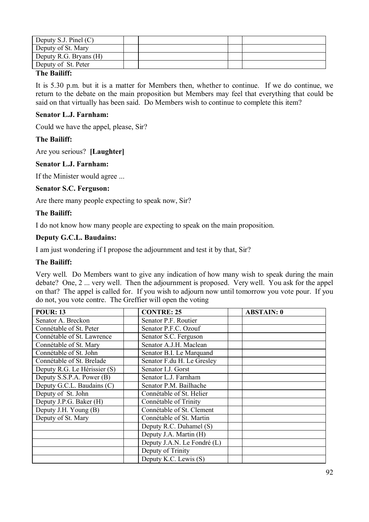| Deputy S.J. Pinel $(C)$            |  |  |
|------------------------------------|--|--|
| Deputy of St. Mary                 |  |  |
| Deputy R.G. Bryans (H)             |  |  |
| Deputy of St. Peter                |  |  |
| $\sim$ $\sim$ $\sim$ $\sim$ $\sim$ |  |  |

### **The Bailiff:**

It is 5.30 p.m. but it is a matter for Members then, whether to continue. If we do continue, we return to the debate on the main proposition but Members may feel that everything that could be said on that virtually has been said. Do Members wish to continue to complete this item?

### **Senator L.J. Farnham:**

Could we have the appel, please, Sir?

## **The Bailiff:**

Are you serious? **[Laughter]**

### **Senator L.J. Farnham:**

If the Minister would agree ...

### **Senator S.C. Ferguson:**

Are there many people expecting to speak now, Sir?

### **The Bailiff:**

I do not know how many people are expecting to speak on the main proposition.

### **Deputy G.C.L. Baudains:**

I am just wondering if I propose the adjournment and test it by that, Sir?

### **The Bailiff:**

Very well. Do Members want to give any indication of how many wish to speak during the main debate? One, 2 ... very well. Then the adjournment is proposed. Very well. You ask for the appel on that? The appel is called for. If you wish to adjourn now until tomorrow you vote pour. If you do not, you vote contre. The Greffier will open the voting

| <b>POUR: 13</b>              | <b>CONTRE: 25</b>           | <b>ABSTAIN: 0</b> |
|------------------------------|-----------------------------|-------------------|
| Senator A. Breckon           | Senator P.F. Routier        |                   |
| Connétable of St. Peter      | Senator P.F.C. Ozouf        |                   |
| Connétable of St. Lawrence   | Senator S.C. Ferguson       |                   |
| Connétable of St. Mary       | Senator A.J.H. Maclean      |                   |
| Connétable of St. John       | Senator B.I. Le Marquand    |                   |
| Connétable of St. Brelade    | Senator F.du H. Le Gresley  |                   |
| Deputy R.G. Le Hérissier (S) | Senator I.J. Gorst          |                   |
| Deputy S.S.P.A. Power (B)    | Senator L.J. Farnham        |                   |
| Deputy G.C.L. Baudains (C)   | Senator P.M. Bailhache      |                   |
| Deputy of St. John           | Connétable of St. Helier    |                   |
| Deputy J.P.G. Baker (H)      | Connétable of Trinity       |                   |
| Deputy J.H. Young (B)        | Connétable of St. Clement   |                   |
| Deputy of St. Mary           | Connétable of St. Martin    |                   |
|                              | Deputy R.C. Duhamel (S)     |                   |
|                              | Deputy J.A. Martin (H)      |                   |
|                              | Deputy J.A.N. Le Fondré (L) |                   |
|                              | Deputy of Trinity           |                   |
|                              | Deputy K.C. Lewis (S)       |                   |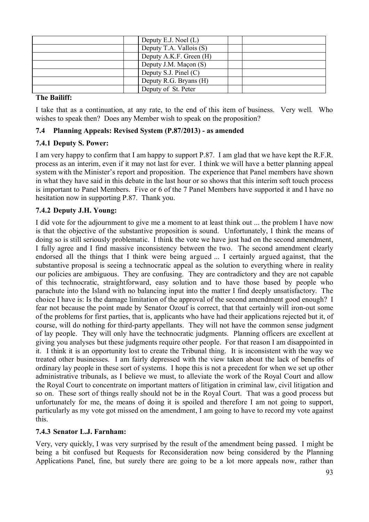| Deputy E.J. Noel $(L)$  |  |
|-------------------------|--|
| Deputy T.A. Vallois (S) |  |
| Deputy A.K.F. Green (H) |  |
| Deputy J.M. Maçon (S)   |  |
| Deputy S.J. Pinel $(C)$ |  |
| Deputy R.G. Bryans (H)  |  |
| Deputy of St. Peter     |  |

### **The Bailiff:**

I take that as a continuation, at any rate, to the end of this item of business. Very well. Who wishes to speak then? Does any Member wish to speak on the proposition?

## **7.4 Planning Appeals: Revised System (P.87/2013) - as amended**

## **7.4.1 Deputy S. Power:**

I am very happy to confirm that I am happy to support P.87. I am glad that we have kept the R.F.R. process as an interim, even if it may not last for ever. I think we will have a better planning appeal system with the Minister's report and proposition. The experience that Panel members have shown in what they have said in this debate in the last hour or so shows that this interim soft touch process is important to Panel Members. Five or 6 of the 7 Panel Members have supported it and I have no hesitation now in supporting P.87. Thank you.

## **7.4.2 Deputy J.H. Young:**

I did vote for the adjournment to give me a moment to at least think out ... the problem I have now is that the objective of the substantive proposition is sound. Unfortunately, I think the means of doing so is still seriously problematic. I think the vote we have just had on the second amendment, I fully agree and I find massive inconsistency between the two. The second amendment clearly endorsed all the things that I think were being argued ... I certainly argued against, that the substantive proposal is seeing a technocratic appeal as the solution to everything where in reality our policies are ambiguous. They are confusing. They are contradictory and they are not capable of this technocratic, straightforward, easy solution and to have those based by people who parachute into the Island with no balancing input into the matter I find deeply unsatisfactory. The choice I have is: Is the damage limitation of the approval of the second amendment good enough? I fear not because the point made by Senator Ozouf is correct, that that certainly will iron-out some of the problems for first parties, that is, applicants who have had their applications rejected but it, of course, will do nothing for third-party appellants. They will not have the common sense judgment of lay people. They will only have the technocratic judgments. Planning officers are excellent at giving you analyses but these judgments require other people. For that reason I am disappointed in it. I think it is an opportunity lost to create the Tribunal thing. It is inconsistent with the way we treated other businesses. I am fairly depressed with the view taken about the lack of benefits of ordinary lay people in these sort of systems. I hope this is not a precedent for when we set up other administrative tribunals, as I believe we must, to alleviate the work of the Royal Court and allow the Royal Court to concentrate on important matters of litigation in criminal law, civil litigation and so on. These sort of things really should not be in the Royal Court. That was a good process but unfortunately for me, the means of doing it is spoiled and therefore I am not going to support, particularly as my vote got missed on the amendment, I am going to have to record my vote against this.

## **7.4.3 Senator L.J. Farnham:**

Very, very quickly, I was very surprised by the result of the amendment being passed. I might be being a bit confused but Requests for Reconsideration now being considered by the Planning Applications Panel, fine, but surely there are going to be a lot more appeals now, rather than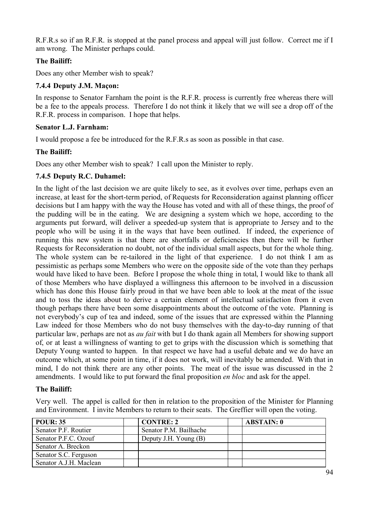R.F.R.s so if an R.F.R. is stopped at the panel process and appeal will just follow. Correct me if I am wrong. The Minister perhaps could.

# **The Bailiff:**

Does any other Member wish to speak?

## **7.4.4 Deputy J.M. Maçon:**

In response to Senator Farnham the point is the R.F.R. process is currently free whereas there will be a fee to the appeals process. Therefore I do not think it likely that we will see a drop off of the R.F.R. process in comparison. I hope that helps.

### **Senator L.J. Farnham:**

I would propose a fee be introduced for the R.F.R.s as soon as possible in that case.

### **The Bailiff:**

Does any other Member wish to speak? I call upon the Minister to reply.

## **7.4.5 Deputy R.C. Duhamel:**

In the light of the last decision we are quite likely to see, as it evolves over time, perhaps even an increase, at least for the short-term period, of Requests for Reconsideration against planning officer decisions but I am happy with the way the House has voted and with all of these things, the proof of the pudding will be in the eating. We are designing a system which we hope, according to the arguments put forward, will deliver a speeded-up system that is appropriate to Jersey and to the people who will be using it in the ways that have been outlined. If indeed, the experience of running this new system is that there are shortfalls or deficiencies then there will be further Requests for Reconsideration no doubt, not of the individual small aspects, but for the whole thing. The whole system can be re-tailored in the light of that experience. I do not think I am as pessimistic as perhaps some Members who were on the opposite side of the vote than they perhaps would have liked to have been. Before I propose the whole thing in total, I would like to thank all of those Members who have displayed a willingness this afternoon to be involved in a discussion which has done this House fairly proud in that we have been able to look at the meat of the issue and to toss the ideas about to derive a certain element of intellectual satisfaction from it even though perhaps there have been some disappointments about the outcome of the vote. Planning is not everybody's cup of tea and indeed, some of the issues that are expressed within the Planning Law indeed for those Members who do not busy themselves with the day-to-day running of that particular law, perhaps are not as *au fait* with but I do thank again all Members for showing support of, or at least a willingness of wanting to get to grips with the discussion which is something that Deputy Young wanted to happen. In that respect we have had a useful debate and we do have an outcome which, at some point in time, if it does not work, will inevitably be amended. With that in mind, I do not think there are any other points. The meat of the issue was discussed in the 2 amendments. I would like to put forward the final proposition *en bloc* and ask for the appel.

## **The Bailiff:**

Very well. The appel is called for then in relation to the proposition of the Minister for Planning and Environment. I invite Members to return to their seats. The Greffier will open the voting.

| <b>POUR: 35</b>        | <b>CONTRE: 2</b>       | <b>ABSTAIN: 0</b> |
|------------------------|------------------------|-------------------|
| Senator P.F. Routier   | Senator P.M. Bailhache |                   |
| Senator P.F.C. Ozouf   | Deputy J.H. Young (B)  |                   |
| Senator A. Breckon     |                        |                   |
| Senator S.C. Ferguson  |                        |                   |
| Senator A.J.H. Maclean |                        |                   |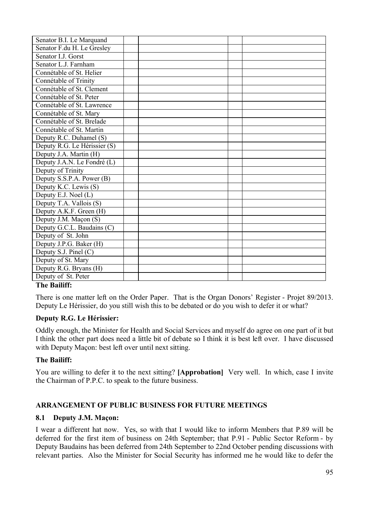| Senator F.du H. Le Gresley<br>Senator I.J. Gorst |
|--------------------------------------------------|
|                                                  |
|                                                  |
| Senator L.J. Farnham                             |
| Connétable of St. Helier                         |
| Connétable of Trinity                            |
| Connétable of St. Clement                        |
| Connétable of St. Peter                          |
| Connétable of St. Lawrence                       |
| Connétable of St. Mary                           |
| Connétable of St. Brelade                        |
| Connétable of St. Martin                         |
| Deputy R.C. Duhamel (S)                          |
| Deputy R.G. Le Hérissier (S)                     |
| Deputy J.A. Martin (H)                           |
| Deputy J.A.N. Le Fondré (L)                      |
| Deputy of Trinity                                |
| Deputy S.S.P.A. Power (B)                        |
| Deputy K.C. Lewis (S)                            |
| Deputy E.J. Noel (L)                             |
| Deputy T.A. Vallois (S)                          |
| Deputy A.K.F. Green (H)                          |
| Deputy J.M. Maçon (S)                            |
| Deputy G.C.L. Baudains (C)                       |
| Deputy of St. John                               |
| Deputy J.P.G. Baker (H)                          |
| Deputy S.J. Pinel (C)                            |
| Deputy of St. Mary                               |
| Deputy R.G. Bryans (H)                           |
| Deputy of St. Peter<br><b>THE TABLE 11100</b>    |

## **The Bailiff:**

There is one matter left on the Order Paper. That is the Organ Donors' Register - Projet 89/2013. Deputy Le Hérissier, do you still wish this to be debated or do you wish to defer it or what?

## **Deputy R.G. Le Hérissier:**

Oddly enough, the Minister for Health and Social Services and myself do agree on one part of it but I think the other part does need a little bit of debate so I think it is best left over. I have discussed with Deputy Maçon: best left over until next sitting.

## **The Bailiff:**

You are willing to defer it to the next sitting? **[Approbation]** Very well. In which, case I invite the Chairman of P.P.C. to speak to the future business.

# **ARRANGEMENT OF PUBLIC BUSINESS FOR FUTURE MEETINGS**

### **8.1 Deputy J.M. Maçon:**

I wear a different hat now. Yes, so with that I would like to inform Members that P.89 will be deferred for the first item of business on 24th September; that P.91 - Public Sector Reform - by Deputy Baudains has been deferred from 24th September to 22nd October pending discussions with relevant parties. Also the Minister for Social Security has informed me he would like to defer the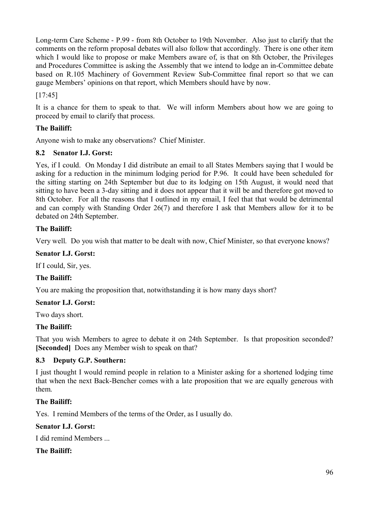Long-term Care Scheme - P.99 - from 8th October to 19th November. Also just to clarify that the comments on the reform proposal debates will also follow that accordingly. There is one other item which I would like to propose or make Members aware of, is that on 8th October, the Privileges and Procedures Committee is asking the Assembly that we intend to lodge an in-Committee debate based on R.105 Machinery of Government Review Sub-Committee final report so that we can gauge Members' opinions on that report, which Members should have by now.

[17:45]

It is a chance for them to speak to that. We will inform Members about how we are going to proceed by email to clarify that process.

# **The Bailiff:**

Anyone wish to make any observations? Chief Minister.

# **8.2 Senator I.J. Gorst:**

Yes, if I could. On Monday I did distribute an email to all States Members saying that I would be asking for a reduction in the minimum lodging period for P.96. It could have been scheduled for the sitting starting on 24th September but due to its lodging on 15th August, it would need that sitting to have been a 3-day sitting and it does not appear that it will be and therefore got moved to 8th October. For all the reasons that I outlined in my email, I feel that that would be detrimental and can comply with Standing Order 26(7) and therefore I ask that Members allow for it to be debated on 24th September.

# **The Bailiff:**

Very well. Do you wish that matter to be dealt with now, Chief Minister, so that everyone knows?

# **Senator I.J. Gorst:**

If I could, Sir, yes.

# **The Bailiff:**

You are making the proposition that, notwithstanding it is how many days short?

# **Senator I.J. Gorst:**

Two days short.

# **The Bailiff:**

That you wish Members to agree to debate it on 24th September. Is that proposition seconded? **[Seconded]** Does any Member wish to speak on that?

# **8.3 Deputy G.P. Southern:**

I just thought I would remind people in relation to a Minister asking for a shortened lodging time that when the next Back-Bencher comes with a late proposition that we are equally generous with them.

# **The Bailiff:**

Yes. I remind Members of the terms of the Order, as I usually do.

# **Senator I.J. Gorst:**

I did remind Members

# **The Bailiff:**